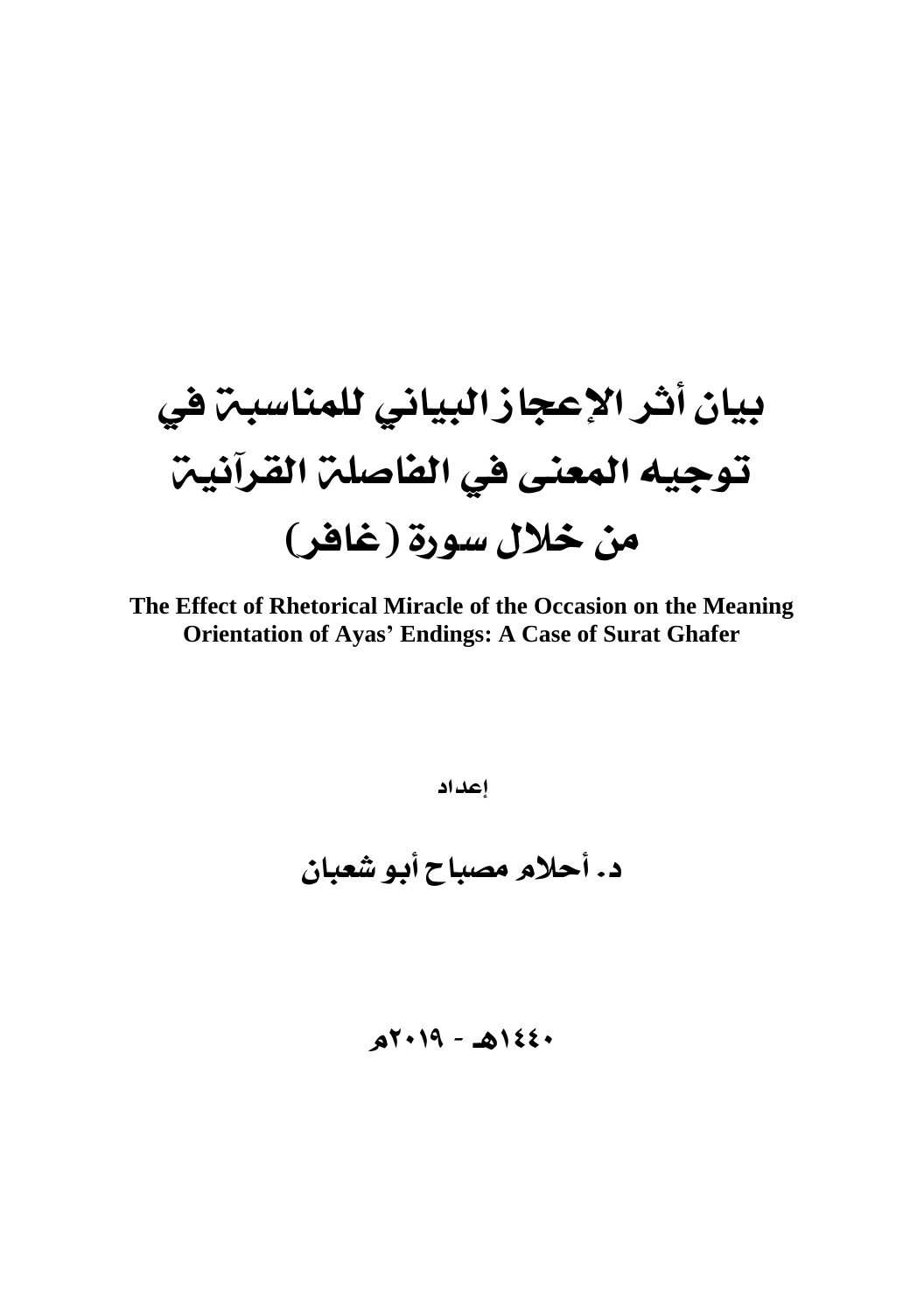# بيان أثر الإعجاز البياني للمناسبة في توجيه المعنى في الفاصلة القرآنية من خلال سورة (غافر)

The Effect of Rhetorical Miracle of the Occasion on the Meaning **Orientation of Ayas' Endings: A Case of Surat Ghafer** 

إعداد

د. أحلام مصباح أبو شعبان

 $aY+19 - A122$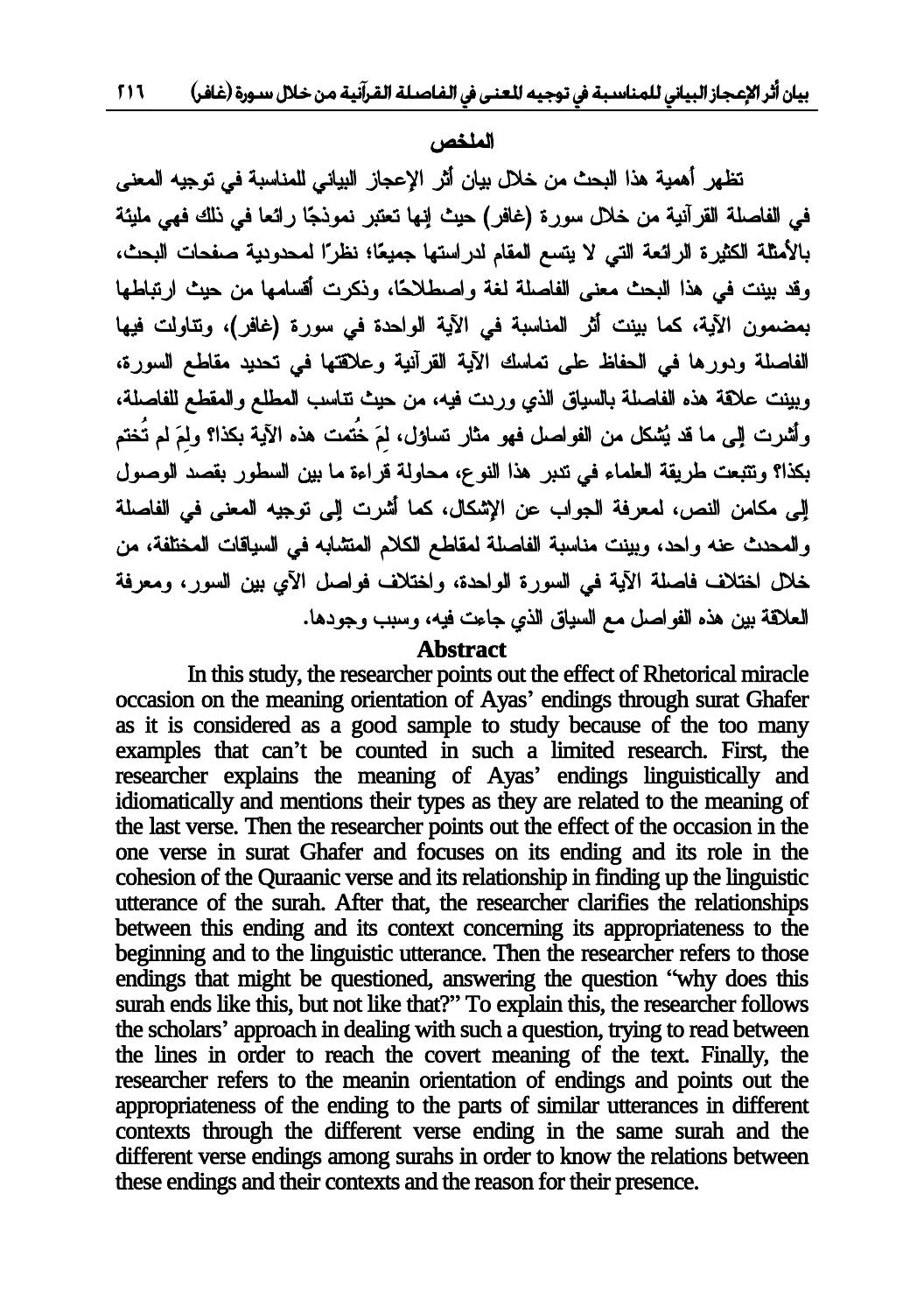#### للملخص ،

تظهر أهمية هذا البحث من خلال بيان أثر الإعجاز البياني للمناسبة في توجيه المعنى في الفاصلة القرآنية من خلال سورة (غافر) حيث إنها تعتبر نموذجًا رائعا في ذلك فهي مليئة بالأمثلة الكثيرة الرائعة التي لا يتسع المقام لدراستها جميعًا؛ نظرًا لمحدودية صفحات البحث، وقد بينت في هذا البحث معنى الفاصلة لغة واصطلاحًا، وذكرت أقسامها من حيث ارتباطها بمضمون الآية، كما بينت أثر المناسبة في الآية الواحدة في سورة (غافر)، وتتاولت فيها الفاصلة ودورها في الحفاظ على تماسك الآية القرأنية وعلاقتها في تحديد مقاطع السورة، وبينت علاقة هذه الفاصلة بالسياق الذي ورىت فيه، من حيث نتاسب المطلع والمقطع للفاصلة، و أشرت البر ما قد نُشكل من الفواصل فهو مثار تساؤل، لمَ خُتمت هذه الآية بكذا؟ ولمَ لم تُختم بكذا؟ ونتبعت طريقة العلماء في نتبر هذا النوع، محاولة قراءة ما بين السطور بقصد الوصول إلى مكامن النص، لمعرفة الجواب عن الإشكال، كما أشرت إلى توجيه المعنى في الفاصلة والمحدث عنه واحد، وبينت مناسبة الفاصلة لمقاطع الكلام المتثمابه في السياقات المختلفة، من خلل اختلاف فاصلة الآية في السورة الواحدة، واختلاف فواصل الآي بين السور، ومعرفة العلاقة بين هذه الفواصل مع السياق الذي جاعت فيه، وسبب وجودها.

Abstract<br>In this study, the researcher points out the effect of Rhetorical miracle **Abstract**<br> **Abstract**<br> **Abstract**<br> **Abstract**<br> **Abstract**<br> **Abstract**<br> **Abstract**<br> **Abstract**<br> **Abstract**<br> **Abstract**<br> **Abstract**<br> **Abstract**<br> **Abstract**<br> **Abstract**<br> **Abstract**<br> **Abstract**<br> **Abstract**<br> **Abstract**<br> **Abstr**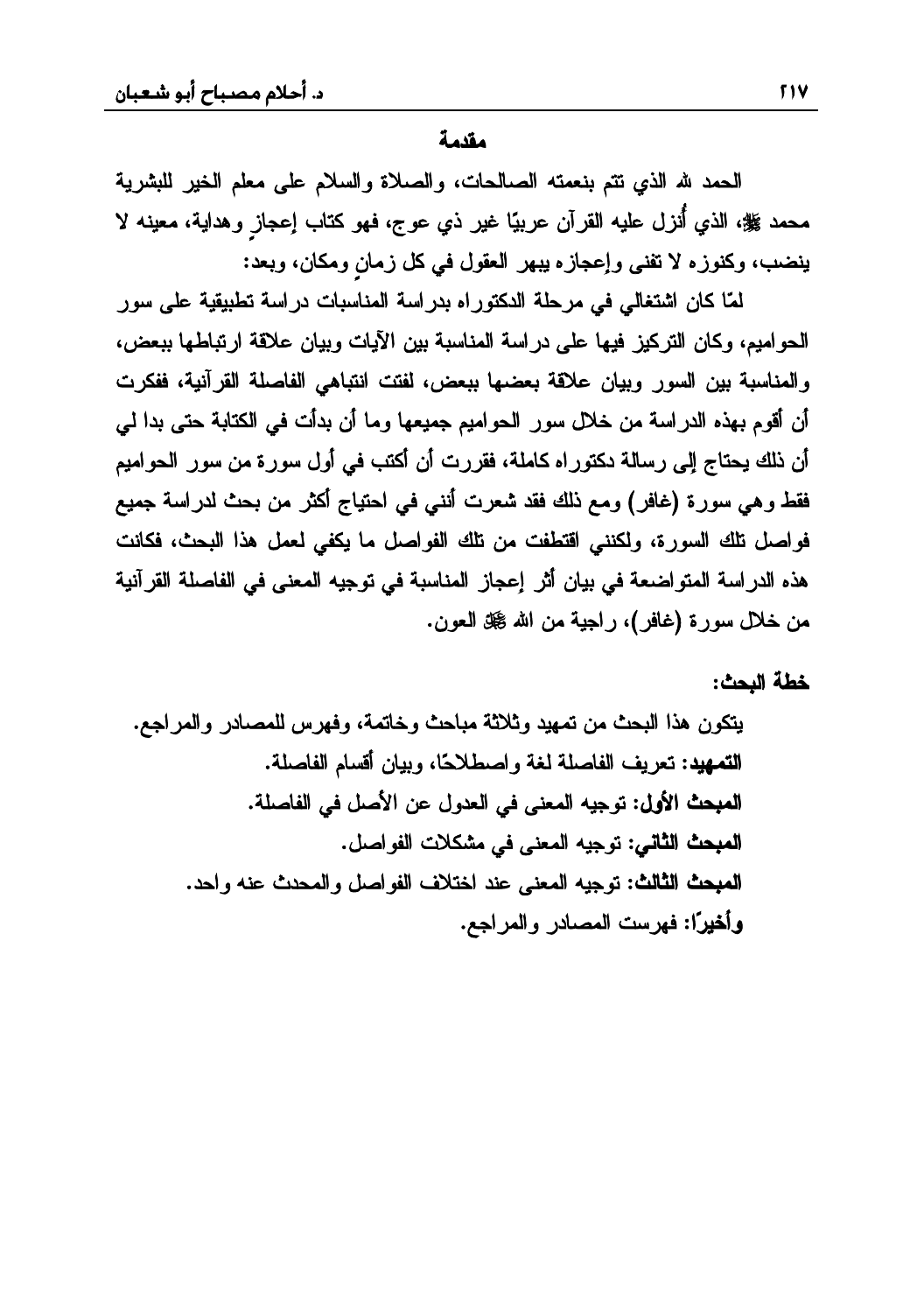مق*دم*ة

الحمد لله الذي نتم بنعمته الصالحات، والصلاة والسلام على معلم الخير للبشرية محمد ﷺ، الذي أُنزل عليه القرآن عربيًا غير ذي عوج، فهو كتاب إعجاز وهداية، معينه لا ينضب، وكنوزه لا تفني وإعجازه يبهر العقول في كل زمان ومكان، وبعد:

لمّا كان اشتغالي في مرحلة الدكتوراه بدراسة المناسبات دراسة تطبيقية على سور الحواميم، وكان التركيز فيها على دراسة المناسبة بين الآيات وبيان علاقة ارتباطها ببعض، والمناسبة بين السور وبيان علاقة بعضها ببعض، لفتت انتباهي الفاصلة القرآنية، ففكرت أن أقوم بهذه الدراسة من خلال سور الحواميم جميعها وما أن بدأت في الكتابة حتى بدا لي أن ذلك يحتاج إلى رسالة دكتوراه كاملة، فقررت أن أكتب في أول سورة من سور الحواميم فقط وهي سورة (غافر) ومع ناك فقد شعرت أننبي في احتياج أكثر من بحث لدراسة جميع فواصل نلك السورة، ولكنني اقتطفت من نلك الفواصل ما يكفي لعمل هذا البحث، فكانت هذه الدراسة المتواضعة في بيان أثر إعجاز المناسبة في توجيه المعنى في الفاصلة القرآنية من خلال سورة (غافر)، راجية من الله گذ العون.

خطة البحث:

 ŶŠŔũƈƅŔƏũŧŕŰƈƆƅūũƎžƏřƈśŕŦƏŜţŕŗƈřŝƜŝƏŧƔƎƈśƉƈŜţŗƅŔŔŨƍƉƏƄśƔřƆŰŕſƅŔƇŕŬƁŌƉŕƔŗƏŕćţƜųŰŔƏřżƅřƆŰŕſƅŔŽƔũŸś**ťƒƌƆřƃŒ** řƆŰŕſƅŔƓž¿ŰƗŔƉŷ¿ƏŧŸƅŔƓžƑƊŸƈƅŔƌƔŠƏś**¾ƍƕŒŚšŕƆƃŒ** ¿ŰŔƏſƅŔŚƜƄŮƈƓžƑƊŸƈƅŔƌƔŠƏś**ƑƈœśƃŒŚšŕƆƃŒ** ŧţŔƏƌƊŷŜŧţƈƅŔƏ¿ŰŔƏſƅŔŽƜśŦŔŧƊŷƑƊŸƈƅŔƌƔŠƏś**ŚƃœśƃŒŚšŕƆƃŒ** ŶŠŔũƈƅŔƏũŧŕŰƈƅŔŚŬũƎž**ŒĆŧƒŤŊƍ**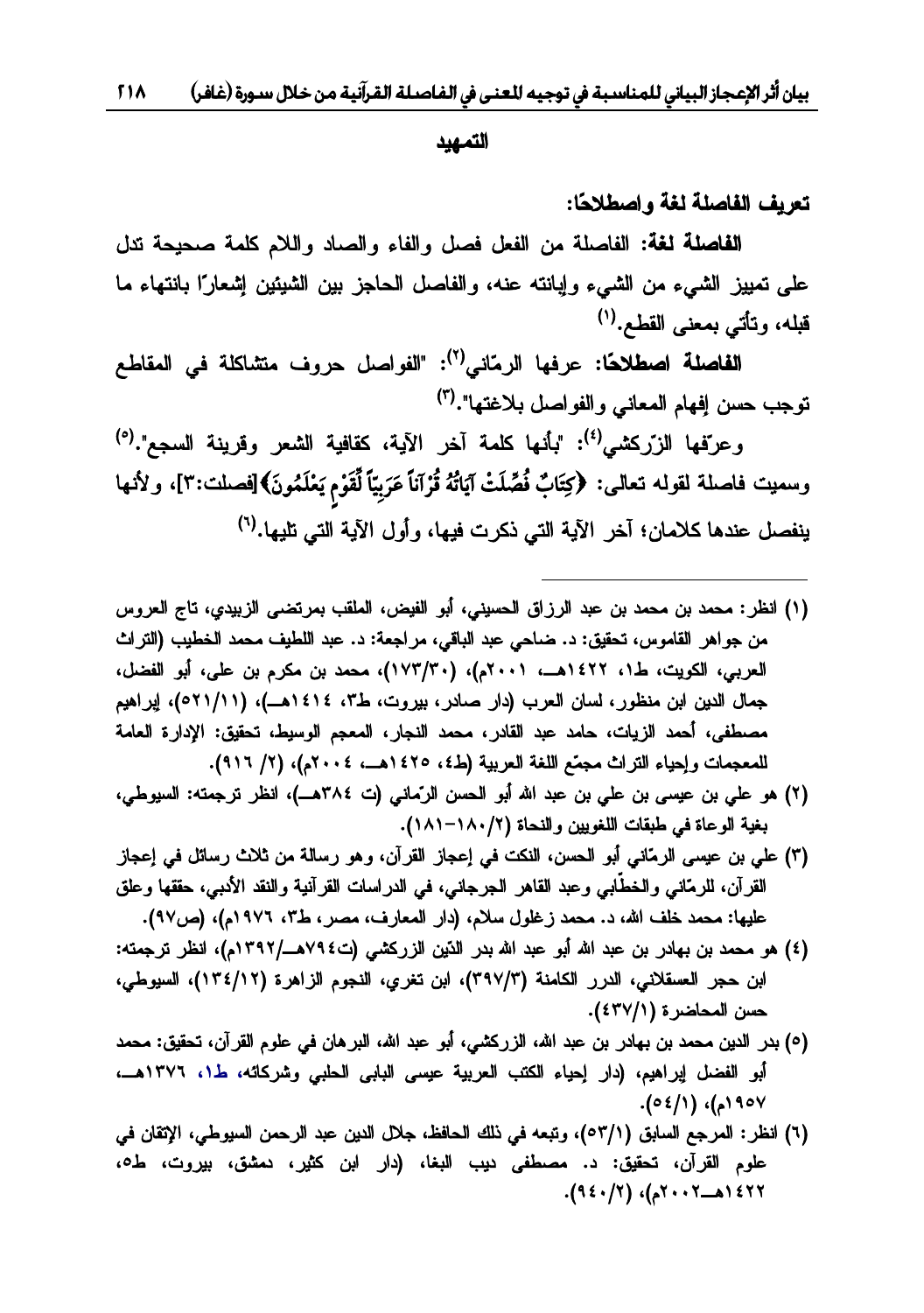التمهيد

تعريف الفاصلة لغة واصطلاحًا:

<mark>الفاصلة لغة:</mark> الفاصلة من الفعل فصل والفاء والصاد واللام كلمة صحيحة تدل على تمييز الشيء من الشيء وإبانته عنه، والفاصل الحاجز بين الشيئين إشعارًا بانتهاء ما قبله، وتأتي بمعنى القطع.<sup>(١)</sup> ، وتأتي بمعنى القطع.<sup>(١)</sup><br>ا**لفاصلة اصطلاحًا:** عرفها الرمّاني<sup>(٢)</sup>: "الفواصل حروف متشاكلة في المقاطع

توجب حسن إفهام المعاني والفواصل بلاغتها".<sup>(٣)</sup><br>وعرفها الزرّكشه ب<sup>(٤)</sup>: "مأنها كلمة آخر

كشير<sup>(٤)</sup>: "بأنها كلمة آخر الآية، كقافية الشعر وقرينة السجع".<sup>(٥</sup>) وعرفها الزركسي' `: بانها كلمه احز الايه، كفافيه السعر وفزينه السجع .' `<br>وسميت فاصلة لقوله تعالى: ﴿كِتَابٌ فُصِّلَتْ آيَاتُهُ قُرْآناً عَرَبِيّاً لِّقَوْم يَعْلَمُونَ﴾[فصلت:٣]، ولأنها **wóöõ**ينفصل عندها كلامان؛ آخر الآية التي ذكر ت فيها، و أول الآية التي تليها.<sup>(٦)</sup>

- (١) انظر: محمد بن محمد بن عبد الرزاق الحسيني، أبو الفيض، الملقب بمرتضى الزبيدي، تاج العروس من جواهر القاموس، تحقيق: د. ضاحي عبد الباقي، مراجعة: د. عبد اللطيف محمد الخطيب (التراث العربي، الكويت، ط١، ١٤٢٢هــ، ٢٠٠١م)، (١٧٣/٣٠)، محمد بن مكرم بن علي، أبو الفضل، جمال الدين ابن منظور، لسان العرب (دار صادر، بيروت، ط٣، ١٤١٤هــ)، (٥٢١/١١)، إبراهيم مصطفى، أحمد الزيات، حامد عبد القادر، محمد النجار، المعجم الوسيط، تحقيق: الإدارة العامة للمعجمات وإحياء التراث مجمّع اللغة العربية (ط٤، ١٤٢٥هــ، ٢٠٠٤م)، (٢/ ٩١٦).
- (۲) هو على بن عيسى بن على بن عبد الله أبو الحسن الرّماني (ت ٣٨٤هـ)، انظر ترجمته: السيوطي، بغية الوعاة في طبقات اللغويين والنحاة (١٨٠/٢–١٨١).
- ت) على بن عيسى الرمّاني أبو الحسن، النكت في إعجاز القرآن، وهو رسالة من ثلاث رسائل في إعجاز القرآن، للرمّانـي والـخطّابـي وعبد القاهر الـجرجانـي، فـي الدراسات القرآنية والنقد الأدبـي، حققها وعلق عليها: محمد خلف الله، د. محمد زغلول سلام، (دار المعارف، مصر، ط٣، ١٩٧٦م)، (ص٩٧).
- (٤) هو محمد بن بهادر بن عبد الله أبو عبد الله بدر الذين الزركشي (ت٧٩٤هـ/١٣٩٢م)، انظر ترجمته: ابن حجر العسقلاني، الدرر الكامنة (٣٩٧/٣)، ابن تغري، النجوم الزاهرة (١٣٤/١٢)، السيوطي، حسن المحاضرة (٤٣٧/١).
- (٥) بدر الدين محمد بن بهادر بن عبد الله، الزركشي، أبو عبد الله، البرهان في علوم القرآن، تحقيق: محمد أبو الفضل إبراهيم، (دار إحياء الكتب العربية عيسى البابى الحلبي وشركائه، ط١، ١٣٧٦هــ،  **.(**٥٤/١Ƈ١٩٥٧
- (٦) انظر : المرجع السابق (٥٣/١)، وتبعه في ذلك الحافظ، جلال الدين عبد الرحمن السيوطي، الإتقان في علوم القرآن، تحقيق: د. مصطفى ديب البغا، (دار ابن كثير، دمشق، بيروت، ط٥، .(٩٤٠/٢Ƈ٢٠٠٢»ƍ١٤٢٢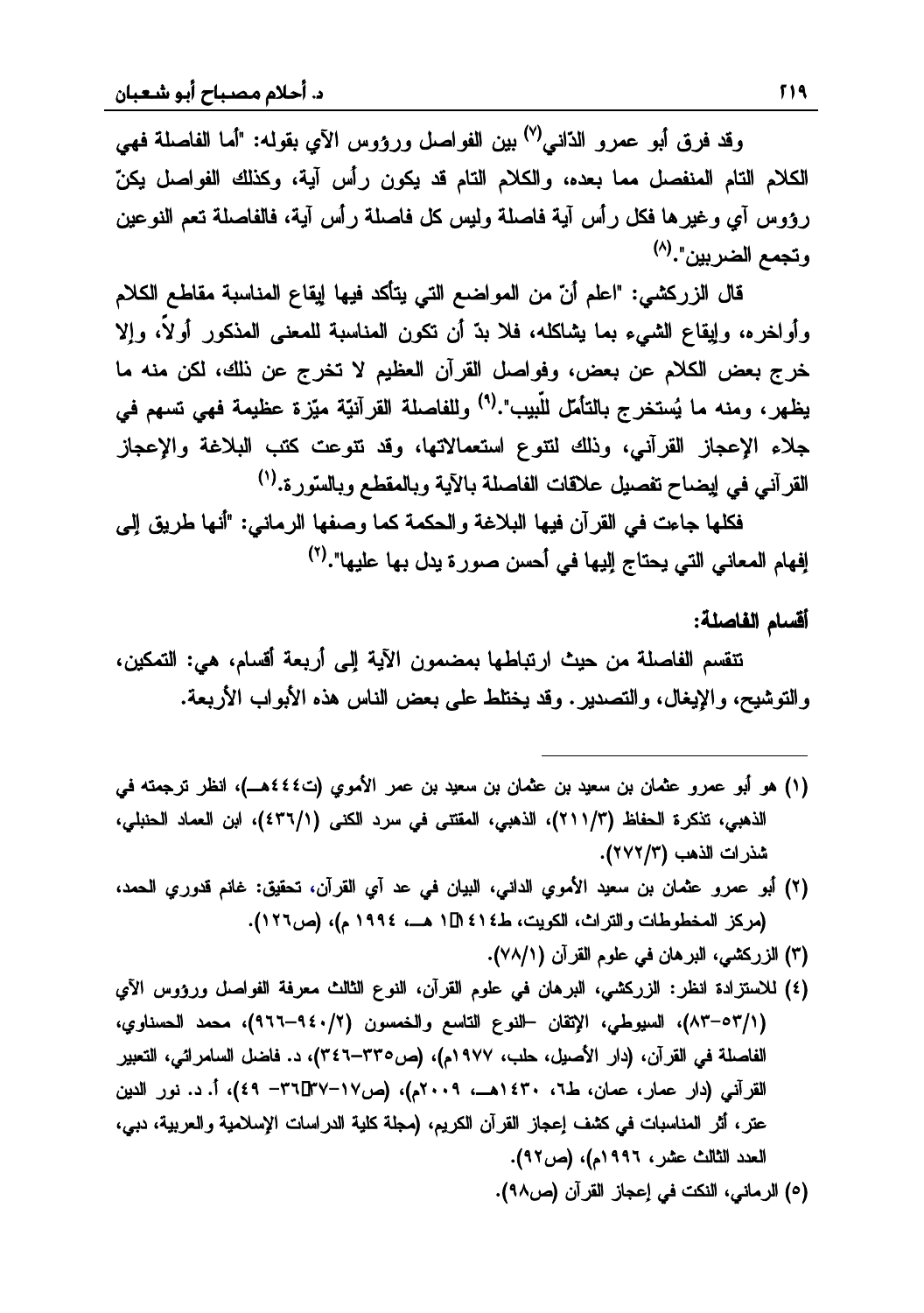وقد فرق أبو عمرو الدّاني<sup>(٧)</sup> بين الغواصل ورؤوس الآي بقوله: "أما الفاصلة فهي الكلام التام المنفصل مما بعده، والكلام التام قد يكون رأس آية، وكذلك الفواصل يكنّ رؤوس أي وغيرها فكل رأس أية فاصلة وليس كل فاصلة رأس آية، فالفاصلة تعم النوعين و تحمع الضرينن".<sup>(٨)</sup>

قال الزركشي: "اعلم أنّ من المواضع التي يتأكد فيها إيقاع المناسبة مقاطع الكلام و أو لخر ه، وابقاع الشيء بما يشاكله، فلا يدّ أن تكون المناسبة للمعنى المذكور أو لأ، والإ خرج بعض الكلام عن بعض، وفواصل القرآن العظيم لا تخرج عن ذلك، لكن منه ما يظهر ، ومنه ما يُستخرج بالتأمل للّبيب".<sup>(٩)</sup> وللفاصلة القر آنيّة متز ة عظيمة فهي تسهم في جلاء الإعجاز القرآني، وذلك لتتوع استعمالاتها، وقد تتوعت كتب البلاغة والإعجاز القرآني في ايضـاح تفصـيل علاقات الفاصلة بـالآية وبـالمقطـع وبـالسّورة.<sup>(١)</sup>

فكلها جاءت في القرآن فيها البلاغة والحكمة كما وصفها الرماني: "أنها طريق إلى افهام المعاني التي يحتاج اليها في أحسن صور ة بدل بها عليها".<sup>(٢)</sup>

### أقسام الفاصلة:

تنقسم الفاصلة من حيث ارتباطها بمضمون الآية إلى أربعة أقسام، هي: التمكين، والتوشيح، والإيغال، والتصدير . وقد يختلط على بعض الناس هذه الأبواب الأربعة.

(١) هو أبو عمرو عثمان بن سعيد بن عثمان بن سعيد بن عمر الأموي (ت٤٤٤هـ)، انظر ترجمته في الذهبي، تذكرة الحفاظ (٢١/٣)، الذهبي، المقتتي في سرد الكني (٤٣٦/١)، ابن العماد الحنبلي، شذرات الذهب (٢٧٢/٣).

- (۲) أبو عمرو عثمان بن سعيد الأموي الدانبي، البيان في عد أي القرآن، تحقيق: غانم قدوري الحمد، (مركز المخطوطات والتراث، الكويت، ط٤١٤ 11 (هــ، ١٩٩٤ م)، (ص١٢٦).
	- (٣) الزركشي، البرهان في علوم القرآن (٧٨/١).
- (٤) للاستزادة انظر: الزركشي، البرهان في علوم القرآن، النوع الثالث معرفة الفواصل ورؤوس الآي (٨٣١-٨٣)، السيوطى، الإتقان –النوع التاسع والخمسون (٩٤٠/٢-٩٤٦)، محمد الحسناوي، الفاصلة في القرآن، (دار الأصيل، حلب، ١٩٧٧م)، (ص٣٣٥-٣٤٦)، د. فاضل السامرائي، التعبير القرآني (دار عمار، عمان، ط٦، ١٤٣٠هــ، ٢٠٠٩م)، (ص١٧-٣٦٦-٣٦)، أ. د. نور الدين عتر، أثر المناسبات في كثيف إعجاز القرآن الكريم، (مجلة كلية الدراسات الإسلامية والعربية، دبي، العدد الثالث عشر، ١٩٩٦م). (ص٩٢).
	- (٥) الرماني، النكت في إعجاز القرآن (ص٩٨).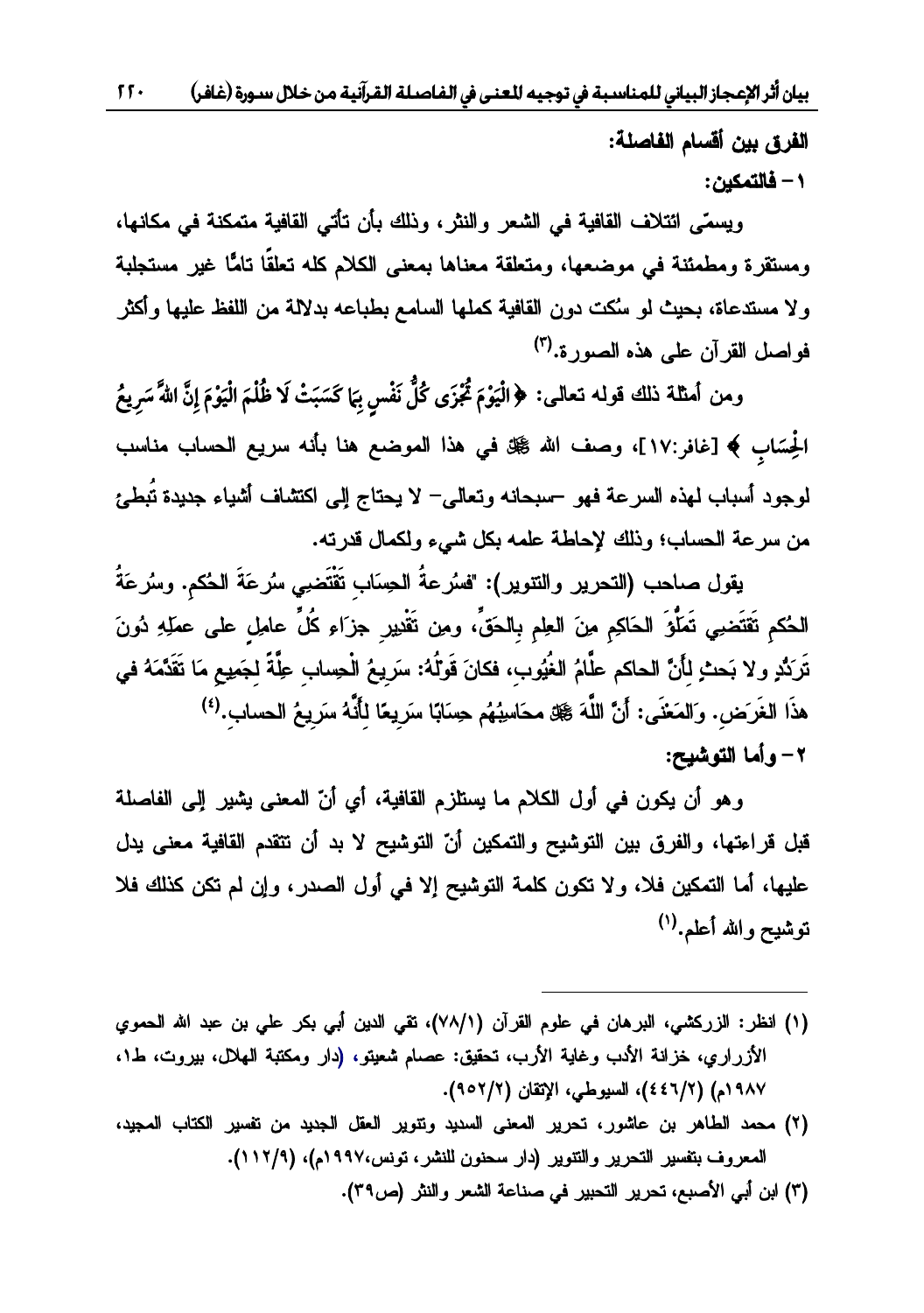الفرق بين أقسام الفاصلة:

 **ƇƒƂƆřƃœż -١**

ويسمّى ائتلاف القافية في الشعر والنثر ، وذلك بأن تأتي القافية متمكنة في مكانها، ومستقرة ومطمئنة فى موضعها، ومتعلقة معناها بمعنى الكلام كله تعلقًا تامًّا غير مستجلبة ولا مستدعاة، بحيث لو سُكت دون القافية كملها السامع بطباعه بدلالة من اللفظ عليها وأكثر فو اصل القرآن على هذه الصور ة.<sup>(٣)</sup>

ومن أمثلة ذلك قوله تعالى: ﴿الْيَوْمَ ثُجّْزَى كُلِّ نَفْس بِمَا كَسَبَتْ لَا ظُلْمَ الْيَوْمَ إِنَّ اللّ*ا*ّ سَرِيعُ **ó÷góó÷**الْحِسَابِ ﴾ [غافر:١٧]، وصف الله ﷺ في هذا الموضع هنا بأنه سريع الحساب مناسب لوجود أسباب لمهذه السرعة فهو –سبحانه وتعالى– لا يحتاج إلى اكتشاف أشياء جديدة تُبطئ<br>من سرعة الحساب؛ وذلك لإحاطة علمه بكل شيرء ولكمال قدرته.

يقول صاحب (التجرير والتوبر ): "فسُر عةُ الجسَاب تَقْتَضِي سُرِ عَةٌ الحُكم، وسُرِ عَةُ الْحُكم تَقْتَضِي تَمَلُّهُ الْحَاكِمِ مِنَ الْعِلْمِ بِالْحَقِّ، ومِن تَقْدِرِ جِزَاءِ كُلِّ عِلْمِلْ عِلَى عِمَلِهِ دُونَ تَرَ دُّد و لا يَحِبْ لِأَنَّ الحاكم علَّامُ الغُوُ بِ، فكانَ قَوْلُهُ: سَرَ بِعُ الْجِسابِ عِلَّةً لِجَمِيعِ مَا تَقَدَّمَهُ فِي هذَا الغَر<sup>َ</sup>ض. وَالمَعْنَى: أَنَّ اللَّهَ ﷺ محَاسِبُهُم حِسَابًا سَرَ يعًا لِمَأَنَّهُ سَرَ يـمُ الـحساب.<sup>(٤)</sup>  **ŠƒŬƍřƃŒœƆŊƍ -٢**

وهو أن يكون في أول الكلام ما يستلزم القافية، أي أنّ المعنى يشير إلى الفاصلة قبل قراءتها، والفرق بين التوشيح والتمكين أنّ التوشيح لا بد أن تتقدم القافية معنى يدل عليها، أما التمكين فلا، ولا تكون كلمة التوشيح إلا في أول الصدر، وإن لم تكن كذلك فلا توشيح والله أعلم.<sup>(١)</sup>

- (١) انظر: الزركشي، البرهان في علوم القرآن (٧٨/١)، تقي الدين أبي بكر علي بن عبد الله الحموي الأزراري، خزانة الأنب وغاية الأرب، تحقيق: عصام شعيتو، (دار ومكتبة الهلال، بيروت، ط١، ٩٨٧م) (٢/٢٤٤)، السيوطي، الإتقان (٢/٢٥٩).
- (٢) محمد الطاهر بن عاشور، تحرير المعنى السديد وتتوير العقل الجديد من نفسير الكتاب المجيد، المعروف بتفسير التحرير والتنوير (دار سحنون للنشر، تونس،١٩٩٧م)، (١١٢/٩).

من أبي الأصبع، تحرير التحبير في صناعة الشعر والنثر (ص٣٩).

 $\overline{\phantom{a}}$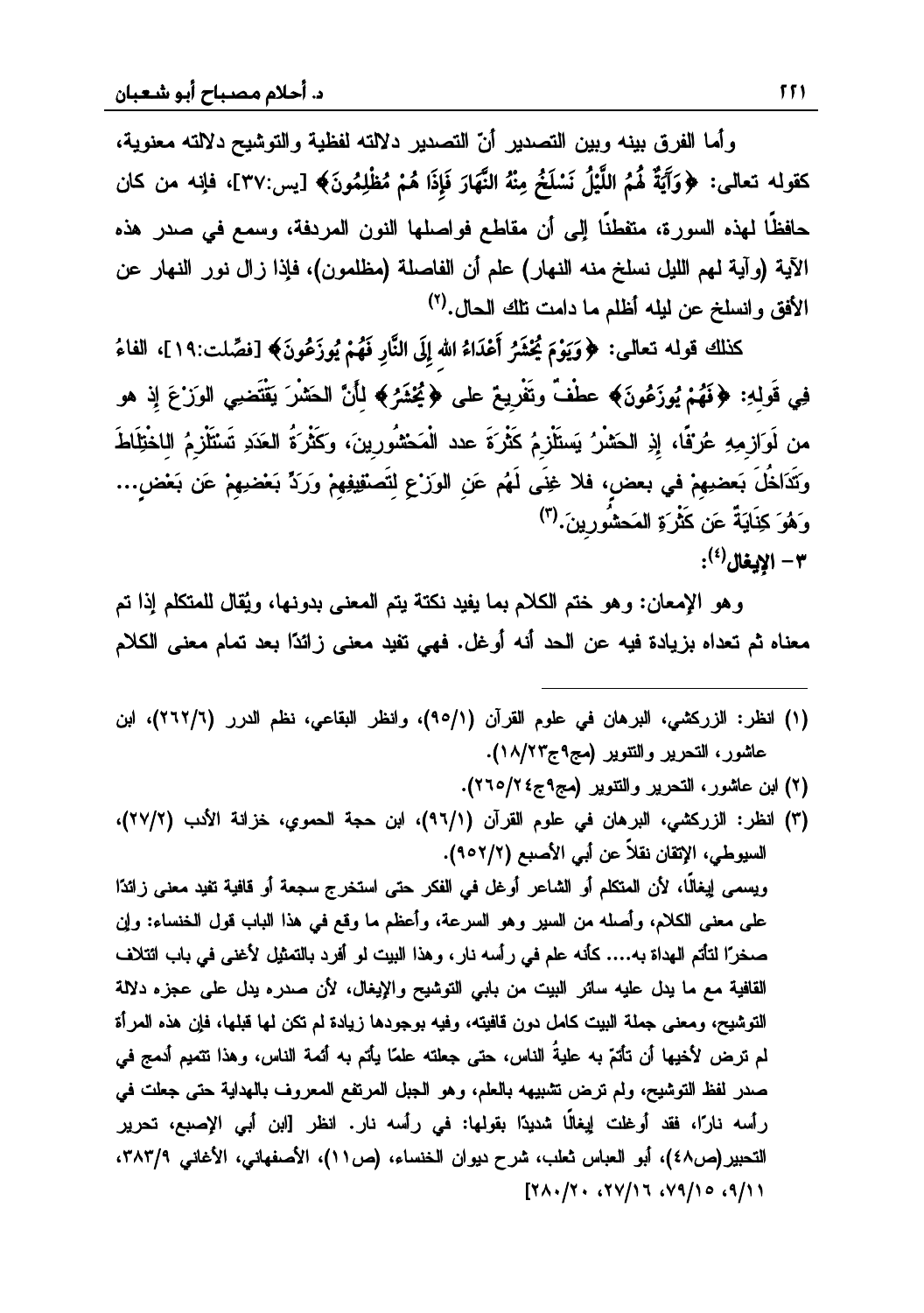وأما الفرق بينه وبين التصنيل أنّ التصدير دلالته لفظية والتوشيح دلالته معنوية، تِّ حَقولِه تعالى: ﴿وَآَيَةٌ لَهُمُ اللَّيْلُ نَسْلَخُ مِنْهُ النَّهَارَ فَإِذَا هُمْ مُظْلِمُونَ﴾ [يس:٣٧]، فإنه من كان .<br>ق **÷õ÷÷**حافظًا لهذه السور ة، متفطنًا البر أن مقاطع فواصلها النون المردفة، وسمع في صدر هذه الآية (وآية لمهم الليل نسلخ منه النهار) علم أن الفاصلة (مظلمون)، فإذا زال نور النهار عن الأفق وانسلخ عن ليله أظلم ما دامت نلك الحال.<sup>(٢)</sup>

**ëó KôÛó wô fôQó** ] :ƑƅŕŸśƌƅƏƁƃƅŨƄ **õÚm¬eTÐNó Îõ āÐ ôÊÐzóK÷ <sup>ó</sup> Ì ôOó ÷²ô óê ó** ą'nŕſƅŔ{١٩:ِّصلت ف ] {**wíó ÷õ÷**فِي قَولِهِ: ﴿فَهُمْ يُوزَعُونَ﴾ عطْفٌ وتَفْرِيعٌ على ﴿يُخْشَرُ﴾ لِأَنَّ الحَشْر<sup>َ</sup> يَقْتَضِي الوَزْعَ إِذ هو **÷÷**من لَوَاز مه عُرْفًا، إذ الْحَشْرُ يَستَلْزِمُ كَثْرُ ةَ عدد الْمَحْشُورِ بنَ، وكَثْرِ ةَ الْعَدَدِ تَسْتَلْزِمُ اللخْتَلَاطَ وتَدَلخُلَ يَعضيهمْ في يعض، فلا غِنَى لَهُم عَنِ الوَرْعِ لِتَصْنُفِيْهِمْ وَرَدٍّ يَعْضِيهِمْ عَنِ يَعْضِ،.. وَ هُوَ كَذَابَةٌ عَن كَثْرَ وَ الْمَحِشُو رينَ. <sup>(٣)</sup> **¾œźƒƗŒ -٣** (٤) :

وهو الإمعان: وهو ختم الكلام بما يفيد نكتة بيتم المعنى بدونها، ويُقال للمتكلم إذا تم معناه ثم تعداه بزيادة فيه عن الحد أنه أوغل. فهي تفيد معنى زائدًا بعد تمام معنى الكلام

- (۱) انظر: الزركشي، البرهان في علوم القرآن (٩٥/١)، وانظر البقاعي، نظم الدرر (٢٦٢/٦)، ابن عاشور، التحرير والتتوير (مج۹ج۱۸/۲۳).
	- (٢) ابن عاشور، التحرير والتتوير (مج٩ج٤ ٢٦٥/٢).

 $\overline{\phantom{a}}$ 

(٣) انظر: الزركشي، البرهان في علوم القرآن (٩٦/١)، ابن حجة الحموي، خزانة الأنب (٢٧/٢)، السيوطي، الإتقان نقلاً عن أبي الأصبع (٢/٢٥٢). ويسمى لِيغالًا، لأن المنكلم أو الشاعر أوغل في الفكر حتى استخرج سجعة أو قافية تفيد معنى زائدًا على معنى الكلام، وأصله من السير وهو السرعة، وأعظم ما وقع في هذا الباب قول الخنساء: وإن صنخرًا لتأتم الهداة به.... كأنه علم في رأسه نار، وهذا البيت لو أفرد بالتمثيل لأغني في باب ائتلاف القافية مع ما يدل عليه سائر البيت من بابي التوشيح والإيغال، لأن صدره يدل على عجزه دلالة التوشيح، ومعنى جملة البيت كامل دون قافيته، وفيه بوجودها زيادة لم تكن لمها قبلها، فإن هذه المرأة لم نترض لأخيها أن تأتمّ به عليةُ الناس، حتى جعلته علمًا يأتم به أئمة الناس، وهذا نتميم أدمج في صدر لفظ التوشيح، ولم ترض تشبيهه بالعلم، وهو الـجبل المرتفع المعروف بالمهداية حتى جعلت في رأسه نارًا، فقد أوغلت إيغالًا شديدًا بقولها: في رأسه نار. انظر [ابن أبي الإصبع، تحرير التحبير(ص٤٨)، أبو العباس ثعلب، شرح ديوان الخنساء، (ص١١)، الأصفهاني، الأغاني ٣٨٣/٩، [٢٨٠/٢٠٢٧/١٦٧٩/١٥٩/١١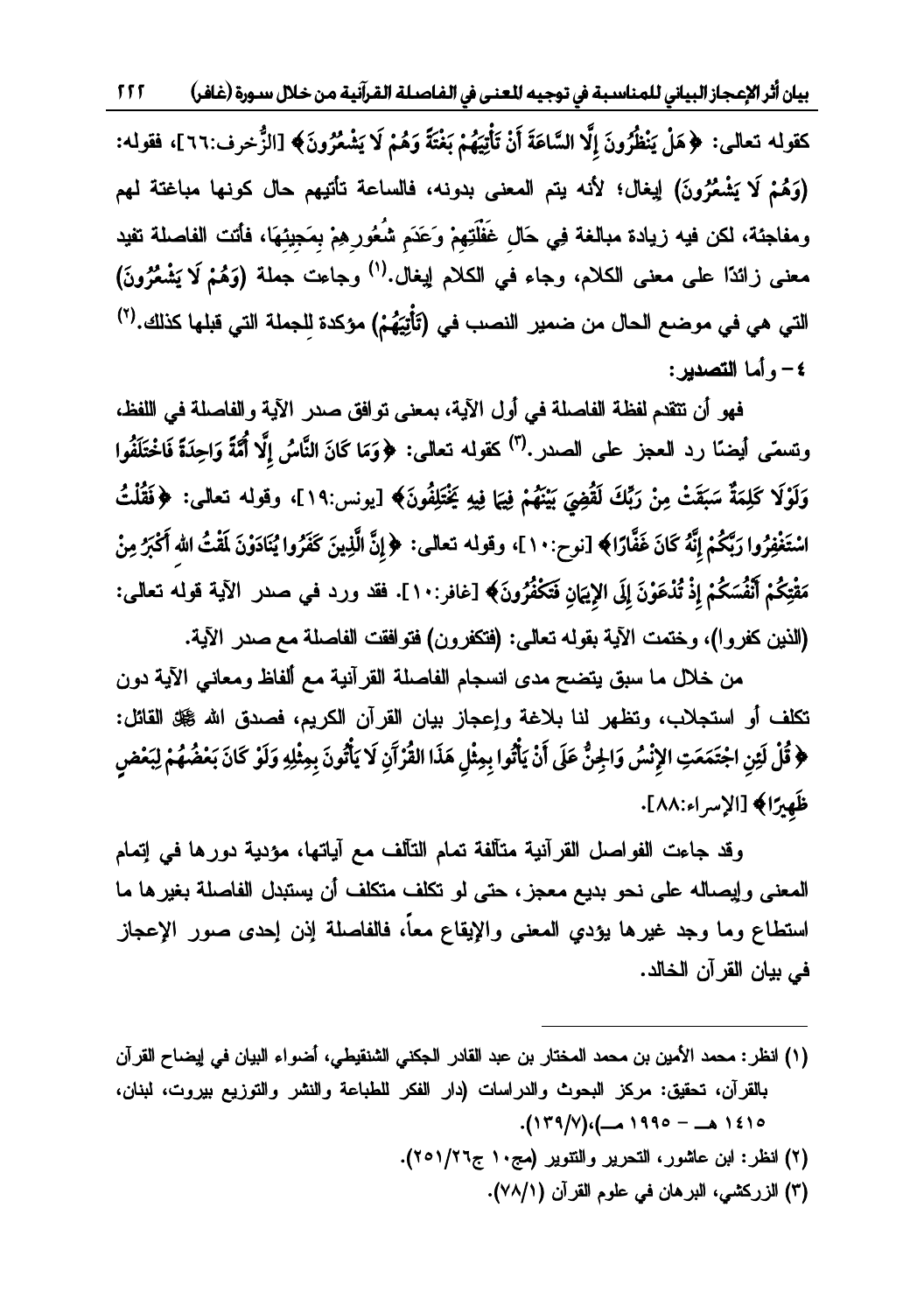بيان أثر الإعجاز البياني للمناسبة في توجيه للعنى في الفاصلة القرآنية من خلال سـورة (غافر)  $555$ 

كقوله تعالى: ﴿هَلْ يَنْظُرُونَ إِلَّا السَّاعَةَ أَنْ تَأْتِيَهُمْ بَغْتَةً وَهُمْ لَا يَشْعُرُونَ﴾ [الزُّخرف:٦٦]، فقوله: (وَهُمْ لَا يَشْعُرُونَ) لِيغال؛ لأنه يتم المعنى بدونه، فالساعة تأتيهم حال كونها مباغتة لهم ومفاجئة، لكن فيه زيادة مبالغة فِي حَالِ غَفْلَتِهِمْ وَعَدَم شُعُورِ هِمْ بِمَجِيئِهَا، فأتت الفاصلة تفيد معنى زائدًا على معنى الكلام، وجاء في الكلام لِيغال.<sup>(١)</sup> وجاعت جملة (وَهُمْ لَا يَشْعُرُونَ) التي هي في موضـع الحال من ضمير النصب في (تَأْتِيَهُمْ) مؤكدة لِلجملة التي قبلها كذلك.(٢) ٤- وأما التصدير:

فهو أن تتقدم لفظة الفاصلة في أول الآية، بمعنى توافق صدر الآية والفاصلة في اللفظ، ونسمَّى أيضًا رد العجز على الصدر .<sup>(٣)</sup> كقوله تعالى: ﴿وَمَا كَانَ النَّاسُ إِلَّا أُمَّةً وَاحِدَةً فَاخْتَلَفُوا وَلَوْلَا كَلِمَةٌ سَبَقَتْ مِنْ رَبِّكَ لَقُضِيَ بَيْنَهُمْ فِيهَا فِيهِ يَخْتَلِفُونَ﴾ [يونس:١٩]، وقوله تعالى: ﴿فَقُلْتُ اسْتَغْفِرُوا رَبَّكُمْ إِنَّهُ كَانَ غَفَّارًا﴾ [نوح:١٠]، وقوله تعالى: ﴿إِنَّ الَّذِينَ كَفَرُوا يُنَادَوْنَ لَقْتُ الله أَكْبَرُ مِنْ مَقْتِكُمْ أَنْفُسَكُمْ إِذْ تُذْعَوْنَ إِلَى الإِيَمَانِ فَتَكْفُرُونَ﴾ [غافر:١٠]. فقد ورد في صدر الآية قوله تعالى: (النين كفروا)، وختمت الآية بقوله تعالى: (فتكفرون) فتوافقت الفاصلة مع صدر الآية.

من خلال ما سبق يتضح مدى انسجام الفاصلة القرآنية مع ألفاظ ومعاني الآية دون تكلف أو استجلاب، وتظهر لنا بلاغة وإعجاز بيان القرآن الكريم، فصدق الله ﷺ القائل: ﴿ قُلْ لَئِنِ اجْتَمَعَتِ الإِنْسُ وَالْجِنُّ عَلَى أَنْ يَأْتُوا بِمِثْلِ هَذَا القُرْآَنِ لَا يَأْتُونَ بِمِثْلِهِ وَلَوْ كَانَ بَعْضُهُمْ لِبَعْضٍ ظَهِيرًا﴾ [الإسراء:٨٨].

وقد جاءت الفواصل القرآنية متآلفة تمام التآلف مع آياتها، مؤدية دورها في إتمام المعنى وإيصاله على نحو بديع معجز، حتى لو تكلف متكلف أن يستبدل الفاصلة بغيرها ما استطاع وما وجد غيرها يؤدي المعنى والإيقاع معاً، فالفاصلة إذن إحدى صور الإعجاز في بيان القرآن الخالد.

- (١) انظر : محمد الأمين بن محمد المختار بن عبد القادر الجكنى الشنقيطي، أضواء البيان في إيضاح القرآن بالقرآن، تحقيق: مركز البحوث والدراسات (دار الفكر للطباعة والنشر والتوزيع بيروت، لبنان، 1210 هـ - ۱۹۹۰ مـ)، (۱۳۹/۷).
	- (٢) انظر: ابن عاشور، التحرير والتنوير (مج١٠ ج٢٥١/٢٥١).
		- (٣) الزركشي، البرهان في علوم القرآن (٧٨/١).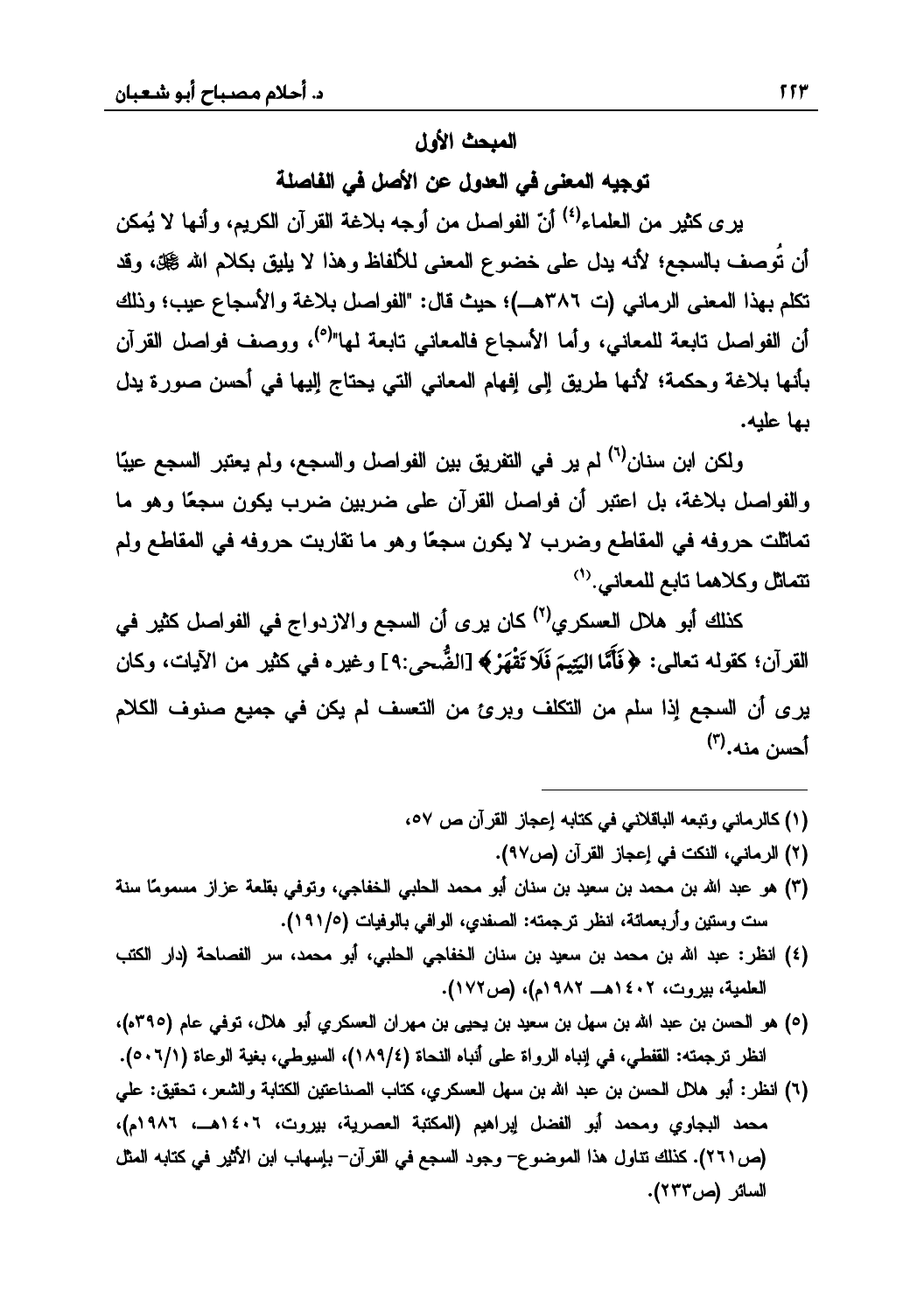# المبحث الأول

توجيه المعنى في العدول عن الأصل في الفاصلة

ير ي كثير من العلماء<sup>(٤)</sup> أنّ الفواصل من أوجه بلاغة القرآن الكريم، وأنها لا يُمكن أن تُوصف بالسجع؛ لأنه يدل على خضوع المعنى للألفاظ وهذا لا يليق بكلام الله ﷺ، وقد تكلَّم بهذا المعنى الرماني (ت ٣٨٦هـ)؛ حيث قال: "الفواصل بلاغة والأسجاع عيب؛ وذلك أن الفواصل تابعة للمعانى، وأما الأسجاع فالمعانى تابعة لمها"<sup>(٥)</sup>، ووصف فواصل القرآن بأنها بلاغة وحكمة؛ لأنها طريق إلى إفهام المعاني التي يحتاج إليها في أحسن صورة يدل بها عليه.

ولكن ابن سنان<sup>(٦)</sup> لم ير في التفريق بين الفواصل والسجع، ولم يعتبر السجع عيبًا والفواصل بلاغة، بل اعتبر أن فواصل القرآن على ضربين ضرب يكون سجعًا وهو ما تماثلت حروفه في المقاطع وضرب لا يكون سجعًا وهو ما نقاربت حروفه في المقاطع ولم تتماثل وكلاهما تابع للمعاني.<sup>(١)</sup>

كذلك أبو هلال العسكري<sup>(٢)</sup> كان يرى أن السجع والازدواج في الفواصل كثير في القرآن؛ كقوله تعالى: ﴿فَأَمَّا اليَتِيمَ فَلَا تَقْهَرْ﴾ [الضُّحى:٩] وغيره في كثير من الآيات، وكان يرى أن السجع إذا سلم من التكلف وبرئ من التعسف لم يكن في جميع صنوف الكلام أحسن منه.(۳)

- (١) كالرماني وتبعه الباقلاني في كتابه إعجاز القرآن ص ٥٧،
	- (٢) الرماني، النكت في إعجاز القرآن (ص٩٧).
- (٣) هو عبد الله بن محمد بن سعيد بن سنان أبو محمد الحلبي الخفاجي، وتوفَّى بقلعة عزاز مسمومًا سنة ست وستين وأربعمائة، انظر ترجمته: الصفدي، الوافي بالوفيات (١٩١/٥).
- (٤) انظر: عبد الله بن محمد بن سعيد بن سنان الخفاجي الحلبي، أبو محمد، سر الفصاحة (دار الكتب العلمية، بيروت، ١٤٠٢هــ ١٩٨٢م)، (ص١٧٢).
- (٥) هو الحسن بن عبد الله بن سهل بن سعيد بن يحيى بن مهران العسكري أبو هلال، توفي عام (٣٩٥ه)، انظر ترجمته: القفطي، في إنباه الرواة على أنباه النحاة (١٨٩/٤)، السيوطي، بغية الوعاة (١/٦٠١).
- (٦) انظر: أبو هلال الحسن بن عبد الله بن سهل العسكري، كتاب الصناعتين الكتابة والشعر، تحقيق: علمي محمد البجاوي ومحمد أبو الفضل إيراهيم (المكتبة العصرية، بيروت، ١٤٠٦هــ، ١٩٨٦م)، (ص ٢٦١). كذلك تناول هذا الموضوع- وجود السجع في القرآن- بإسهاب ابن الأثير في كتابه المثل السائر (ص٢٣٢).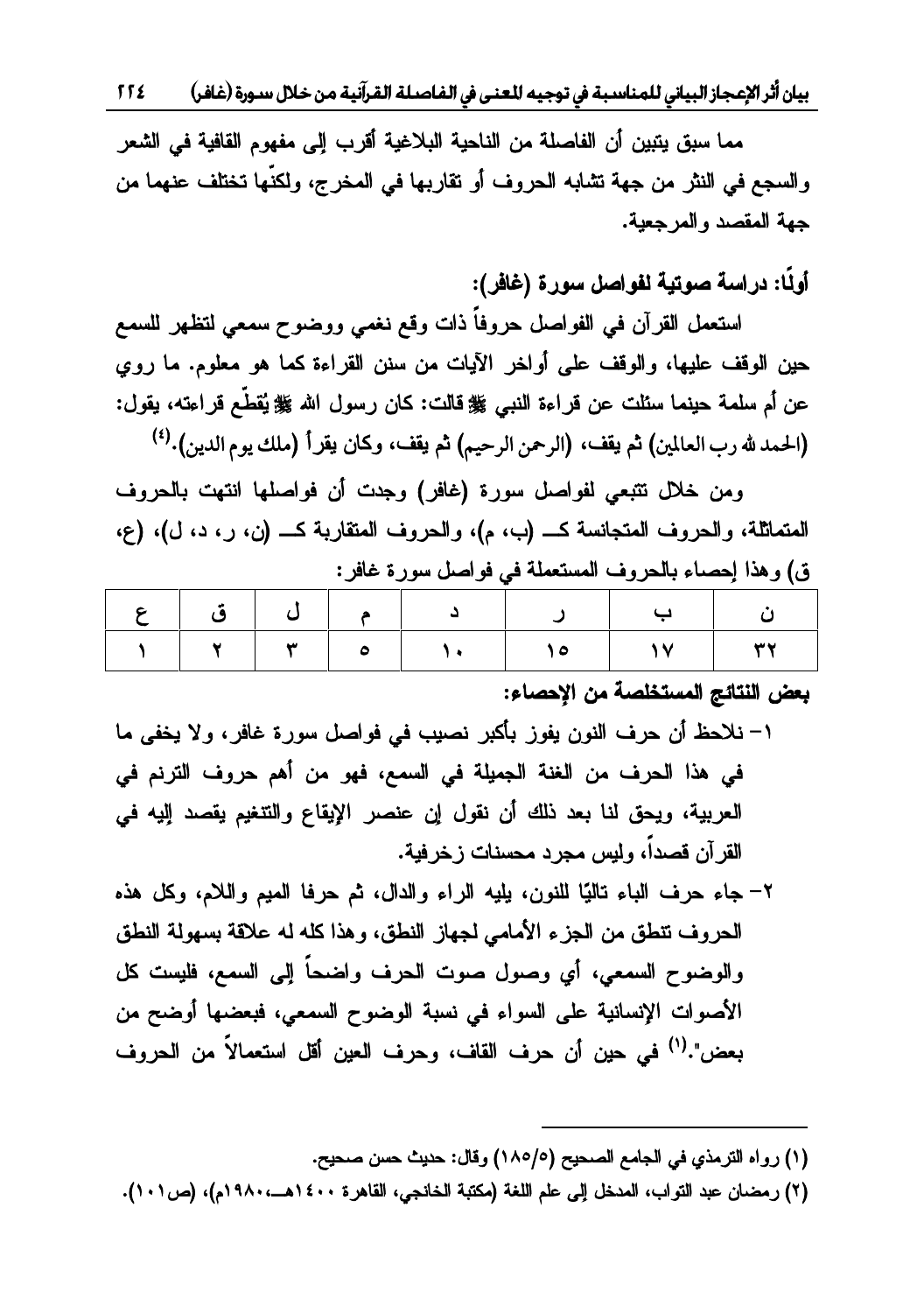بيان أثر الإعجاز البياني للمناسبة في توجيه للعنى في الفاصلة القرآنية من خلال سورة (غافر) 11٤

مما سبق يتبين أن الفاصلة من الناحية البلاغية أقرب إلى مفهوم القافية في الشعر و السجع في النثر. من حهة تشابه الحروف أو تقاريها في المخرج، ولكنَّها تختلف عنهما من جهة المقصد والمرجعية.

أولًا: دراسة صوتية لفواصل سورة (غافر):

استعمل القرآن في الفواصل حروفاً ذات وقع نغمي ووضوح سمعي لتظهر للسمع حين الوقف عليها، والوقف على أواخر الآيات من سنن القراءة كما هو معلوم. ما روى عن أم سلمة حينما سئلت عن قر اءة النبي ﷺ قالت: كان ر سول الله ﷺ يُقطِّع قر اعته، يقول: (الحمد لله رب العالمين) ثم يقف، (الرحمن الرحيم) ثم يقف، وكان يقرأ (ملك يوم الدين).<sup>(٤)</sup><br>ومن خلال تتتعي لفو اصل سورة (غافر ) وحدت أن فو اصلها انتهت بالحروف

ŵ¿ŧũƉ»ƄřŗũŕƂśƈƅŔŽƏũţƅŔƏƇŖ»ƄřŬƊ੶ƈƅŔŽƏũţƅŔƏřƆŝŕƈśƈƅŔ ũžŕŻŘũƏŬ¿ŰŔƏžƓžřƆƈŸśŬƈƅŔŽƏũţƅŕŗ'nŕŰţŏŔŨƍƏƀ

| م إلى إ ق إ |                              | ا د                                            |        |  |              |
|-------------|------------------------------|------------------------------------------------|--------|--|--------------|
|             | $\vert \tau \vert$ o $\vert$ | $\mathbf{A}$ and $\mathbf{A}$ and $\mathbf{A}$ | $\sim$ |  | $\mathbf{r}$ |
|             |                              |                                                |        |  |              |

#### **بعض النتائج المستخلصة من الإحصاء:**

- ۰١ نلاحظ أن حرف النون يفوز بأكبر نصيب في فواصل سورة غافر، ولا يخفي ما في هذا الحرف من الغنة الجميلة في السمع، فهو من أهم حروف الترنم في العربية، ويحق لنا بعد ذلك أن نقول إن عنصر الإيقاع والتتغيم يقصد إليه في القرآن قصداً، وليس مجرد محسنات زخرفية.
- ×− جاء حرف الباء تاليًا للنون، بليه الراء والدال، ثم حرفا الميم واللام، وكل هذه الحروف نتطق من الجزء الأمامي لجهاز النطق، وهذا كله له علاقة بسهولة النطق والوضوح السمعي، أي وصول صوت الحرف واضحاً إلى السمع، فليست كل الأصوات الإنسانية على السواء في نسبة الوضوح السمعي، فبعضها أوضح من يعض".<sup>(١)</sup> في حين أن حرف القاف، وحرف العين أقل استعمالاً من الحروف

 (١) رواه الترمذي في الجامع الصحيح (١٨٥/٥) وقال: حديث حسن صحيح.

<sup>(</sup>٢) رمضان عبد التواب، المدخل إلى علم اللغة (مكتبة الخانجي، القاهرة ٤٠٠هـ، ١٩٨٠م)، (ص١٠١).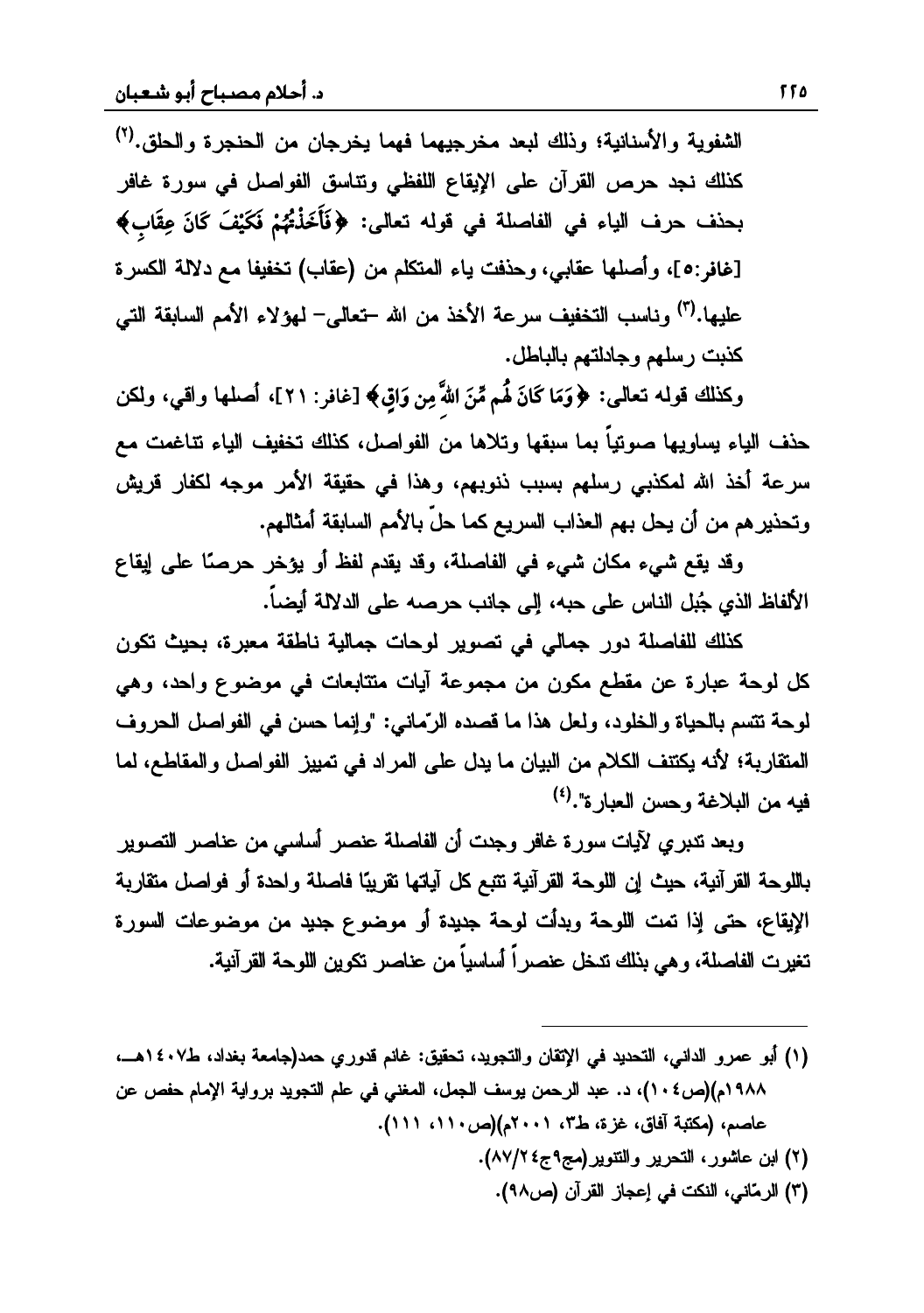الشفوية والأسنانية؛ وذلك لبعد مخرجيهما فهما يخرجان من الحنجرة والحلق.<sup>(٢)</sup> كذلك نجد حرص القرآن على الإيقاع اللفظي ونتاسق الفواصل في سورة غافر  $\overline{a}$  **]** ƑƅŕŸś ƌƅƏƁ ƓžřƆŰŕſƅŔ Ɠž 'nŕƔƅŔ Žũţ ŽŨţŗ **Ñõ maó õK ëómSó ó gbó Qó ô\*{÷Aó [ iQó ÷÷ó**ŘũŬƄƅŔřƅƛŧŶƈŕſƔſŦś(ŖŕƂŷ)ƉƈƇƆƄśƈƅŔ'nŕƔŚžŨţƏƓŗŕƂŷŕƎƆŰŌƏ**{٥:غافر{** عليها.<sup>(٣)</sup> وناسب التخفيف سرعة الأخذ من الله –تعالير– لمو لاء الأمم السابقة التير كذبت رسلهم وجادلتهم بالباطل.

 $\overline{\phantom{a}}$ خُ<br>وكذلك قوله تعالى: ﴿وَمَا كَانَ لَهُم مِّنَ اللهَّ مِن وَاق﴾ [غافر : ٢١]، أصلها واقى، ولكن حذف الياء يساويها صوتياً بما سبقها وتلاها من الفواصل، كذلك تخفيف الياء تناغمت مع سرعة أخذ الله لمكذبي رسلهم بسبب ذنوبهم، وهذا في حقيقة الأمر موجه لكفار قريش وتحذير هم من أن يحل بهم العذاب السريع كما حلّ بالأمم السابقة أمثالهم.

وقد يقع شيء مكان شيء في الفاصلة، وقد يقدم لفظ أو يؤخر حرصًا على إيقاع الألفاظ الذي حُيل الناس على حيه، الى حانب حرصيه على الدلالة أيضياً.

كذلك للفاصلة دور جمالي في تصوير لوحات جمالية ناطقة معبرة، بحيث تكون كل لوحة عبارة عن مقطع مكون من مجموعة آيات متتابعات في موضوع واحد، وهي لوحة تتسم بالحياة والخلود، ولعل هذا ما قصده الرّماني: "وإنما حسن في الفواصل الحروف المتقاربة؛ لأنه يكتنف الكلام من البيان ما يدل على المراد في تمييز الفواصل والمقاطع، لما فيه من البلاغة وحسن العبار ة".<sup>(٤)</sup>

وبعد تدبري لآيات سورة غافر وجدت أن الفاصلة عنصر أساسي من عناصر التصوير باللوحة القرآنية، حيث إن اللوحة القرآنية تتبع كل آياتها نقريبًا فاصلة واحدة أو فواصل متقاربة الإيقاع، حتى إذا تعت اللوحة وبدأت لوحة جديدة أو موضوع جديد من موضوعات السورة<br>تغيرت الفاصلة، وهي بذلك تدخل عنصراً أساسياً من عناصر تكوين اللوحة القرآنية.

- (۱) أبو عمرو الدانبي، التحديد في الإتقان والتجويد، تحقيق: غانم قدوري حمد(جامعة بغداد، ط٤٠٧هـــــ، ٩٨٩م)(ص١٠٤)، د. عبد الرحمن يوسف الجمل، المغني في علم التجويد برواية الإمام حفص عن عاصم، (مكتبة أفاق، غزة، ط٣، ٢٠٠١م)(ص١١٠ ١١١).
	- (٢) ابن عاشور، التحرير والتنوير(مج٩ج٤ ٨٧/٢).

(٣) الرمّاني، النكت في إعجاز القرآن (ص٩٨).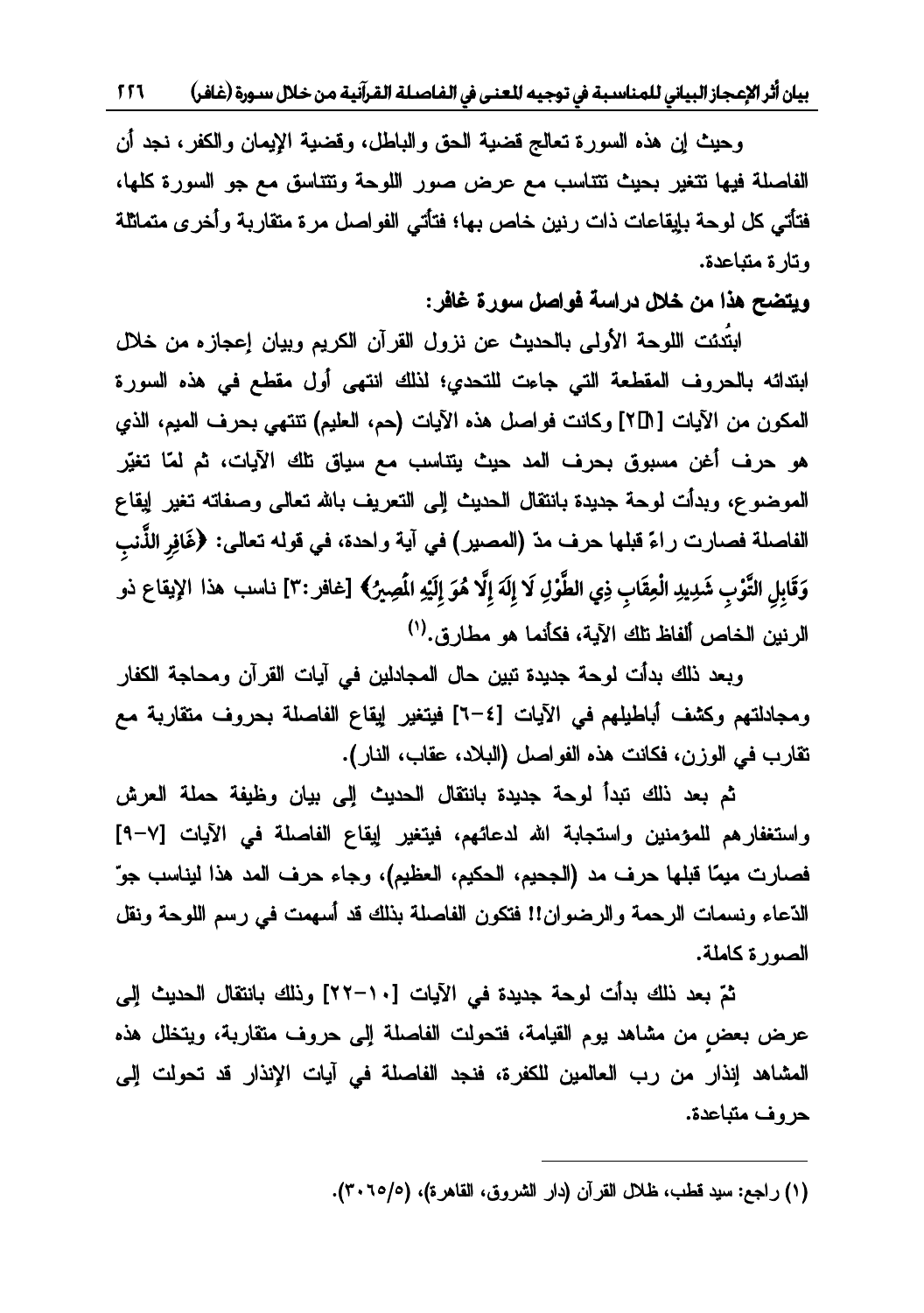بيان أثر الإعجاز البياني للمناسبة في توجيه للعنى في الفاصلة القرآنية من خلال سـورة (غافـر) 11 1

وحيث إن هذه السورة تعالج قضية الحق والباطل، وقضية الإيمان والكفر، نجد أن الفاصلة فيها تتغير بحيث تتتاسب مع عرض صور اللوحة وتتتاسق مع جو السورة كلها، فتأتي كل لوحة بإيقاعات ذات رنين خاص بها؛ فتأتي الفواصل مرة متقاربة وأخرى متماثلة<br>وتارة متباعدة.

و**يتضح هذا من خلال دراسة فواصل سورة غافر**:

انتُدِئتِ اللوحةِ الأولى بالحديثِ عن نزول القرآن الكريم وبيان اعجاز ه من خلال ابتدائه بالحروف المقطعة التبي جاءت للتحدي؛ لذلك انتهى أول مقطع في هذه السورة المكون من الآيات [1D°] وكانت فواصل هذه الآيات (حم، العليم) تتتهي بحرف المعيم، الذي هو حرف أغن مسبوق بحرف المد حيث يتناسب مع سياق نلك الآيات، ثم لمّا تغيّر الموضوع، وبدأت لوحة جديدة بانتقال الحديث إلى التعريف بالله تعالى وصفاته تغير إيقاع ِّ حَبَّ حَبَّ عَنْ مَسَّلَمَ مِنْ مَسَّلَمَ مِنْ الْمُصِيرِ ) في آية و لحدة، في قوله تعالى: ﴿غَافِرِ الذَّنبِ<br>الفاصلة فصارت ر اءً قبلها حرف مدّ (المصبر ) في آية و لحدة، في قوله تعالى: ﴿غَافِرِ الذَّنبِ وَقَابِلِ التَّوْبِ شَدِيدِ الْعِقَابِ ذِي الطَّوْلِ لَا إِلَهَ إِلَّا هُوَ إِلَيْهِ الْمَصِيرُ﴾ [غافر :٣] نـاسب هذا الإيقاع ذو **÷õõõ÷**الرنين الخاص ألفاظ تلك الآية، فكأنما هو مطارق.<sup>(י)</sup>

وبعد ذلك بدأت لوحة جديدة تبين حال المجادلين في آيات القرآن ومحاجة الكفار ومجادلتهم وكشف أباطيلهم فى الآيات [٤=٦] فيتغير إيقاع الفاصلة بحروف متقاربة مع تقارب في الوزن، فكانت هذه الفواصل (البلاد، عقاب، النار).

ثم بعد ذلك تبدأ لوحة جديدة بانتقال الحديث إلى بيان وظيفة حملة العرش واستغفارهم للمؤمنين واستجابة الله لدعائهم، فيتغير إيقاع الفاصلة في الآيات [٧-٩] فصارت ميمًا قبلها حرف مد (الجحيم، الحكيم، العظيم)، وجاء حرف المد هذا ليناسب جوّ الدّعاء ونسمات الرحمة والرضوان!! فتكون الفاصلة بذلك قد أسهمت في رسم اللوحة ونقل<br>الصورة كاملة.

ثمّ بعد ذلك بدأت لوجة جدبدة في الآيات [١٠-٢٢] وذلك بانتقال الجديث الي عرض بعض من مشاهد يوم القيامة، فتحولت الفاصلة إلى حروف متقاربة، ويتخلل هذه المشاهد إنذار من رب العالمين للكفرة، فنجد الفاصلة في آيات الإنذار قد تحولت إلى<br>حروف متباعدة.

 $\overline{\phantom{a}}$ 

<sup>(</sup>١) راجع: سيد قطب، ظلال القرآن (دار الشروق، القاهرة)، (٢٠٦٥/٥).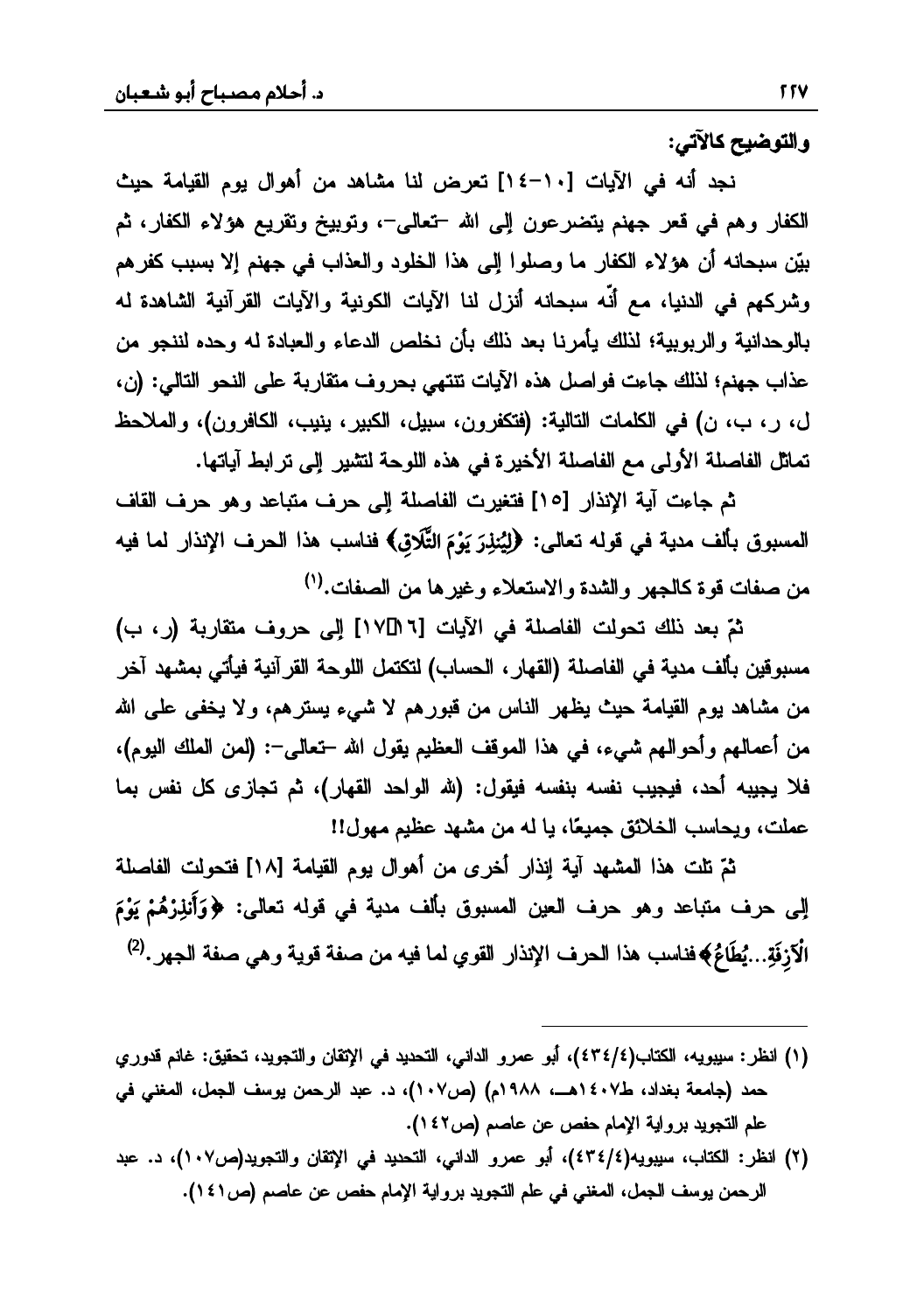والتوضيح كالآتي:

نجد أنه في الآيات [١٠-١٤] تعرض لنا مشاهد من أهوال يوم القيامة حيث الكفار وهم في قعر جهنم يتضرعون إلى الله –تعالى–، وتوبيخ وتقريع هؤلاء الكفار، ثم بيِّن سبحانه أن هؤلاء الكفار ما وصلوا إلى هذا الخلود والعذاب في جهنم إلا بسبب كفرهم وشركهم في الدنيا، مع أنَّه سبحانه أنزل لنا الآيات الكونية والآيات القرآنية الشاهدة له بالوحدانية والربوبية؛ لذلك يأمرنا بعد ذلك بأن نخلص الدعاء والعبادة له وحده لننجو من عذاب جهنم؛ لذلك جاءت فواصل هذه الآيات تتتهى بحروف متقاربة على النحو التالي: (ن، ل، ر، ب، ن) في الكلمات التالية: (فتكفرون، سبيل، الكبير، ينيب، الكافرون)، والملاحظ تماثل الفاصلة الأولى مع الفاصلة الأخيرة في هذه اللوحة لتشير إلى ترابط آياتها.

ثم جاءت آية الإنذار [١٥] فتغيرت الفاصلة إلى حرف متباعد وهو حرف القاف المسبوق بألف مدية في قوله تعالى: ﴿لِيُنلِرَ يَوْمَ التَّلَاقِ﴾ فناسب هذا الحرف الإنذار لما فيه من صفات قوة كالجهر والشدة والاستعلاء وغيرها من الصفات.<sup>(١)</sup>

ثمّ بعد ذلك تحولت الفاصلة في الآيات [٦ ٢]١٧] إلى حروف متقاربة (ر، ب) مسبوقين بألف مدية في الفاصلة (القهار ، الحساب) لتكتمل اللوحة القرآنية فيأتي بمشهد آخر من مشاهد يوم القيامة حيث يظهر الناس من قبورهم لا شيء يسترهم، ولا يخفي على الله من أعمالهم وأحوالهم شيء، في هذا الموقف العظيم يقول الله –تعالى–: (لمن الملك اليوم)، فلا يجيبه أحد، فيجيب نفسه بنفسه فيقول: (لله الواحد القهار)، ثم تجازى كل نفس بما عملت، ويحاسب الخلائق جميعًا، يا له من مشهد عظيم مهول!!

ثمّ تلت هذا المشهد آية إنذار أخرى من أهوال يوم القيامة [١٨] فتحولت الفاصلة الِي حرف متباعد وهو حرف العين المسبوق بألف مدية في قوله تعالى: ﴿وَأَنذِرْهُمْ يَوْمَ الْآزِفَةِ...يُطَاعُ﴾فناسب هذا الحرف الإنذار القوي لما فيه من صفة قوية وهي صفة الجهر .<sup>(2)</sup>

- (١) انظر: سيبويه، الكتاب(٤٣٤/٤)، أبو عمرو الداني، التحديد في الإتقان والتجويد، تحقيق: غانم قدوري حمد (جامعة بغداد، ط٤٠٧هـــ، ١٩٨٨م) (ص١٠٧)، د. عبد الرحمن يوسف الجمل، المغني في علم التجويد برواية الإمام حفص عن عاصم (ص٢٤٢).
- (٢) انظر: الكتاب، سيبويه(٤٣٤/٤)، أبو عمرو الداني، التحديد في الإتقان والتجويد(ص١٠٧)، د. عبد الرحمن يوسف الجمل، المغنى في علم التجويد برواية الإمام حفص عن عاصم (ص١٤١).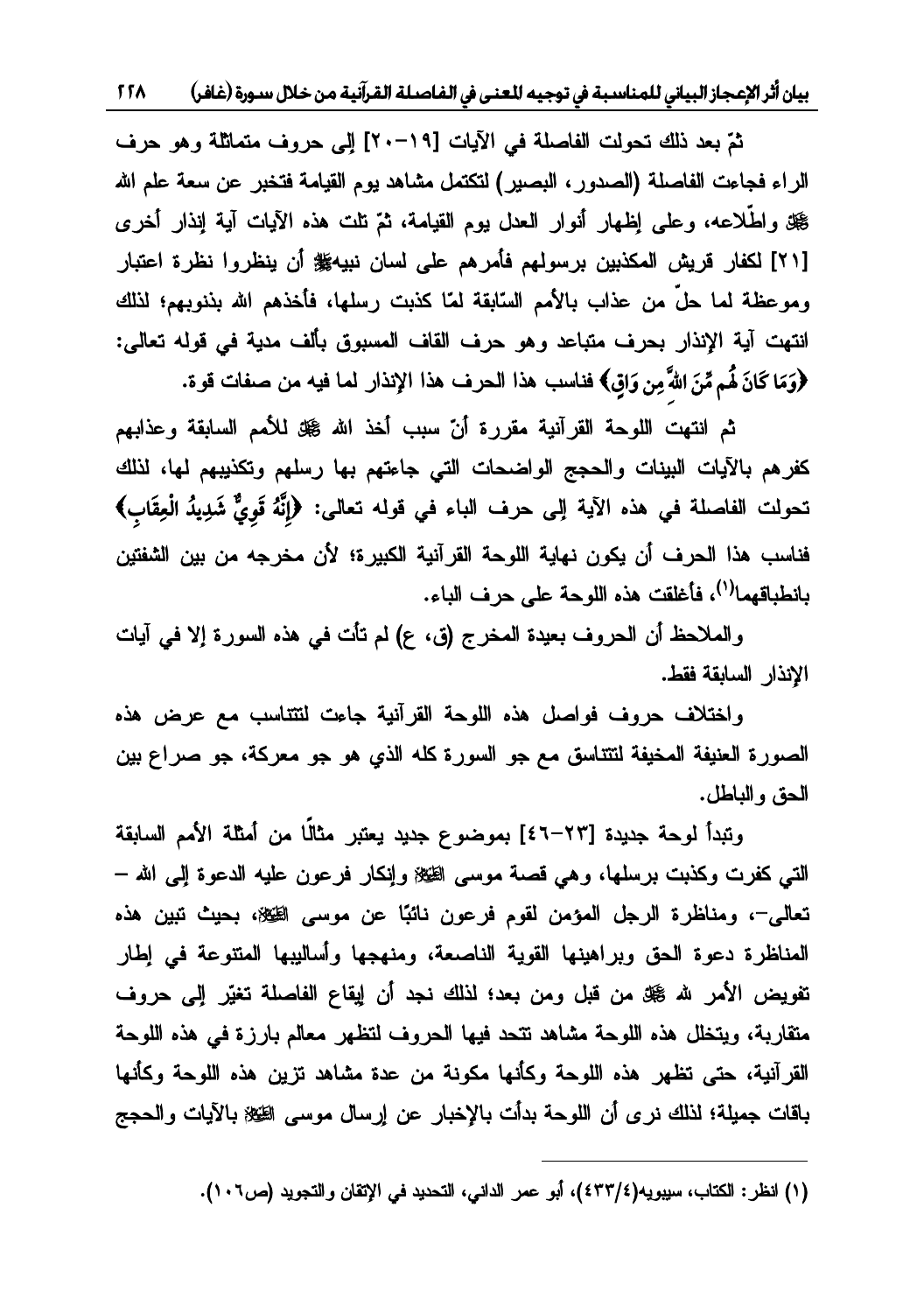بيان أثر الإعجاز البياني للمناسبة في توجيه للعنى في الفاصلة القرآنية من خلال سـورة (غافـر) 15۸

ثمّ بعد ذلك تحولت الفاصلة في الآيات [19−٢٠] الى حروف متماثلة وهو حرف الراء فجاءت الفاصلة (الصدور، البصير) لتكتمل مشاهد يوم القيامة فتخبر عن سعة علم الله ﷺ واطَّلاعه، وعلى إظهار أنوار العدل يوم القيامة، ثمّ تلت هذه الآيات آية إنذار أخرى [٢١] لكفار قريش المكذبين برسولهم فأمرهم على لسان نبيهﷺ أن ينظروا نظرة اعتبار وموعظة لمما حلٌّ من عذاب بالأمم السّابقة لمّا كذبت رسلها، فأخذهم الله بذنوبهم؛ لذلك انتهت آية الإنذار بحرف متباعد وهو حرف القاف المسبوق بألف مدية في قوله تعالى:  $\overline{\phantom{a}}$ ِّفَرَّةٍ مَنْ الْمَسِينِينَ بِهِ الْمَسَانِينَ مِنْ الْمَسَانِينَ مِنْ الْمَسَلِمِينَ مِنْ مَسْمَلَتِ قَوْةٍ.<br>وَمَا كَانَ لَهُم مِّنَ اللهِ مِن وَاقٍ**﴾ فناسب هذا الحرف هذا الإنذار لما فيه من صفات قوة.** 

ثم انتهت اللوحة القرآنية مقررة أنّ سبب أخذ الله گڼل للأمم السابقة وعذابهم كفرهم بالآيات البينات والحجج الواضحات التي جاءتهم بها رسلهم وتكذيبهم لها، لذلك  $\overline{a}$ تحولت الفاصلة في هذه الآية إلى حرف الباء في قوله تعالى: ﴿إِنَّهُ قَوِيٌّ شَدِيدُ الْعِقَابِ﴾<br>تحولت الفاصلة في هذه الآية إلى حرف الباء في قوله تعالى: ﴿إِنَّهُ قَوِيٌّ شَدِيدُ الْعِقَابِ﴾ **õ**فناسب هذا الحرف أن يكون نهاية اللوحة القرآنية الكبيرة؛ لأن مخرجه من بين الشفتين دانطياقهما<sup>(י)</sup>، فأغلقت هذه اللوحة على حرف الياء.

والملاحظ أن الحروف بعيدة المخرج (ق، ع) لم تأت في هذه السورة إلا في آيات الإنذار السابقة فقط.

ولختلاف حروف فواصل هذه اللوحة القرآنية جاءت لتتتاسب مع عرض هذه الصورة العنيفة المخيفة لنتتاسق مع جو السورة كله الذي هو جو معركة، جو صراع بين<br>الحق والباطل.

وتبدأ لوحة جديدة [٢٣–٤٦] بموضوع جديد يعتبر مثالًا من أمثلة الأمم السابقة التي كفرت وكذبت برسلها، وهي قصة موسى الطّخة وإنكار فرعون عليه الدعوة إلى الله – تعالى–، ومناظرة الرجل المؤمن لقوم فرعون نائبًا عن موسى الطِّيِّة، بحيث تبين هذه المناظرة دعوة الحق وبراهينها القوية الناصعة، ومنهجها وأساليبها المتتوعة في إطار تفويض الأمر لله ﷺ من قبل ومن بعد؛ لذلك نجد أن إيقاع الفاصلة تغيّر إلى حروف متقاربة، ويتخلل هذه اللوحة مشاهد نتحد فيها الحروف لتظهر معالم بارزة في هذه اللوحة القرآنية، حتى تظهر هذه اللوحة وكأنها مكونة من عدة مشاهد تزين هذه اللوحة وكأنها باقات جميلة؛ لذلك نرى أن اللوحة بدأت بالإخبار عن إرسال موسى الظيلا بالآيات والحجج

 $\overline{\phantom{a}}$ 

<sup>(</sup>١) انظر : الكتاب، سيبويه(٤٣٣/٤)، أبو عمر الداني، التحديد في الإتقان والتجويد (ص١٠٦).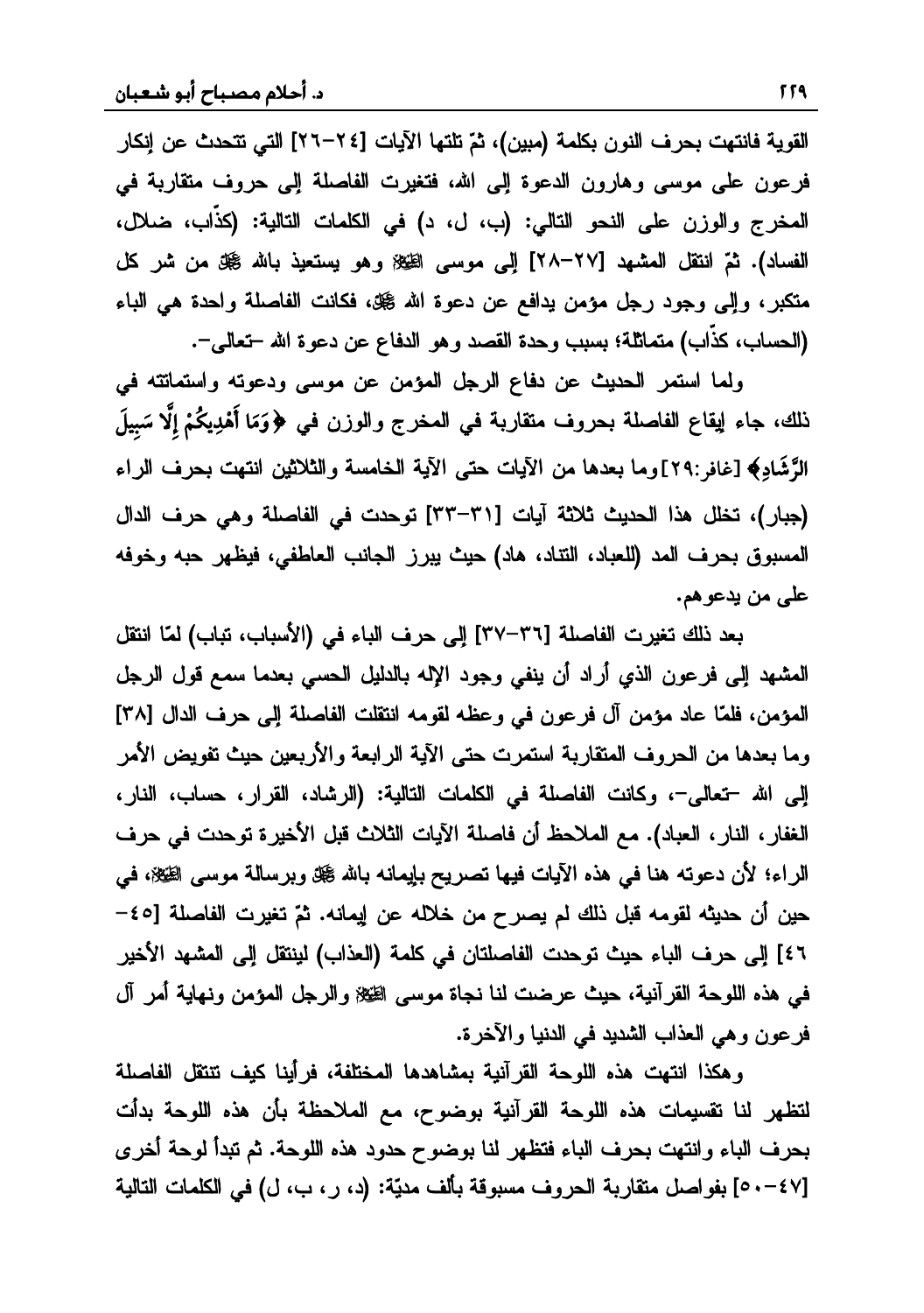لقوية فانتهت يجر ف النون يكلمة (مين)، ثمّ تلتها الآيات [٢٤-٢٦] التي تتحدث عن انكار فرعون على موسى وهارون الدعوة إلى الله، فتغيرت الفاصلة إلى حروف متقاربة في المخرج والوزن على النحو التالي: (ب، ل، د) في الكلمات التالية: (كذَّاب، ضلال، الفساد). ثمّ انتقل المشهد [٢٧–٢٨] إلى موسى الطِّيِّة وهو يستعيذ بالله صحيَّة من شر كل متكبر، وإلى وجود رجل مؤمن يدافع عن دعوة الله گيلة، فكانت الفاصلة واحدة هي الباء (الحساب، كذَّاب) متماثلة؛ بسبب وحدة القصد وهو الدفاع عن دعوة الله –تعالى–.

ولما استمر الحديث عن دفاع الرجل المؤمن عن موسى ودعوته واستماتته في قال علي العادي التي تصل عليه المغرج والوزن في ﴿وَمَا أَهْدِيكُمْ إِلَّا سَبِيلَ<br>ذلك، جاء لِيقاع الفاصلة بحروف متقاربة في المخرج والوزن في ﴿وَمَا أَهْدِيكُمْ إِلَّا سَبِيلَ **õ÷**الرَّشَادِ﴾ [غافر :٢٩]وما بعدها من الآيات حتى الآية الخامسة والثلاثين انتهت بحرف الراء **¬**(جبار)، تخلل هذا الحديث ثلاثة آيات [٣٦-٣٣] توحدت في الفاصلة وهي حرف الدال المسبوق بحرف المد (للعباد، النتاد، هاد) حيث يبرز الجانب العاطفي، فيظهر حبه وخوفه<br>على من يدعوهم.

بعد ذلك تغيرت الفاصلة [٣٦–٣٧] إلى حرف الباء في (الأسباب، تباب) لمّا انتقل العشهد إلى فرعون الذي أراد أن ينفي وجود الإله بالدليل الحسى بعدما سمع قول الرجل المؤمن، فلمّا عاد مؤمن آل فرعون في وعظه لقومه انتقلت الفاصلة إلى حرف الدال [٣٨] وما بعدها من الحروف المتقاربة استمرت حتى الآية الرابعة والأربعين حيث تفويض الأمر إلى الله -تعالى-، وكانت الفاصلة في الكلمات التالية: (الرشاد، القرار، حساب، النار، الغفار ، النار ، العباد). مع الملاحظ أن فاصلة الآيات الثلاث قبل الأخيرة توحدت في حرف الراء؛ لأن دعوته هنا في هذه الآيات فيها تصريح بإيمانه بالله گيل وبرسالة موسى الطِّيُّلا، في حن أن حديثه لقومه قبل ذلك لم يصرح من خلاله عن إيمانه. ثمّ تغيرت الفاصلة [٤٥-٤٦] إلى حرف الباء حيث توحدت الفاصلتان في كلمة (العذاب) لينتقل إلى المشهد الأخير في هذه اللوحة القرآنية، حيث عرضت لنا نجاة موسى الظيلا والرجل المؤمن ونهاية أمر آل<br>فرعون وهي العذاب الشديد في الدنيا والآخرة.

وهكذا انتهت هذه اللوحة القرآنية بمشاهدها المختلفة، فرأينا كيف تتتقل الفاصلة لتظهر لذا تقسيمات هذه اللوحة القرآنية بوضوح، مع الملاحظة بأن هذه اللوحة بدأت<br>بحرف الباء وانتهت بحرف الباء فتظهر لذا بوضوح حدود هذه اللوحة. ثم تبدأ لوحة أخرى<br>[٤٠٧-٥] بفواصل متقاربة الحروف مسبوقة بألف مديّة: (د، ر، ب، ل) في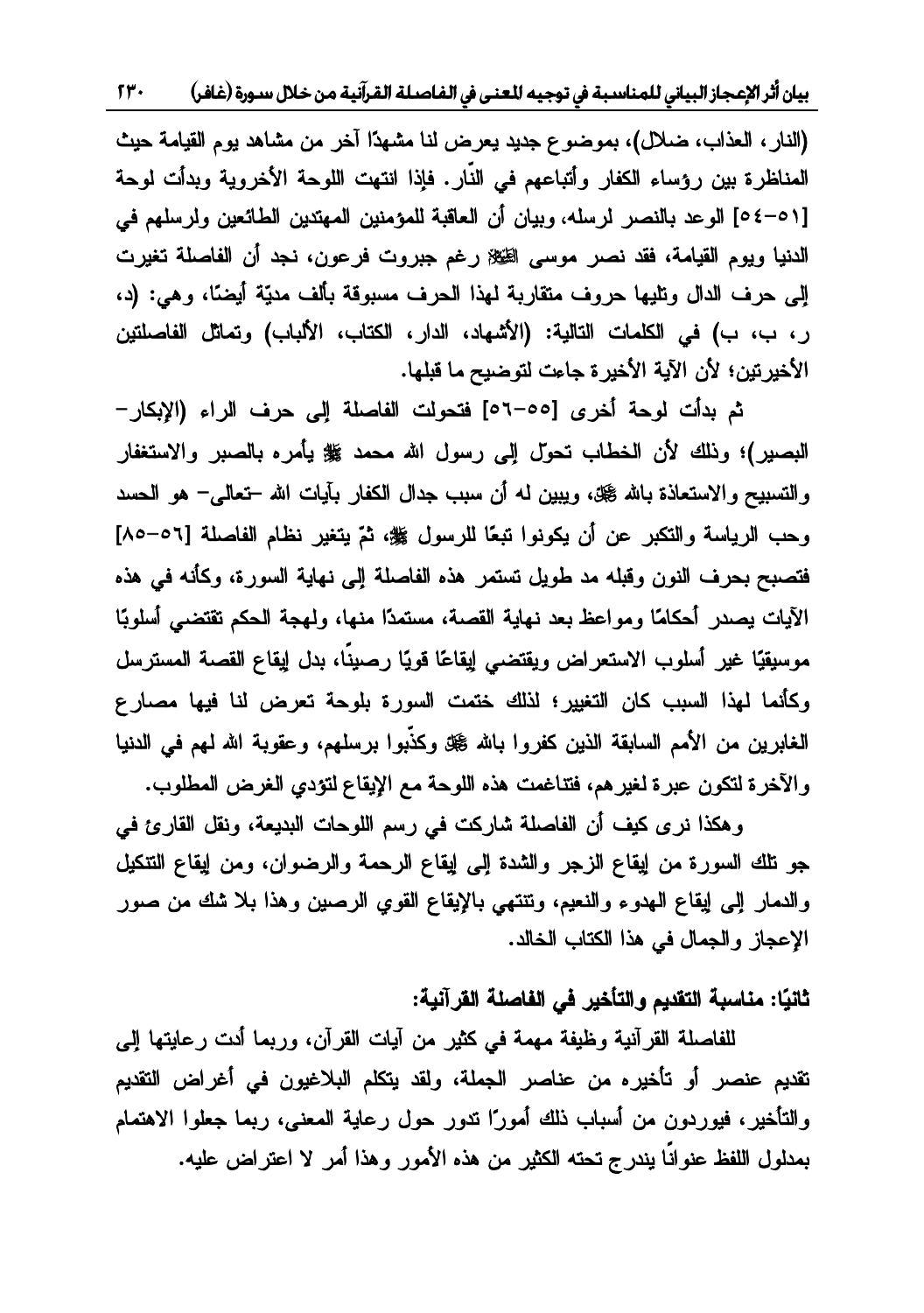٢٣٠ ǂǧƢǣƧǁȂLJDZȐƻǺǷƨȈǻƕǂǬdzơƨǴǏƢǨdzơĿŘǠŭơǾȈƳȂƫĿƨƦLJƢǼǸǴdzňƢȈƦdzơǃƢƴǟȍơǂƯƗǹƢȈƥ

(النار ، العذاب، ضلال)، بموضوع جديد يعرض لنا مشهدًا آخر من مشاهد يوم القيامة حيث لمناظر ة بين رؤساء الكفار وأتباعهم في النّار . فإذا انتهت اللوجة الأخروبة وبدأت لوجة [0⁄2-01] الوعد بالنصر لرسله، وبيان أن العاقبة للمؤمنين المهتدين الطائعين ولرسلهم في الدنيا ويوم القيامة، فقد نصر موسى الطِّيِّينْ رغم جبروت فرعون، نـجد أن الفاصلة تغيرت إلى حرف الدال وتليها حروف متقاربة لهذا الحرف مسبوقة بألف مديّة أيضًا، وهي: (د، رِ ، بِ، بِ) في الكلمات التالية: (الأشهاد، الدارِ ، الكتاب، الألباب) وتماثل الفاصلتين الأخيرتين؛ لأن الآية الأخيرة جاءت لتوضيح ما قبلها.

شم بدأت لوحة أخرى [٥٥-٥٦] فتحولت الفاصلة إلى حرف الراء (الإبكار -البصير)؛ وذلك لأن الخطاب تحول إلى رسول الله محمد ﷺ يأمره بالصبر والاستغفار والتسبيح والاستعاذة بالله گيلة، ويبين لـه أن سبب جدال الكفار بآيات الله –تعالمي– هو الـحسد وحب الرياسة والتكبر عن أن يكونوا تبعًا للرسول ﷺ، ثمّ يتغير نظام الفاصلة [٥٦-٨٥] فتصبح بحرف النون وقبله مد طويل تستمر هذه الفاصلة إلى نهاية السورة، وكأنه في هذه الآيات يصدر أحكامًا ومواعظ بعد نهاية القصة، مستمدًا منها، ولمهجة الحكم تقتضي أسلوبًا موسيقنًا غير أسلوب الاستعراض ويقتضي ابقاعًا قويًا رصيبيًا، بدل ابقاع القصبة المسترسل وكأنما لهذا السبب كان التغيير؛ لذلك ختمت السورة بلوحة تعرض لنا فيها مصارع الغابرين من الأمم السابقة الذين كفروا بالله ﷺ وكذّبوا برسلهم، وعقوبة الله لهم في الدنيا<br>والآخر ة لتكون عبر ة لغبر هم، فتتاغمت هذه اللوحة مع الإيقاع لتؤدي الغرض المطلوب.

وهكذا نرى كيف أن الفاصلة شاركت في رسم اللوحات البديعة، ونقل القارئ في جو نلك السورة من إيقاع الزجر والشدة إلىي إيقاع الرحمة والرضوان، ومن إيقاع التتكيل والدمار إلى إيقاع الهدوء والنعيم، وتنتهي بالإيقاع القوي الرصين وهذا بلا شك من صور الإعجاز والجمال في هذا الكتاب الخالد.

# ثانيًا: مناسبة التقديم والتأخير في الفاصلة القرآنية:

للفاصلة القرآنية وظيفة مهمة في كثير من آيات القرآن، وربما أدت رعايتها إلى تقديم عنصر أو تأخيره من عناصر الجملة، ولقد يتكلم البلاغيون في أغراض التقديم والتأخير، فيوردون من أسباب ذلك أمورًا ندور حول رعاية المعنى، ربما جعلوا الاهتمام يمدلول اللفظ عنوانًا بندرج تحته الكثير من هذه الأمور وهذا أمر الا اعتراض عليه.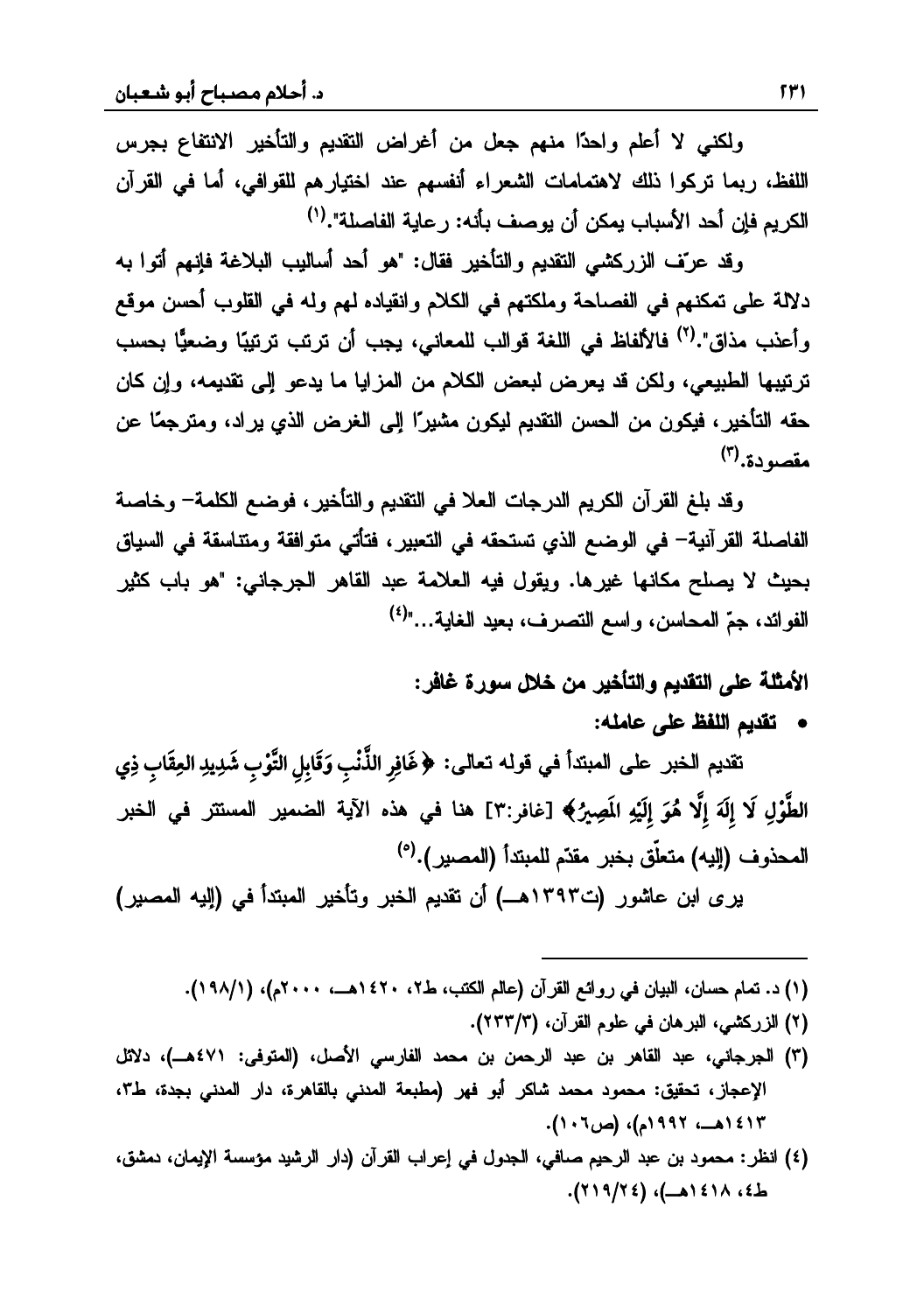ولكني لا أعلم واحدًا منهم جعل من أغراض التقديم والتأخير الانتفاع بجرس اللفظ، ربما تركوا ذلك لاهتمامات الشعراء أنفسهم عند اختيارهم للقوافي، أما في القرآن الكر بم فان أحد الأسباب بمكن أن بوصف بأنه: ر عابة الفاصلة".<sup>(١)</sup>

وقد عرّف الزركشي التقديم والتأخير فقال: "هو أحد أساليب البلاغة فإنهم أتوا به دلالة على تمكنهم في الفصاحة وملكتهم في الكلام وانقياده لهم وله في القلوب أحسن موقع و أعذب مذاق".<sup>(٢)</sup> فالألفاظ في اللغة قوالب للمعانير، بحب أن ترتب ترتبيًا وضعيًّا بحسب ترتيبها الطبيعي، ولكن قد يعرض لبعض الكلام من المزايا ما يدعو إلى تقديمه، وإن كان حقه التأخير، فيكون من الحسن التقديم ليكون مشيرًا إلى الغرض الذي يراد، ومترجمًا عن  $(\tilde{\mathbf{r}}, \tilde{\mathbf{s}})$ مقصو دة.

وقد بلغ القرآن الكريم الدرجات العلا في التقديم والتأخير، فوضع الكلمة– وخاصة الفاصلة القرآنية— في الوضع الذي تستحقه في التعبير ، فتأتي متوافقة ومتناسقة في السياق بحيث لا يصلح مكانها غيرها. ويقول فيه العلامة عبد القاهر الجرجاني: "هو باب كثير الفو ائد، حمّ المحاسن، و اسع النصر ف، بعد الغابة..."<sup>(٤)</sup>

الأمثلة على التقديم والتأخير من خلال سورة غافر :<br>• تقديم اللفظ عل*ى* عامله:

سي الصحيح المشار في قوله تعالى: ﴿ غَافِرِ الذَّنْبِ وَقَابِلِ التَّوْبِ شَدِيدِ العِقَابِ ذِي الْمَسَوِّي الْمَجَّابِ فِي الْمَسَوِّي **÷**الطَّوْلِ لَا إِلَهَ إِلَّا هُوَ إِلَيْهِ المَصِيرُ﴾ [غافر:٣] هنا في هذه الآية الضمير المستتر في الخبر **õõõ÷**المحذوف (اليه) متعلّق بخبر مقدّم للمبتدأ (المصبر ).<sup>(٥)</sup>

يرى ابن عاشور (ت١٣٩٣هـــ) أن تقديم الخبر وتأخير المبتدأ في (إليه المصير)

(١) د. تمام حسان، البيان في روائع القرآن (عالم الكتب، ط٢، ١٤٢٠هــ، ٢٠٠٠م)، (١٩٨/١).

- (٢) الزركشي، البرهان في علوم القرآن، (٢٣٣/٣).
- (٣) الجرجاني، عبد القاهر بن عبد الرحمن بن محمد الفارسي الأصل، (المتوفى: ٤٧١هـ)، دلائل الإعجاز، تحقيق: محمود محمد شاكر أبو فهر (مطبعة المدنى بالقاهرة، دار المدنى بجدة، ط٣، ١٤١٣هــ، ١٩٩٢م)، (ص٢٠٦).
- (٤) انظر: محمود بن عبد الرحيم صافي، الجدول في إعراب القرآن (دار الرشيد مؤسسة الإيمان، دمشق، ط٤، ١٤١٨هـ)، (٢١٩/٢٤).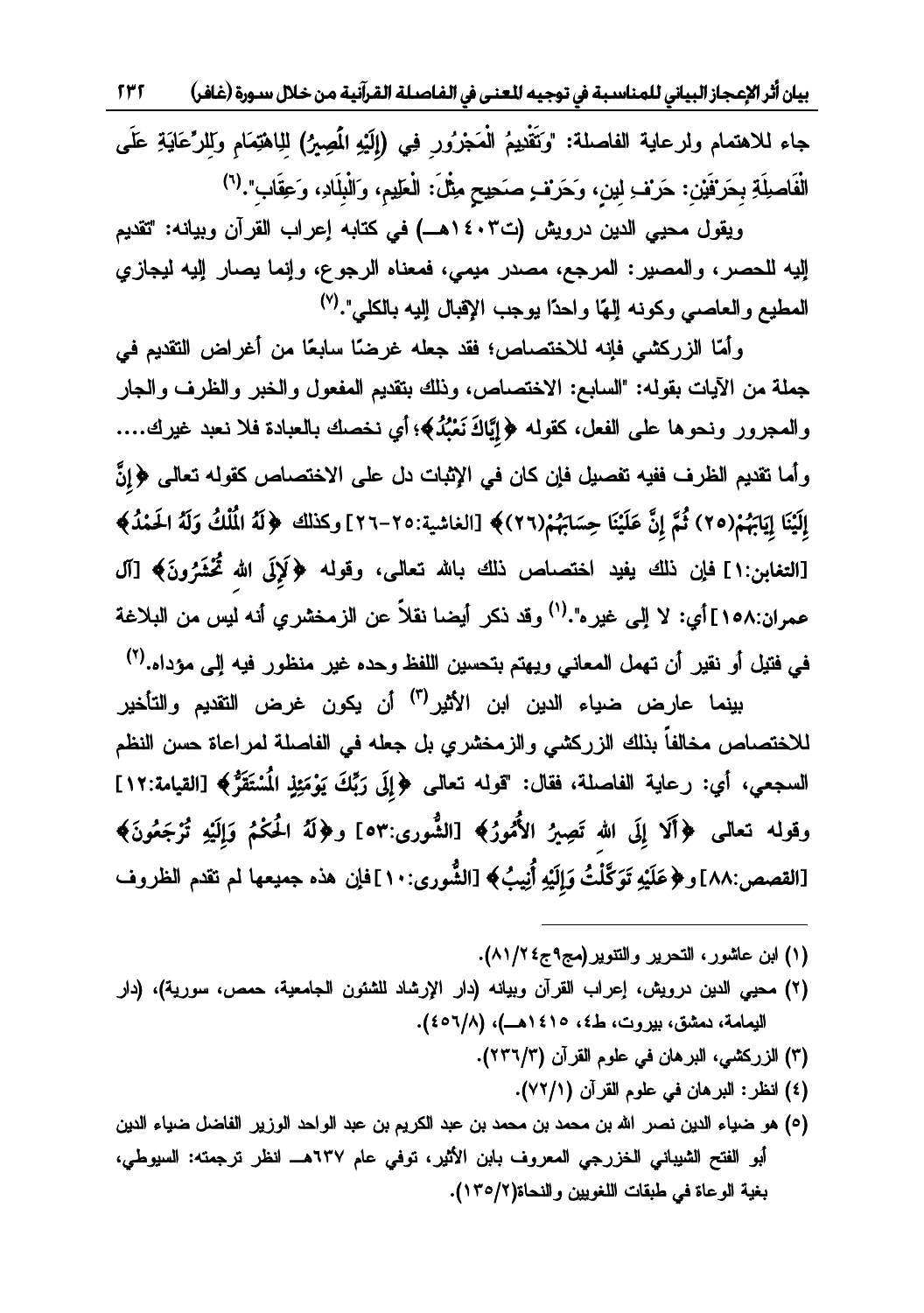$577$ بيان أثر الإعجاز البياني للمناسبة في توجيه للعنى في الفاصلة القرآنية من خلال سـورة (غافر)

جاء للاهتمام ولرعاية الفاصلة: "وَتَقْدِيمُ الْمَجْرُور فِي (إِلَيْهِ الْمَصِيرُ) للاهْتِمَام وللرِّعَايَةِ عَلَى الْفَاصلِلَةِ بِحَرْفَيْنِ: حَرْف ِلِينِ، وَحَرْف ِصَحِيحٍ مِثْلَ: الْعَلِيمِ، وَالْبِلَادِ، وَعِقَاب".<sup>(٦)</sup>

ويقول محيى الدين درويش (ت١٤٠٣هـ) في كتابه إعراب القرآن وبيانه: "تقديم إليه للحصر، والمصير: المرجع، مصدر ميمي، فمعناه الرجوع، وإنما يصار إليه ليجازي المطيع والعاصبي وكونه إلهًا واحدًا يوجب الإقبال إليه بالكلي".(٧)

وأمَّا الزركشي فإنه للاختصاص؛ فقد جعله غرضًا سابعًا من أغراض التقديم في جملة من الأيات بقوله: "السابع: الاختصاص، وذلك بتقديم المفعول والخبر والظرف والجار والممجرور ونحوها على الفعل، كقوله ﴿إِيَّاكَ نَعْبُدُ﴾؛ أي نخصك بالعبادة فلا نعبد غيرك.... وأما نقديم الظرف ففيه نفصيل فإن كان في الإثبات دل على الاختصاص كقوله تعالى ﴿إِنَّ إِلَيْنَا إِيَابَهُمْ(٢٥) ثُمَّ إِنَّ عَلَيْنَا حِسَابَهُمْ(٢٦)﴾ [الغاشية:٢٥-٢٦] وكذلك ﴿لَهُ الْمُلْكُ وَلَهُ الحَمْدُ﴾ [التغابن:١] فإن ذلك يفيد اختصاص ذلك بالله تعالى، وقوله ﴿كَإِلَى الله تُحْشَرُونَ﴾ [آل عمران:١٥٨] أي: لا إلى غير ه".<sup>(١)</sup> وقد ذكر أيضا نقلاً عن الزمخشري أنه ليس من البلاغة في فتيل أو نقير أن تهمل المعاني ويهتم بتحسين اللفظ وحده غير منظور فيه إلى مؤداه.<sup>(٢)</sup>

بينما عارض ضياء الدين ابن الأثير<sup>(٣)</sup> أن يكون غرض التقديم والتأخير للاختصاص مخالفاً بذلك الزركشي والزمخشري بل جعله في الفاصلة لمراعاة حسن النظم السجعي، أي: رعاية الفاصلة، فقال: "قوله تعالى ﴿إِلَى رَبِّكَ يَوْمَئِذِ الْمُسْتَقَرُّ﴾ [القيامة:١٢] وقوله تعالى ﴿أَلَا إِلَى الله تَصِيرُ الأُمُورُ﴾ [الشُّورى:٥٣] و﴿لَهُ الْحَكْمُ وَإِلَيْهِ تُرْجَعُونَ﴾ [القصص:٨٨] و﴿عَلَيْهِ تَوَكَّلْتُ وَإِلَيْهِ أُنِيبُ﴾ [الشُّورى:١٠]فإن هذه جميعها لم تقدم الظروف

- (١) ابن عاشور، التحرير والتنوير(مج٩ج٤/١/١).
- (٢) محيى الدين درويش، إعراب القرآن وبيانه (دار الإرشاد للشئون الجامعية، حمص، سورية)، (دار اليمامة، دمشق، بيروت، ط٤، ١٤١٥هـ)، (٢٥٦/٨).
	- (٣) الزركشي، البرهان في علوم القرآن (٢٣٦/٣).
		- (٤) انظر: البرهان في علوم القرآن (٧٢/١).
- (٥) هو ضياء الدين نصر الله بن محمد بن محمد بن عبد الكريم بن عبد الواحد الوزير الفاضل ضياء الدين أبو الفتح الشيباني الخزرجي المعروف بابن الأثير، توفي عام ٦٣٧هــ انظر ترجمته: السيوطي، بغية الوعاة في طبقات اللغويين والنحاة(٢/٥/٢).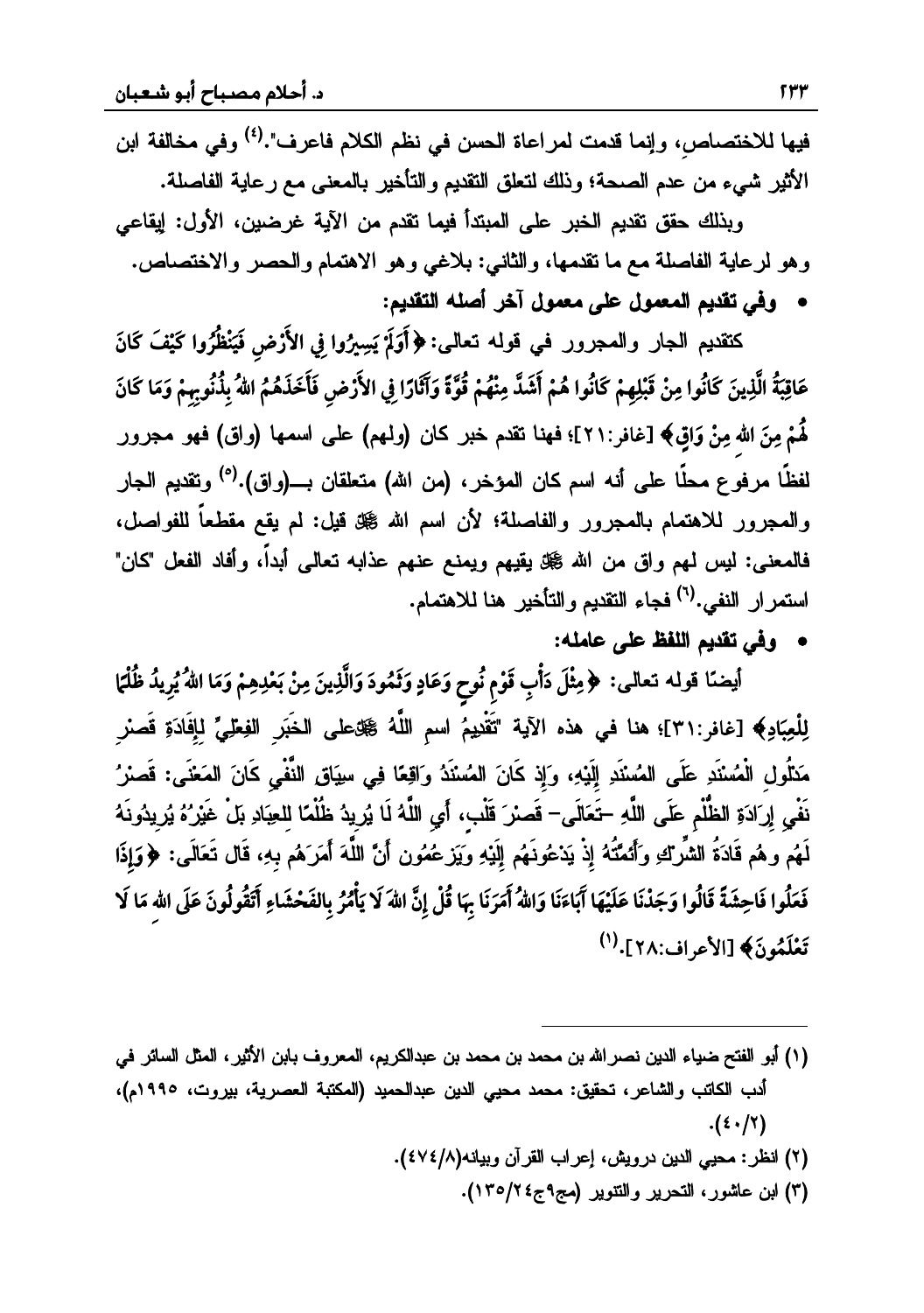فيها للاختصاص، وإنما قدمت لمراعاة الحسن في نظم الكلام فاعرف".<sup>(٤)</sup> وفي مخالفة ابن الأثير شيء من عدم الصحة؛ وذلك لتعلق النقديم والتأخير بالمعنى مع رعاية الفاصلة.

وبذلك حقق تقديم الخبر على المبتدأ فيما تقدم من الآية غرضين، الأول: إيقاعي وهو لرعاية الفاصلة مع ما تقدمها، والثانبي: بلاغي وهو الاهتمام والـحصر والاختصاص. وفي تقديم المعمول على معمول آخر أصله التقديم:

كنقديم الـجار والمـجرور فـي قولـه تـعالـى: ﴿أَوَلَمْ يَسِيرُوا فِي الأَرْضِ فَيَنْظُرُوا كَيْفَ كَانَ عَاقِبَةُ الَّذِينَ كَانُوا مِنْ قَبْلِهِمْ كَانُوا هُمْ أَشَدَّ مِنْهُمْ قُوَّةَ وَآثَارًا فِي الأَرْضِ فَأَخَذَهُمُ اللهُ بِذُنُوبِهِمْ وَمَا كَانَ لَّمْمْ مِنَ الله مِنْ وَاقٍ﴾ [غافر:٢١]؛ فهنا نقدم خبر كان (ولمهم) على اسمها (واق) فهو مجرور لفظًا مرفوع محلًا على أنه اسم كان المؤخر ، (من الله) متعلقان بــــ(واق).<sup>(٥)</sup> وتقديم الجار والمجرور للاهتمام بالمجرور والفاصلة؛ لأن اسم الله ﷺ قيل: لم يقع مقطعاً للفواصل، فالمعنى: ليس لمهم واق من الله ﷺ يقيهم ويمنع عنهم عذابه تعالى أبداً، وأفاد الفعل "كان" استمرار النفي.<sup>(٦)</sup> فجاء التقديم والتأخير هنا للاهتمام.

• وفي تقديم اللفظ على عامله:

أيضنًا قوله نعالى: ﴿مِثْلَ دَأْبِ قَوْمٍ نُوحٍ وَعَادٍ وَثَمُودَ وَالَّذِينَ مِنْ بَعْدِهِمْ وَمَا اللهُ يُرِيدُ ظُلْمًا لِلْعِبَادِ﴾ [غافر:٣١]؛ هنا في هذه الآية "تَقْدِيمُ اسمِ اللَّهُ ﷺعلى الخَبَرِ الفِعْلِيِّ لِإِفَادَةِ قَصنرِ مَنْلُولِ الْمُسْنَدِ عَلَى المُسْنَدِ إِلَيْهِ، وَإِذ كَانَ المُسْنَدُ وَاقِعًا فِي سِيَاقِ النَّفْيِ كَانَ المَعْنَى: قَصنرُ نَفْيِ إِرَادَةِ الظُّلْمِ عَلَى اللَّهِ –تَعَالَى– قَصرْ قَلْبِ، أَيِ اللَّهُ لَا يُرِيدُ ظُلُمًا لِلعِبَادِ بَلْ غَيْرُهُ يُرِيدُونَهُ لَهُم وهُم قَادَةُ الشَّراءِ وَأَئمَّتُهُ إِذْ يَدْعُونَهُم إِلَيْهِ وَيَزشمُون أَنَّ اللَّهَ أَمَرَهُم بِهِ، قَال تَعَالَى: ﴿وَإِذَا فَعَلُوا فَاحِشَةً قَالُوا وَجَدْنَا عَلَيْهَا آَبَاءَنَا وَاللهُ أَمَرَنَا بِهَا قُلْ إِنَّ اللهَ لَا يَأْمُرُ بِالفَحْشَاءِ أَتَقُولُونَ عَلَى اللهِ مَا لَا تَعْلَمُونَ﴾ [الأعراف:٢٨]. (')

- (١) أبو الفتح ضياء الدين نصر الله بن محمد بن محمد بن عبدالكريم، المعروف بابن الأثير، المثل السائر في أدب الكاتب والشاعر، تحقيق: محمد محيي الدين عبدالحميد (المكتبة العصرية، بيروت، ١٩٩٥م)،  $.({\epsilon \cdot}/T)$ 
	- (٢) انظر: محيى الدين درويش، إعراب القرآن وبيانه(٤٧٤/٨).
		- (٣) ابن عاشور، التحرير والتتوير (مج٩ج٤٢/١٣٥).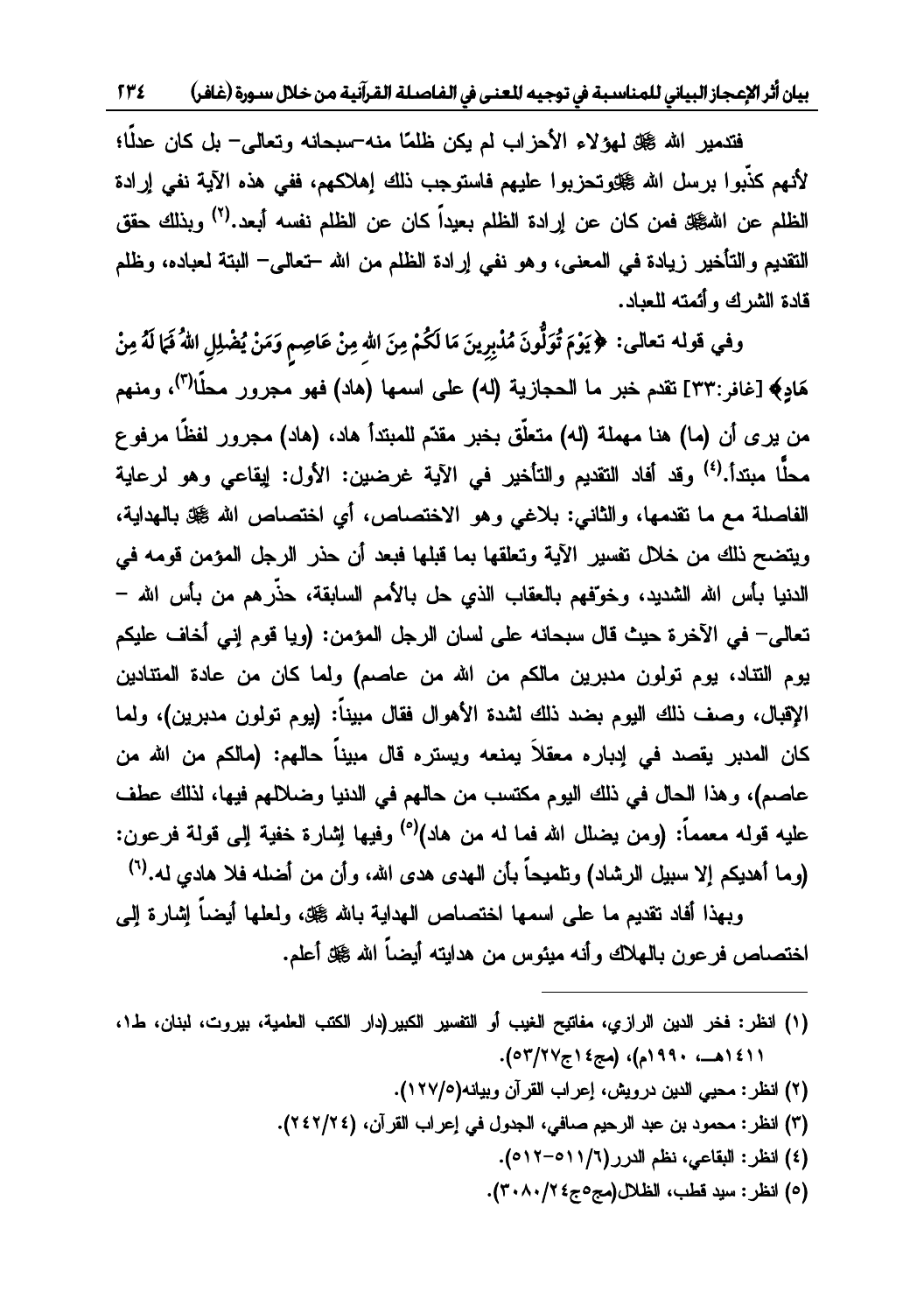بيان أثر الإعجاز البياني للمناسبة في توجيه للعنى في الفاصلة القرآنية من خلال سورة (غافر) ٢٣٤

فتدمير الله گُل لهؤلاء الأحزاب لم يكن ظلمًا منه¬سبحانه وتعالى− بل كان عدلًا؛ لأنهم كذّبوا برسل الله ﷺوتحزبوا عليهم فاستوجب ذلك إهلاكهم، ففي هذه الآية نفي إرادة الظلم عن اللهگة فمن كان عن إرادة الظلم بعيداً كان عن الظلم نفسه أبعد.<sup>(٢)</sup> وبذلك حقق التقديم والتأخير زيادة في المعنى، وهو نفي إرادة الظلم من الله –تعالى– البتة لعباده، وظلم<br>قادة الشرك و أئمته للعباد.

**÷** ]ƑƅŕŸśƌƅƏƁƓžƏ **õXôTó ó5QôāÐõ õc[÷ ô w÷ óXíóò õÉmKó÷ õXõ āÐó õX bô TómóXó w|õõ<z÷ ôXëó T´ ó=ô óê ó w ÷÷**مَّادِكَةِ إِخْمَاقُ :٣٣] نقدم خبر ما الحجازية (له) على اسمها (هاد) فهو مُحرور مجلً<sup>ا(٣)</sup>، ومنهم من بر ي أن (ما) هنا مهملة (له) متعلّق بخبر "مقدّم للمبتدأ هاد، (هاد) مجرور افظًا مرفوع مجلًّا مِنتداً.<sup>(٤)</sup> وقد أفاد التقديم والتأخير في الآية غرضين: الأول: ابقاعي وهو لرعاية الفاصلة مع ما تقدمها، والثاني: بلاغي وهو الاختصاص، أي اختصاص الله ﷺ بالهداية، ويتضح نلك من خلال تفسير الآية وتعلقها بما قبلها فبعد أن حذر الرجل المؤمن قومه في الدنيا بأس الله الشديد، وخوفهم بالعقاب الذي جل بالأمم السابقة، جذّر هم من بأس الله – تعالى– في الآخرة حيث قال سبحانه على لسان الرجل المؤمن: (ويا قوم إني أخاف عليكم يوم النتاد، يوم تولون مدبرين مالكم من الله من عاصم) ولما كان من عادة المتتادين الإقبال، وصف ذلك البوم بضد ذلك لشدة الأهوال فقال مبيناً: (يوم تولون مدبرين)، ولما كان المدبر يقصد في إدباره معقلاً يمنعه ويستره قال مبيناً حالهم: (مالكم من الله من عاصم)، وهذا الحال في ذلك اليوم مكتسب من حالهم في الدنيا وضلالهم فيها، لذلك عطف عليه قوله معمماً: (ومن بضلل الله فما له من هاد)<sup>(ه)</sup> وفيها اشار ة خفية الب قولة فرعون: (و ما أهديكم الا سيبل الر شاد) وتلميحاً بأن الهدي هدي الله، و أن من أضله فلا هادي له.<sup>(٦)</sup>

وبهذا أفاد تقديع ما على اسمها اختصاص الىهداية بالله ﷺ، ولعلها أيضاً إشارة إلى اختصاص فرعون بالهلاك وأنه ميئوس من هدايته أيضاً الله گملة أعلم.

- (١) انظر: فخر الدين الرازي، مفاتيح الغيب أو التفسير الكبير(دار الكتب العلمية، بيروت، لبنان، ط١، (١٤١١هــ، ١٩٩٠م)، (مج٤١ج٧٢٧م).
	- (٢) انظر: محيي الدين درويش، إعراب القرآن وبيانه(١٢٧/٥).
	- (٣) انظر: محمود بن عبد الرحيم صافي، الجدول في إعراب القرآن، (٢٤٢/٢٤).

 $\overline{\phantom{a}}$ 

- (٤) انظر: البقاعي، نظم الدرر(١/١١٥-١٢٥).
- (٥) انظر: سيد قطب، الظلال (مج٥ج٤ ٢٠٨٠/٢).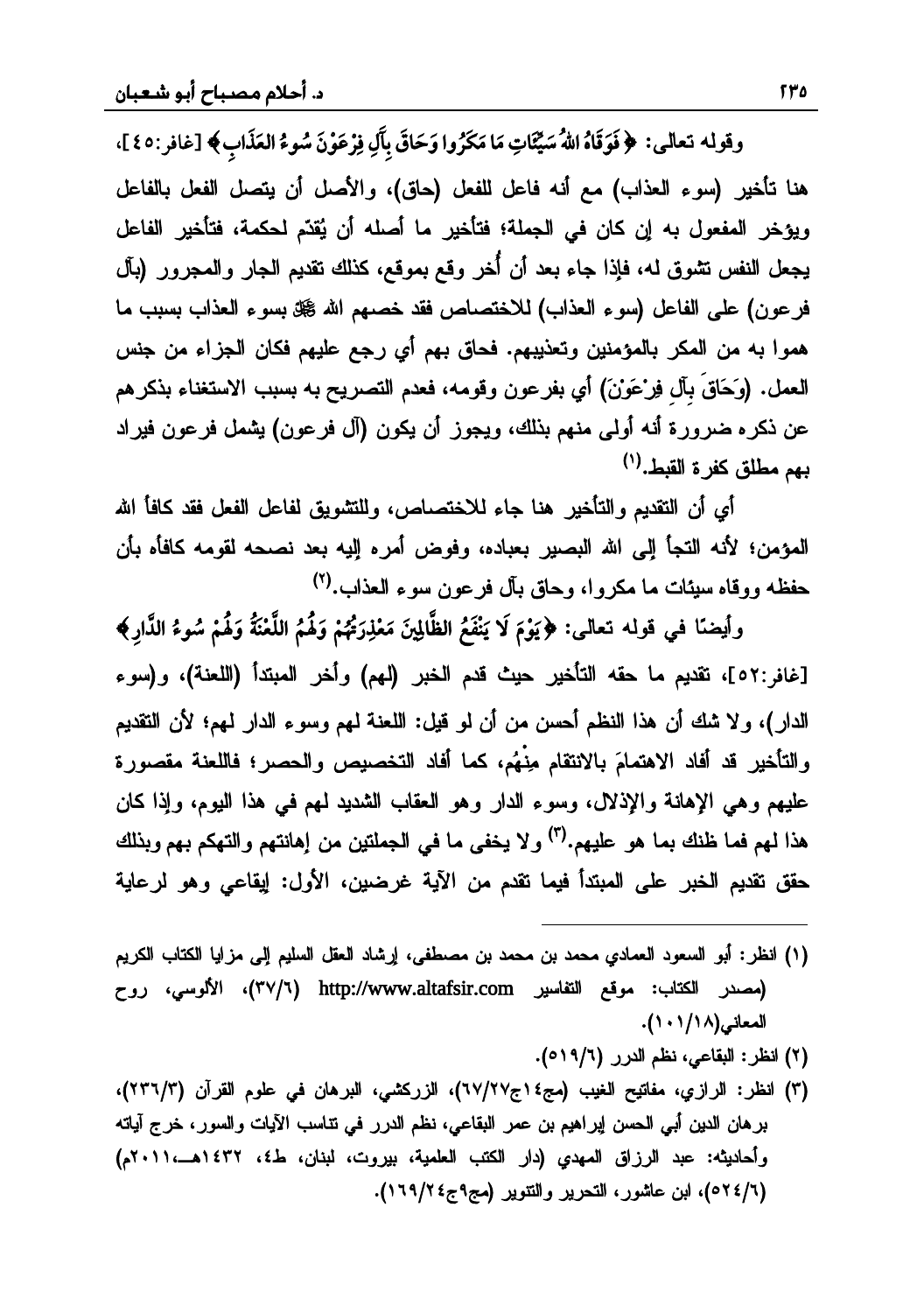وقوله تعالى: ﴿فَوَقَاهُ اللَّهُ سَيِّئَاتٍ مَا مَكَرُوا وَحَاقَ بِآَلِ فِرْعَوْنَ سُوءُ العَذَابِ﴾ [غافر:٤٥]، **÷÷**هنا تأخير (سوء العذاب) مع أنه فاعل للفعل (حاق)، والأصل أن يتصل الفعل بالفاعل وبوخر المفعول به إن كان في الجملة؛ فتأخير ما أصله أن يُقدِّم لحكمة، فتأخير الفاعل يجعل النفس نشوق له، فإذا جاء بعد أن أُخر وقع بموقع، كذلك نقدم الجار والمجرور (بآل فرعون) على الفاعل (سوء العذاب) للاختصاص فقد خصهم الله گتل بسوء العذاب بسبب ما هموا به من المكر بالمؤمنين وتعذيبهم. فحاق بهم أي رجع عليهم فكان الجزاء من جنس العمل. (وَحَاقَ بَال فِرْعَوْنَ) أي بفرعون وقومه، فعدم التصريح به بسبب الاستغناء بذكرهم عن ذكره ضىرورة أنه أولىي منهم بذلك، ويجوز أن يكون (آل فرعون) يشمل فرعون فيراد يهم مطلق كفر ة القبط.<sup>(١)</sup>

أي أن التقديم والتأخير هنا جاء للاختصاص، وللتشويق لفاعل الفعل فقد كافأ الله المؤمن؛ لأنه التجأ إلى الله البصير بعباده، وفوض أمره إليه بعد نصحه لقومه كافأه بأن حفظه ووقاه سيئات ما مكروا، وحاق بآل فرعون سوء العذاب.(٢)

 ] ƑƅŕŸśƌƅƏƁƓžŕćŲƔŌƏ **õÚÐz¬TÐ ôÊGô 4ôó íóoôóe^÷ c¬TÐ ô4ôó íó ô\*Úó õ{^÷ óXMó õBm]¬ TÐ ô`ó÷eó wøó óê ó** [ **w ÷÷÷**[غافر:٥٢]، تقديم ما حقه التأخير حيث قدم الخبر (لهم) وأخر المبتدأ (اللعنة)، و(سوء الدار)، ولا شك أن هذا النظم أحسن من أن لو قيل: اللعنة لمهم وسوء الدار لمهم؛ لأن التقديم والتأخير قد أفاد الإهتمامَ بالإنتقام منْهُم، كما أفاد التخصيص والحصر ؛ فاللعنة مقصورة عليهم وهي الإهانة والإذلال، وسوء الدار وهو العقاب الشديد لمهم في هذا اليوم، وإذا كان هذا لهم فما ظنك يما هو عليهم.<sup>(٣)</sup> و لا يخفي ما في الجملتين من اهانتهم و التهكم يهم و يذلك حقق تقديم الخبر على المبتدأ فيما تقدم من الآية غرضين، الأول: إيقاعي وهو لرعاية

(١) انظر: أبو السعود العمادي محمد بن محمد بن مصطفى، إرشاد العقل السليم إلى مزايا الكتاب الكريم فصدر الكتاب: موقع التفاسير http://www.altafsir.com (٣٧/٦)، الألوسي، روح المعاني(١/١/١٨).

 $\overline{\phantom{a}}$ 

- (٢) انظر: البقاعي، نظم الدرر (١٩/٦م).
- (٣) انظر: الرازي، مفاتيح الغيب (مج٤ ٢٢/٢٧م)، الزركشي، البرهان في علوم القرآن (٢/٢٣٢)، برهان الدين أبي الحسن إبراهيم بن عمر البقاعي، نظم الدرر في تتاسب الآيات والسور، خرج آياته<br>وأحاديثه: عبد الرزاق المهدي (دار الكتب العلمية، بيروت، لبنان، ط٤، ١٤٣٢هـــ،١٠١١م) (١٦٩/٢٤م)، ابن عاشور، التحرير والتتوير (مج٩ج٤/١٦٩).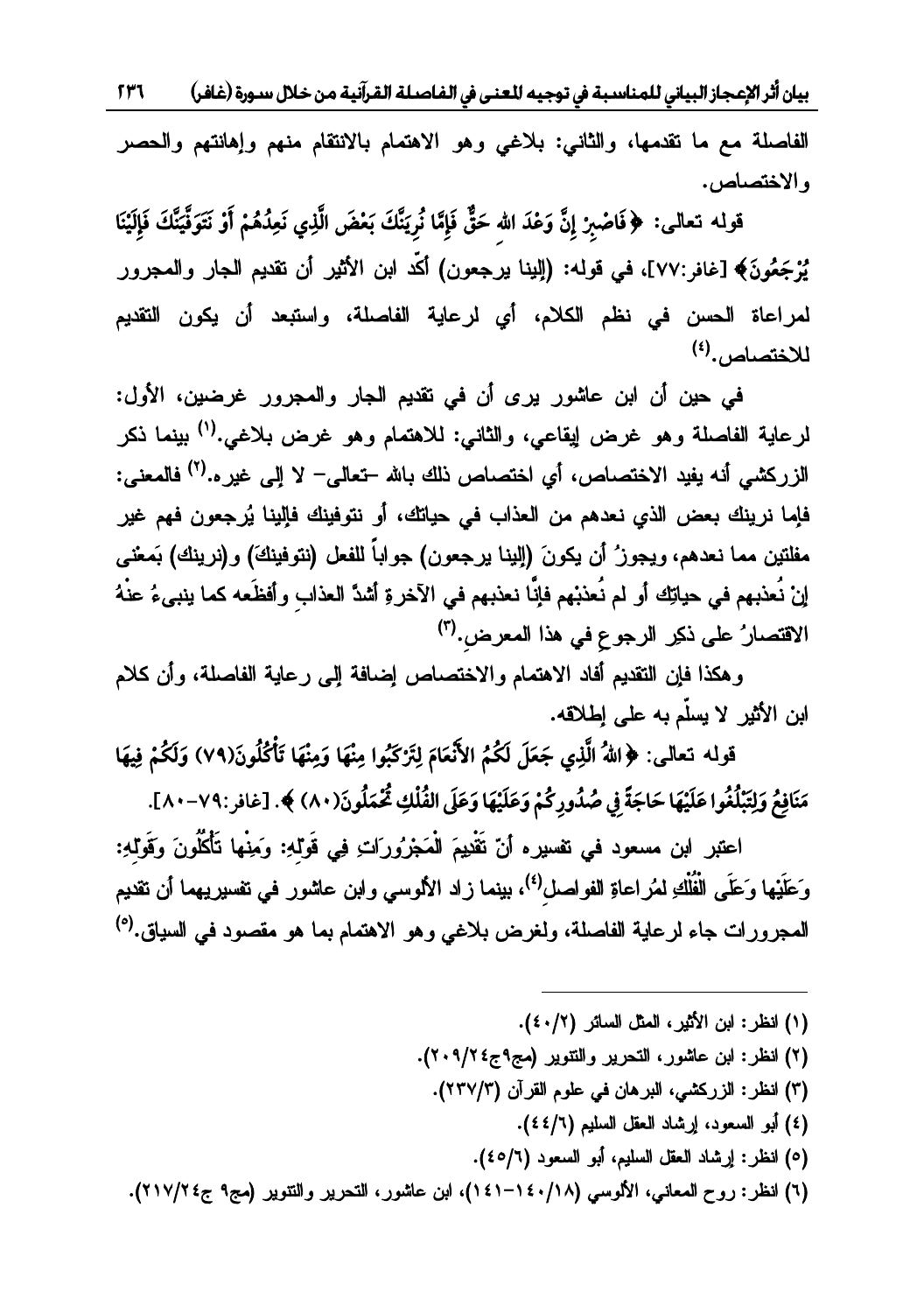بيان أثر الإعجاز البياني للمناسبة في توجيه للعنى في الفاصلة القرآنية من خلال سـورة (غافر)  $577$ 

الفاصلة مع ما تقدمها، والثاني: بلاغي وهو الاهتمام بالانتقام منهم وإهانتهم والحصر والاختصاص.

قوله تعالى: ﴿فَاصْبِرْ إِنَّ وَعْدَ الله حَقٌّ فَإِمَّا نُرِيَنَّكَ بَعْضَ الَّذِي نَعِدُهُمْ أَوْ نَتَوَفَّيَنَّكَ فَإِلَيْنَا يُزْجَعُونَ﴾ [غافر:٧٧]، في قوله: (إلينا يرجعون) أكَّد ابن الأثير أن نقديم الجار والمجرور لمراعاة الحسن في نظم الكلام، أي لرعاية الفاصلة، واستبعد أن يكون التقديم للاختصاص.(<sup>٤)</sup>

في حين أن ابن عاشور يرى أن في تقديم الجار والمجرور غرضين، الأول: لرعاية الفاصلة وهو غرض إيقاعي، والثاني: للاهتمام وهو غرض بلاغي.<sup>(١)</sup> بينما ذكر الزركشي أنه يفيد الاختصاص، أي اختصاص ذلك بالله –تعالى– لا إلى غير..<sup>(٢)</sup> فالمعنى: فإما نرينك بعض الذي نعدهم من العذاب في حياتك، أو نتوفينك فإلينا يُرجعون فهم غير مفلتين مما نعدهم، ويجوز ُ أن يكونَ (إلينا يرجعون) جواباً للفعل (نتوفينكَ) و(نرينك) بَمعْنـى إنْ نُعذبهم في حياتِك أو لم نُعذبْهم فإنَّا نعذبهم في الآخرةِ أشدَّ العذابِ وأفظَعه كما ينبىءُ عنْهُ الاقتصارُ على ذكِر الرجوع في هذا المعرض.<sup>(٣)</sup>

وهكذا فإن التقديم أفاد الاهتمام والاختصاص إضافة إلىي رعاية الفاصلة، وأن كلام ابن الأثير لا يسلّم به على إطلاقه.

قوله تعالى: ﴿اللَّهُ الَّذِي جَعَلَ لَكُمُ الأَنْعَامَ لِتَرْكَبُوا مِنْهَا وَمِنْهَا تَأْكُلُونَ(٧٩) وَلَكُمْ فِيهَا مَنَافِعُ وَلِتَبْلُغُوا عَلَيْهَا حَاجَةً فِي صُدُورِكُمْ وَعَلَيْهَا وَعَلَى الفُلْكِ ثُمَّمَلُونَ(٨٠) ﴾. [غافر:٧٩-٨٠].

اعتبر ابن مسعود في نفسيره أنّ نَقْدِيمَ الْمَجْرُورَاتِ فِي قَوْلُهِ: وَمِنْها تَأْكُلُونَ وَقَوْلُهِ: وَعَلَيْها وَعَلَى الْفُلْكِ لمُراعاةِ الفواصل<sup>(٤)</sup>، بينما زاد الألوسي وابن عاشور في نفسيريهما أن نقديم المجرورات جاء لرعاية الفاصلة، ولغرض بلاغ<sub>ى</sub> وهو الاهتمام بما هو مقصود ف<sub>ى</sub> السياق.<sup>(٥)</sup>

(١) انظر: ابن الأثير، المثل السائر (٤٠/٢).

- (٢) انظر: ابن عاشور، التحرير والتتوير (مج٩ج٤٢/٢٠٩).
	- (٣) انظر: الزركشي، البرهان في علوم القرآن (٢٣٧/٣).
		- (٤) أبو السعود، إرشاد العقل السليم (٤٤/٦).
		- (٥) انظر: إرشاد العقل السليم، أبو السعود (٤٥/٢).

(٦) انظر: روح المعاني، الألوسي (١٨/١٤٠-١٤١)، ابن عاشور، التحرير والتتوير (مج٩ ج٤٢/٢١٧).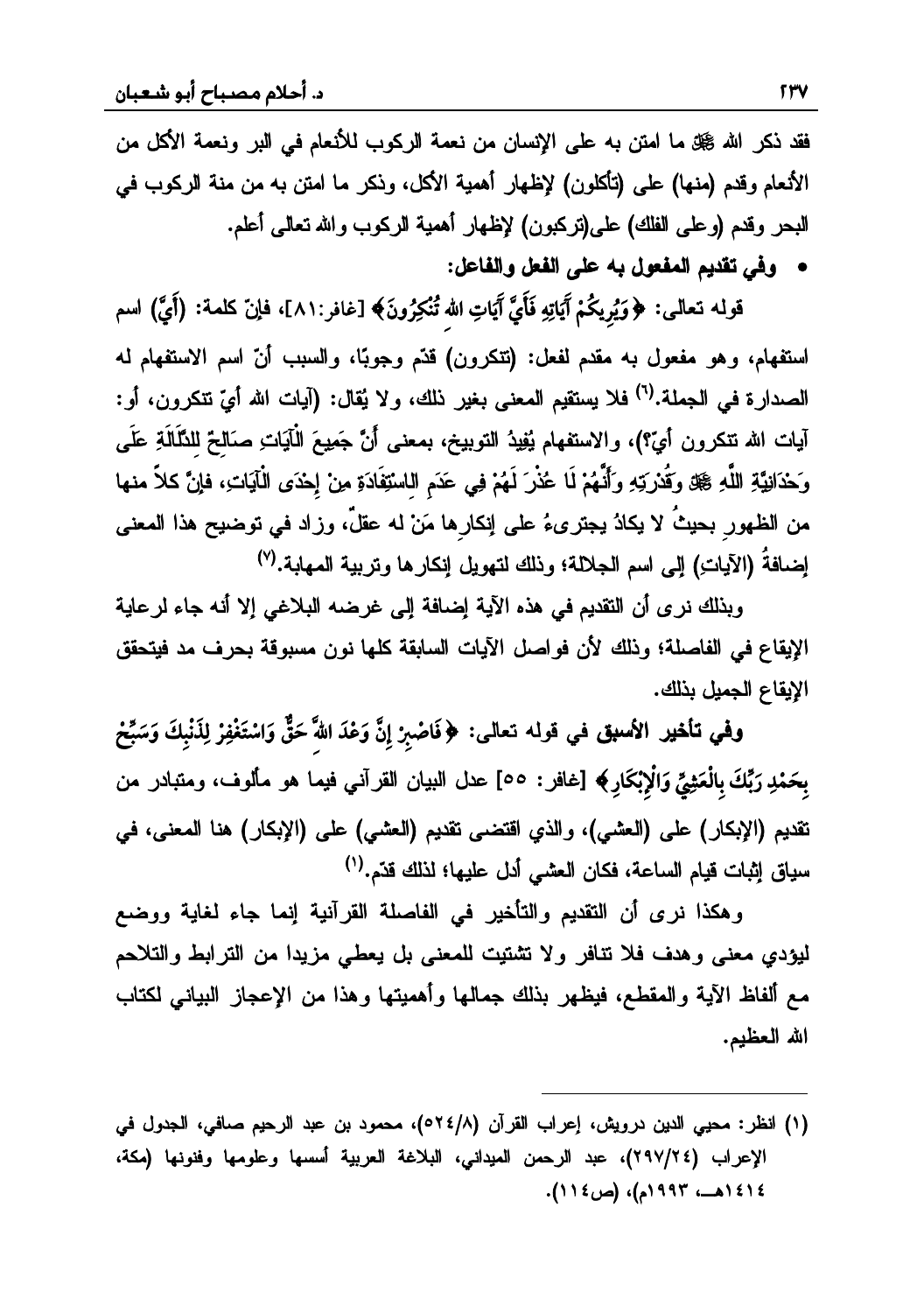فقد ذكر الله ﷺ ما امتن به على الإنسان من نعمة الركوب للأنعام في البر ونعمة الأكل من الأنعام وقدم (منها) على (تأكلون) لإظهار أهمية الأكل، وذكر ما امتن به من منة الركوب في للبحر وقدم (وعلى الفلك) على(تركبون) لإظهار أهمية الركوب والله تعالى أعلم. • وفي تقديم المفعول به على الفعل والفاعل:

قولـه تـعالـى: ﴿وَيُرِيكُمْ آَيَاتِهِ فَأَيَّ آَيَاتِ الله تُنْكِرُونَ﴾ [غافر:٨١]، فاإنّ كلمة: (أَيَّ) اسم استفهام، وهو مفعول به مقدم لفعل: (تتكرون) قدَّم وجوبًا، والسبب أنَّ اسم الاستفهام له الصدارة في الجملة.<sup>(٦)</sup> فلا يستقيم المعنى بغير ذلك، ولا يُقال: (آيات الله أيّ تتكرون، أو: آيات الله تتكرون أيّ؟)، والاستفهام يُفِيدُ التوبيخ، بمعنى أَنَّ جَمِيعَ الْآيَاتِ صَالحٌ للنَّلَالَةِ عَلَى وَحْدَانِيَّةِ اللَّهِ ﷺ وَقُدْرَتِهِ وَأَنْهُمْ لَا عُذْرَ لَهُمْ فِي عَدَمِ اللَّسْتِفَادَةِ مِنْ إِحْدَى الْآيَاتِ، فإنَّ كلاً منها من الظهور بحيثُ لا يكادُ يجترىءُ على إنكارها مَنْ له عقلٌ، وزاد في توضيح هذا المعنى إضافةُ (الآياتِ) إلى اسم الجلالة؛ وذلك لتهويل إنكار ها وتربية المهابة.<sup>(٧)</sup>

وبذلك نرى أن التقديم في هذه الآية إضافة إلى غرضه البلاغي إلا أنه جاء لرعاية الإيقاع في الفاصلة؛ وذلك لأن فواصل الآيات السابقة كلها نون مسبوقة بحرف مد فيتحقق الإيقاع الجميل بذلك.

وفي تأخير الأسبق في قوله تعالى: ﴿فَاصْبِرْ إِنَّ وَعْدَ اللَّهَ حَقٌّ وَاسْتَغْفِرْ لِذَنْبِكَ وَسَبِّحْ بِحَمْدِ رَبِّكَ بِالْعَثِيِّ وَالْإِبْكَارِ﴾ [غافر : ٥٥] عدل البيان القرآني فيما هو مألوف، ومتبادر من تقديم (الإبكار) على (العشي)، والذي اقتضـى تقديم (العشـى) علـى (الإبكار) هنا المعنـى، فـى سياق إثبات قيام الساعة، فكان العشى أدل عليها؛ لذلك قدّم.<sup>(י)</sup>

وهكذا نرى أن التقديم والتأخير في الفاصلة القرآنية إنما جاء لغاية ووضع ليؤدي معنى وهدف فلا نتافر ولا تشتيت للمعنى بل يعطي مزيدا من الترابط والتلاحم مع ألفاظ الآية والمقطع، فيظهر بذلك جمالها وأهميتها وهذا من الإعجاز البياني لكتاب الله العظيم.

(١) انظر: محيى الدين درويش، إعراب القرآن (٥٢٤/٨)، محمود بن عبد الرحيم صافى، الجدول في الإعراب (٢٩٧/٢٤)، عبد الرحمن الميداني، البلاغة العربية أسسها وعلومها وفنونها (مكة، ١٤١٤هــ، ١٩٩٣م)، (ص١١٤).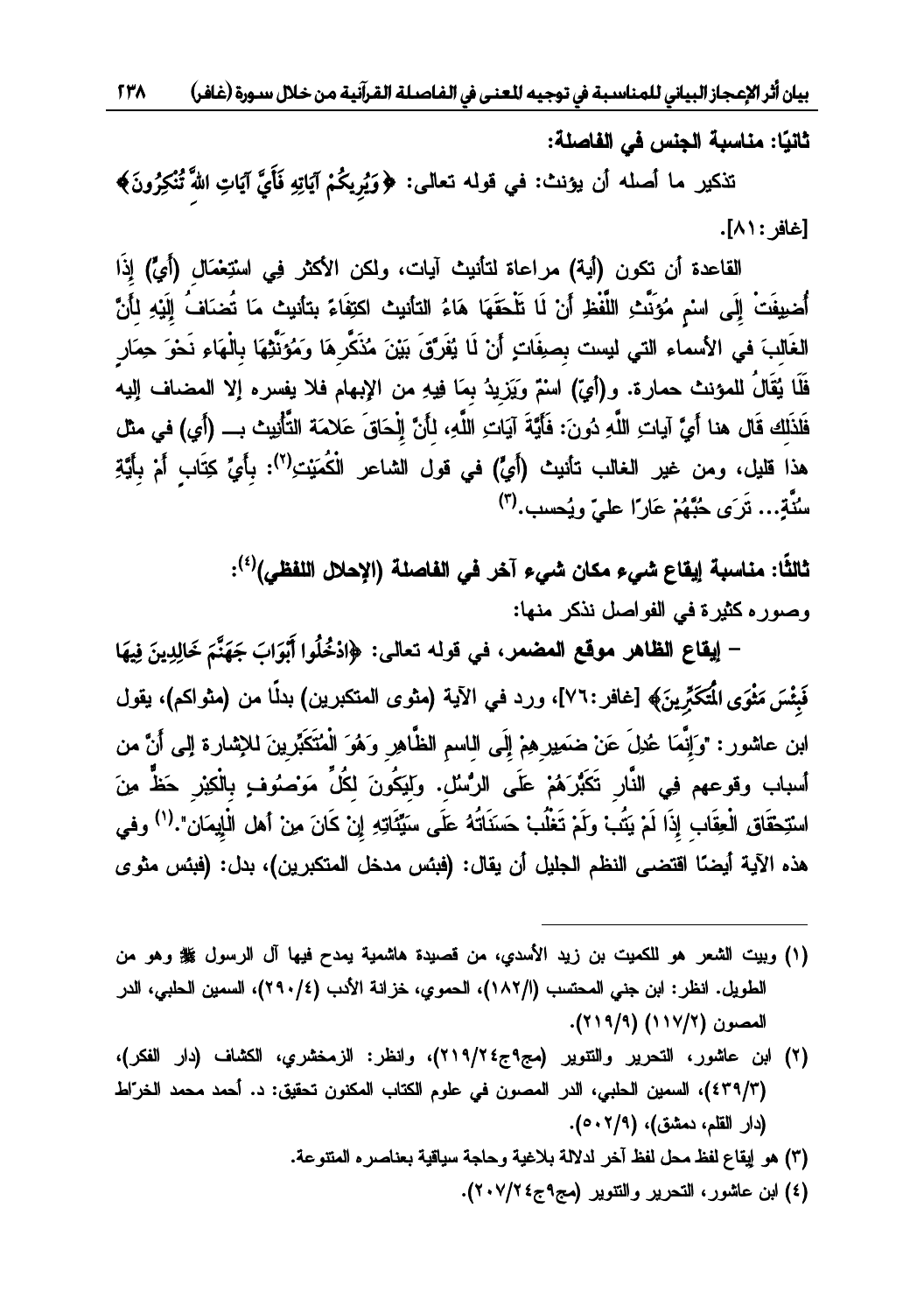ثانيًا: مناسبة الجنس في الفاصلة:

۔<br>تذکیر ما أصله أن یؤنث: فی قوله تعالی: ﴿وَیُریکُمْ آیَاتِهِ فَأَیَّ آیَاتِ اللّٰہَ تُنْکِرُونَ﴾ **ôó÷**[غافر : ٨١].

القاعدة أن تكون (أية) مراعاة لتأنيث آيات، ولكن الأكثر فِي استِعْمَال (أَيٍّ) إذَا أُضيفَتْ الَي اسْمِ مُوَيِّث اللَّفْظ أَنْ لَا تَلْحَقَهَا هَاءُ الثانيث اكتفَاءَ بتأنيث مَا تُضبَافُ الَيْه لأَنَّ الْغَالْبَ في الأسماء التي ليست بصفَات أَنْ لَا يُفَرَّقَ بَيْنَ مُذَكَّرٍ هَا وَمُؤَنَّتُهَا بِالْهَاءِ نَحْوَ حِمَار فَلَا يُقَالُ للمؤنث حمار ة. و (أيّ) اسْمٌ ويَزيدُ بمَا فيه من الإيهام فلا يفسر ه إلا المضاف اليه فَلذَلك قَال هنا أَيَّ آبات اللَّه دُونَ: فَأَيَّةَ آبَات اللَّهِ، لـأَنَّ الْحَاقَ عَلامَة التَّأْنِيث بِ (أي) في مثل هذا قليل، ومن غير الغالب تأنيث (أَيِّ) في قول الشاعر الْكُمَنت<sup>(٢)</sup>: بِأَيِّ كِتَابٍ أَمْ بِأَيِّةٍ مِنْيَّة... تَرَى جُنَّهُمْ عَانَ اعليّ ويُجعِيب. (٣)

> ثالثًا: مناسبة ابقاع شيء مكان شيء آخر في الفاصلة (الإحلال اللفظي)<sup>(٤)</sup>: وصوره كثيرة في الفواصل نذكر منها:

**mfó g** ĹƑƅŕŸśƌƅƏƁƓž**ŧƆŰƆƃŒŴſƍƆŧƋœŲƃŒųœƀƒō - õQó <sup>w</sup> õz TmAóó ¬efó?ó Ñó Ðó÷ < ÌÐcôAôØ÷ Ð ó**فَشْسَ مَثْوَى الْمَكَرِّينَ﴾ [غافر :٧٦]، ورد في الآية (مثوى المتكبرين) بدلًا من (مثواكم)، يقول **óõ**ان عاشور : "وَ انْمَا عُدْلَ عَنْ ضَمَدٍرِ هِمْ الَيِّ الماسمِ الظُّاهِرِ وَهُوَ الْمُتَكَدِّرِ بنَ لِلإِشَارِ ةِ الب*ي*ر أَنَّ مِن أسباب وقوعهم في النَّار -تَكَبَّرَ هُمْ عَلَى الرُّسُلُ. ولَبَكُونَ لِكُلِّ مَوْصُوُفٍ بِالْكِبْرِ -حَظٌّ مِنَ اسْتَحْقَاقِ الْعقَابِ إِذَا لَمْ نَتُفُ وِلَمْ تَغْلُبُ حَسَنَاتُهُ عَلَى مِسَّنَّاتِه إِنْ كَانَ مِنْ أَهْلِ الْإِيمَانِ". (') وفير هذه الآية أيضاً اقتضىي النظم الجليل أن يقال: (فبئس مدخل المتكبرين)، بدل: (فبئس مثوى

- (١) وبيت الشعر هو للكميت بن زيد الأسدي، من قصيدة هاشمية يمدح فيها آل الرسول ﷺ وهو من الطويل. انظر : ابن جني المحتسب (١٨٢/١)، الحموي، خزانة الأدب (٢٩٠/٤)، السمين الحلبي، الدر<br>المصون (١١٧/٢) (٢١٩/٩).
- (٢) ابن عاشور، التحرير والتتوير (مج٩ج٤٢/٢١٩)، وانظر: الزمخشري، الكشاف (دار الفكر)، (٤٣٩/٣)، السمين الحلبي، الدر المصون في علوم الكتاب المكنون تحقيق: د. أحمد محمد الخراط (دار القلم، دمشق)، (٢/٩م).
	- مو لِيقاع لفظ محل لفظ آخر لدلالة بلاغية وحاجة سياقية بعناصره المتتوعة.) لا

 $\overline{\phantom{a}}$ 

(٤) ابن عاشور، التحرير والتتوير (مج۹ج٤ ×/٢٠٧).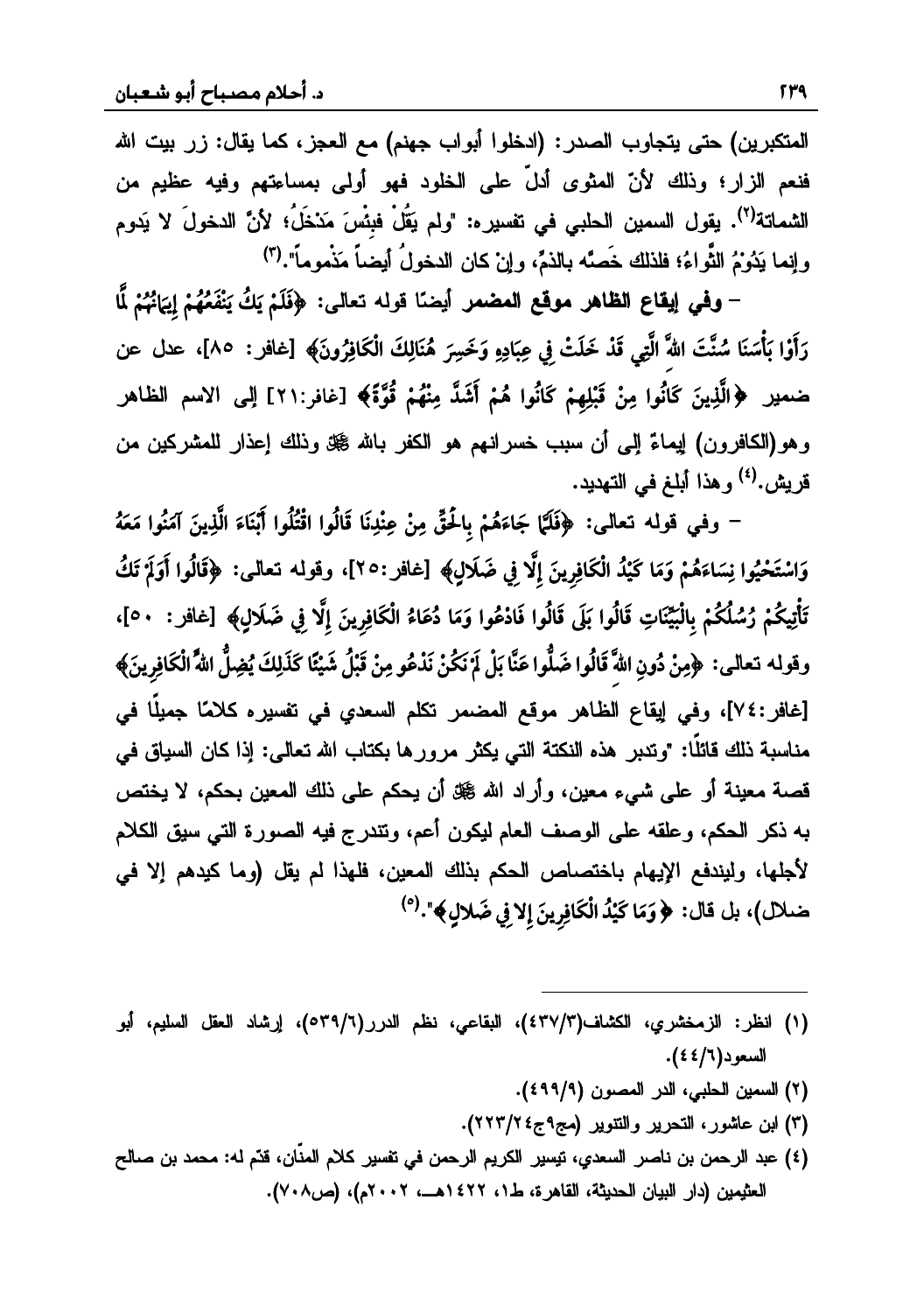المتكبرين) حتى يتجاوب الصدر : (ادخلوا أبواب جهنم) مع العجز ، كما يقال: زر بيت الله فنعم الزار؛ وذلك لأنّ المثوى أدلَّ على الخلود فهو أولى بمساءتهم وفيه عظيم من الشماتة<sup>(٢)</sup>. يقول السمين الحلبي في تفسير ه: "ولم يَقُلْ فبئُسَ مَدْخَلُ؛ لأنَّ الدخولَ لا يَدوم وإنما يَدُوْمُ الثَّواءُ؛ فلذلك خَصَّه بالذمِّ، وإنْ كان الدخولُ أيضاً مَذْموماً".(")

– وفي إيقاع الظاهر موقع المضمر أيضًا قوله تعالى: ﴿فَلَمْ يَكُ يَنْفَعُهُمْ إِيَانُهُمْ لَّمَا رَأَوْا بَأْسَنَا سُنَّتَ اللَّهَ الَّتِي قَدْ خَلَتْ فِي عِبَادِهِ وَخَسِرَ هُنَالِكَ الْكَافِرُونَ﴾ [غافر : ٨٥]، عدل عن ضمير ﴿الَّذِينَ كَانُوا مِنْ قَبْلِهِمْ كَانُوا هُمْ أَشَدَّ مِنْهُمْ قُوَّةَ﴾ [غافر:٢١] إلى الاسم الظاهر وهو(الكافرون) لِيماءٌ إلى أن سبب خسرانـهم هو الكفر بـالله ﷺ وذلك إعذار للمشركين من قريش.<sup>(٤)</sup> و هذا أبلغ في التهديد.

– وفي قوله تعالى: ﴿فَلَمَّا جَاءَهُمْ بِالْحَقِّ مِنْ عِنْدِنَا قَالُوا اقْتُلُوا ٱبْنَاءَ الَّذِينَ آمَنُوا مَعَهُ وَاسْتَحْيُوا نِسَاءَهُمْ وَمَا كَيْدُ الْكَافِرِينَ إِلَّا فِي ضَلَالٍ﴾ [غافر :٢٥]، وقوله تعالى: ﴿قَالُوا أَوَلَمْ تَكُ تَأْتِيكُمْ رُسُلُكُمْ بِالْبَيِّنَاتِ قَالُوا بَلَى قَالُوا فَادْعُوا وَمَا دُعَاءُ الْكَافِرِينَ إِلَّا فِي ضَلَالِ﴾ [غافر : ٥٠]، وقوله تعالى: ﴿مِنْ دُونِ اللَّهَ قَالُوا ضَلُّوا عَنَّا بَلْ لَمَ نَكُنْ نَدْعُو مِنْ قَبْلُ شَيْئًا كَذَلِكَ يُضِلُّ اللَّهُ الْكَافِرِينَ﴾ [غافر:٧٤]، وفي إيقاع الظاهر موقع المضمر تكلم السعدي في تفسيره كلامًا جميلًا في مناسبة ذلك قائلًا: "وتدبر هذه النكتة التي يكثر مرورها بكتاب الله تعالى: إذا كان السياق في قصـة معينـة أو علـى شـيء معين، وأراد الله ﷺ أن يـحكم علـى ذلك المعين بـحكم، لا يـختص به ذكر الحكم، وعلقه على الوصف العام ليكون أعم، وتندرج فيه الصورة التي سيق الكلام لأجلها، وليندفع الإيهام باختصاص الحكم بذلك المعين، فلهذا لم يقل (وما كيدهم إلا في ضلال)، بل قال: ﴿وَمَا كَيْدُ الْكَافِرِينَ إِلاَ فِي ضَلالٍ﴾".<sup>(٥)</sup>

- (١) انظر: الزمخشري، الكشاف(٤٣٧/٣)، البقاعي، نظم الدرر(٥٣٩/٦)، إرشاد العقل السليم، أبو السعود(٦/٤٤).
	- (٢) السمين الحلبي، الدر المصون (٤٩٩/٩).
	- (٣) ابن عاشور، التحرير والتتوير (مج٩ج٤٢/٢٢٣).
- (٤) عبد الرحمن بن ناصر السعدي، نيسير الكريم الرحمن في نفسير كلام المذّان، قدّم له: محمد بن صالح العثيمين (دار البيان الحديثة، القاهرة، ط١، ١٤٢٢هــ، ٢٠٠٢م)، (ص٧٠٨).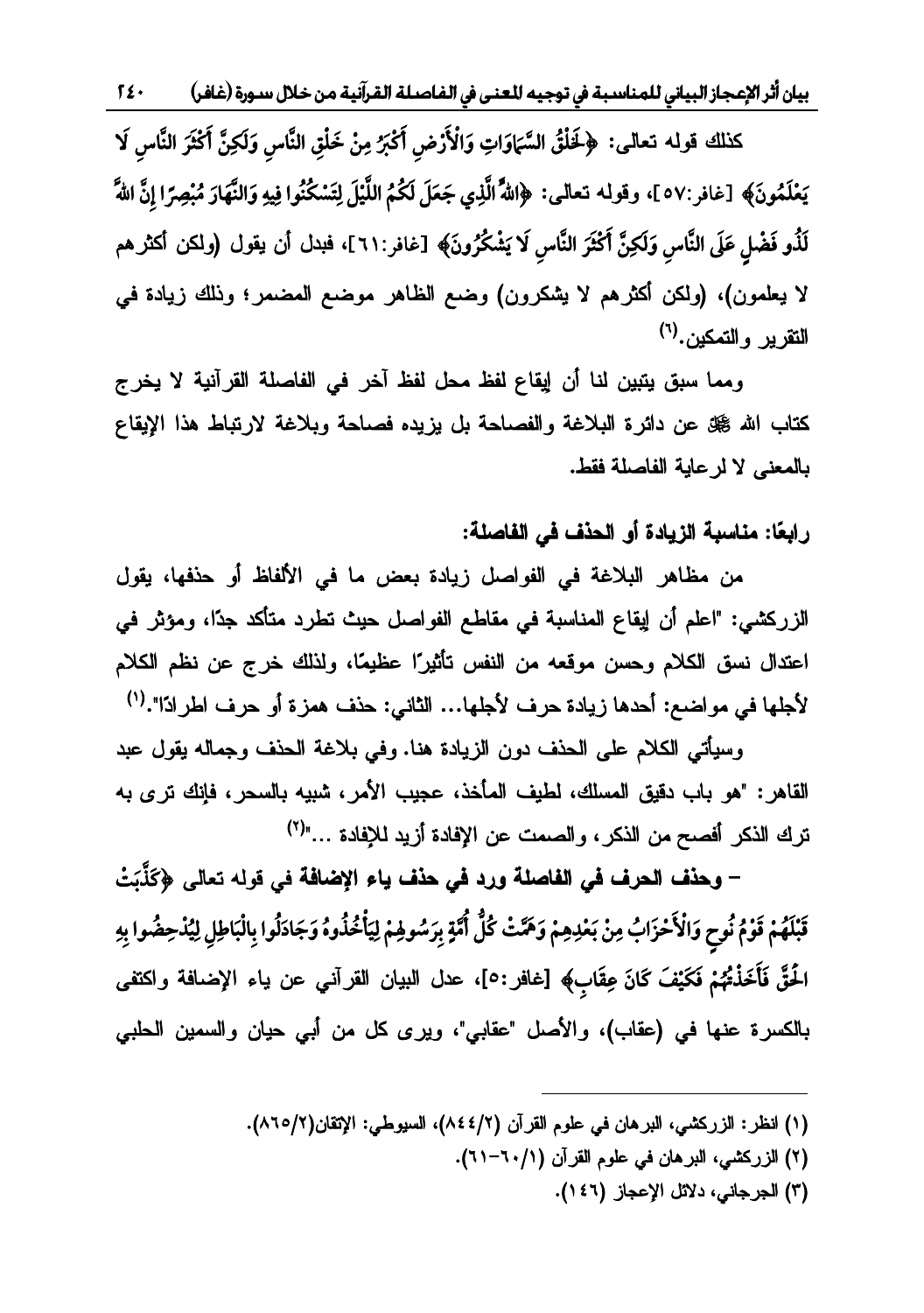بيان أثر الإعجاز البياني للمناسبة في توجيه للعنى في الفاصلة القرآنية من خلال سورة (غافر)  $52.$ 

كذلك قوله تعالى: ﴿لَخَلْقُ السَّمَاوَاتِ وَالْأَرْضِ أَكْبَرُ مِنْ خَلْقِ النَّاسِ وَلَكِنَّ أَكْثَرَ النَّاسِ لَا يَعْلَمُونَ﴾ [غافر:٥٧ ]، وقوله تعالى: ﴿اللَّهُ الَّذِي جَعَلَ لَكُمُ اللَّيْلَ لِتَسْكُنُوا فِيهِ وَالنَّهَارَ مُبْصِرًا إِنَّ اللَّهَ لَذُو فَضْلٍ عَلَى النَّاسِ وَلَكِنَّ أَكْثَرَ النَّاسِ لَا يَشْكُرُونَ﴾ [غافر:٢١١]، فبدل أن يقول (ولكن أكثر هم لا يعلمون)، (ولكن أكثرهم لا يشكرون) وضع الظاهر موضع المضمر؛ وذلك زيادة في التقرير والتمكين.<sup>(٦)</sup>

ومما سبق يتبين لنا أن إيقاع لفظ محل لفظ آخر في الفاصلة القرآنية لا يخرج كتاب الله ﷺ عن دائرة البلاغة والفصاحة بل يزيده فصاحة وبلاغة لارتباط هذا الإيقاع بالمعنى لا لر عاية الفاصلة فقط.

# رابِعًا: مناسبة الزيادة أو الحنف في الفاصلة:

من مظاهر البلاغة في الفواصل زيادة بعض ما في الألفاظ أو حذفها، يقول الزركشي: "اعلم أن إيقاع المناسبة في مقاطع الفواصل حيث تطرد متأكد جدًا، ومؤثر في اعتدال نسق الكلام وحسن موقعه من النفس تأثيرًا عظيمًا، ولذلك خرج عن نظم الكلام لأجلها في مواضع: أحدها زيادة حرف لأجلها... الثاني: حذف همزة أو حرف اطرادًا".<sup>(י)</sup>

وسيأتي الكلام على الحذف دون الزيادة هنا. وفي بلاغة الحذف وجماله يقول عبد القاهر : "هو باب دقيق المسلك، لطيف المأخذ، عجيب الأمر ، شبيه بالسحر ، فإنك ترى به ترك الذكر أفصح من الذكر ، والصمت عن الإفادة أزيد للإفادة …"<sup>(٢)</sup>

– وحذف الحرف في الفاصلة ورد في حذف ياء الإضافة في قوله تعالى ﴿كَذَّبَتْ قَبْلَهُمْ قَوْمُ نُوحٍ وَالْأَحْزَابُ مِنْ بَعْدِهِمْ وَهَنَّتْ كُلُّ أُمَّةٍ بِرَسُولِهِمْ لِيَأْخُذُوهُ وَجَادَلُوا بِالْبَاطِلِ لِيُذْحِضُوا بِهِ الْحَقَّ فَأَخَذْتُهُمْ فَكَيْفَ كَانَ عِقَابٍ﴾ [غافر:٥]، عدل البيان القرآنـي عن ياء الإضـافة واكتفى بالكسرة عنها في (عقاب)، والأصل "عقابي"، ويرى كل من أبي حيان والسمين الحلبي

- (١) انظر: الزركشي، البرهان في علوم القرآن (٨٤٤/٢)، السيوطي: الإتقان(٢/٢٨٦).
	- (٢) الزركشي، البرهان في علوم القرآن (١/ ٦٠-٢١).
		- (٣) الجرجاني، دلائل الإعجاز (١٤٦).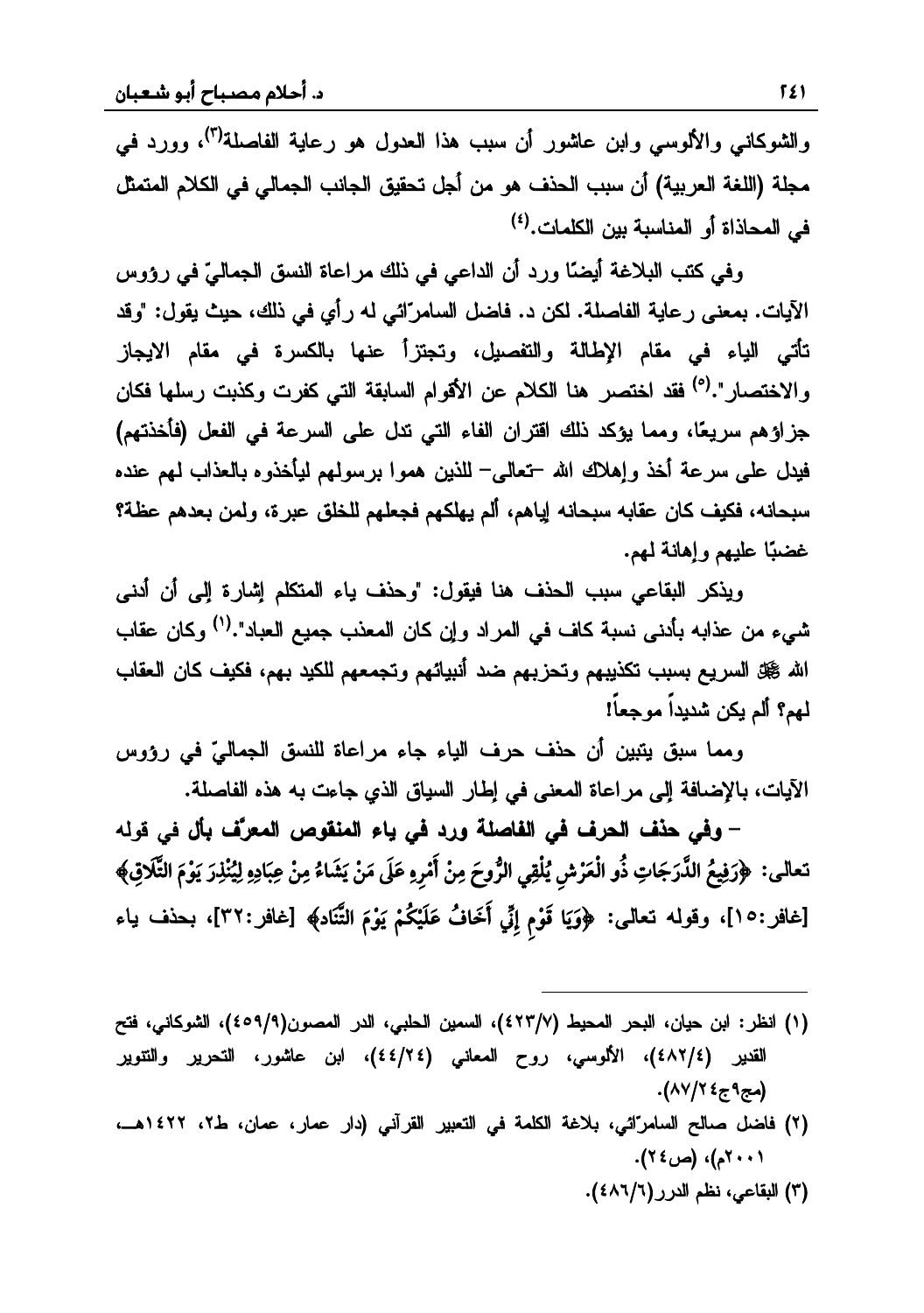والشوكاني والألوسي وابن عاشور أن سبب هذا العدول هو رعاية الفاصلة<sup>(٣)</sup>، وورد في مجلة (اللغة العربية) أن سبب الحذف هو من أجل تحقيق الجانب الجمالي في الكلام المتمثل في المحاذاة أو المناسبة بين الكلمات.<sup>(٤)</sup>

وفي كتب البلاغة أيضًا ورد أن الداعر في ذلك مر اعاة النسق الجماليّ في رؤوس الآيات. بمعنى رعاية الفاصلة. لكن د. فاضل السامرّائي له رأي في ذلك، حيث يقول: "وقد تأتي الياء في مقام الإطالة والتفصيل، وتجتزأ عنها بالكسرة في مقام الايجاز و الإختصار ".<sup>(٥</sup>) فقد اختصر هنا الكلام عن الأقوام السابقة التي كفر ت وكذبت رسلها فكان جزاؤهم سريعًا، ومما يؤكد ذلك اقتران الفاء التي تدل على السرعة في الفعل (فأخذتهم) فيدل على سرعة أخذ وإهلاك الله –تعالى– للذين هموا برسولهم ليأخذوه بالعذاب لمهم عنده سبحانه، فكيف كان عقابه سبحانه إياهم، ألم يهلكهم فجعلهم للخلق عبرة، ولمن بعدهم عظة؟ غضبًا عليهم وإهانة لمهم.

ويذكر البقاعي سبب الحذف هنا فيقول: "وحذف ياء المتكلم إشارة إلى أن أدنى شيرء من عذابه بأدني نسبة كاف في المر اد وان كان المعذب حميع العباد".<sup>(١)</sup> وكان عقاب الله ﷺ السريع بسبب تكذيبهم وتحزبهم ضد أنبيائهم وتجمعهم للكيد بهم، فكيف كان العقاب<br>لمهم؟ ألم يكن شديداً موجعاً!

ومما سبق بتين أن حذف حرف الباء جاء مراعاة للنسق الجماليّ في رؤوس الآيات، بالإضافة إلى مراعاة المعنى في إطار السياق الذي جاءت به هذه الفاصلة.

ƌƅƏƁƓž**¾ŋŕŻċŧŶƆƃŒŭƍƀƈƆƃŒŇœƒƑżťŧƍ ŗƄŮœŽƃŒƑżŻŧšƃŒŻŦšƑżƍ -** ĹƑƅŕŸś **wÚó õ{÷eô gõ Tõì õØm õK÷ õXôÊmYó w÷ óXCó Kóõì|õ ÷X Ì÷ õXÖó í| TÐ õac÷ ô wÝõ | ÷^óT÷ÐíÙô õÓm?óÚóz¬TÐô gõQÚó õç°ó ¬TÐ ó** ĸ **ê ÷óóóó´** $\{ \phi \}$  [غافر :١٥]، وقوله تعالى: ﴿وَيَا قَوْمِ إِنِّي أَخَافُ عَلَيْكُمْ يَوْمَ التَّنَادِ﴾ [غافر :٣٢]، بحذف ياء **÷÷÷óõ**

(١) انظر: ابن حيان، البحر المحيط (٤٢٣/٧)، السمين الحلبي، الدر المصون(٤٥٩/٩)، الشوكاني، فتح القدير (٤٤/٢٤)، الألوسى، روح المعانى (٤٤/٢٤)، ابن عاشور، النحرير والنتوير (مج۹ج٤٢/٨٧).

 $\overline{\phantom{a}}$ 

- (٢) فاضل صالح السامرائي، بلاغة الكلمة في التعبير القرآني (دار عمار، عمان، ط٢، ١٤٢٢هــ، (٢٠٠١م)، (ص٢٤).
	- (٣) البقاعي، نظم الدرر (١/٦٨٦).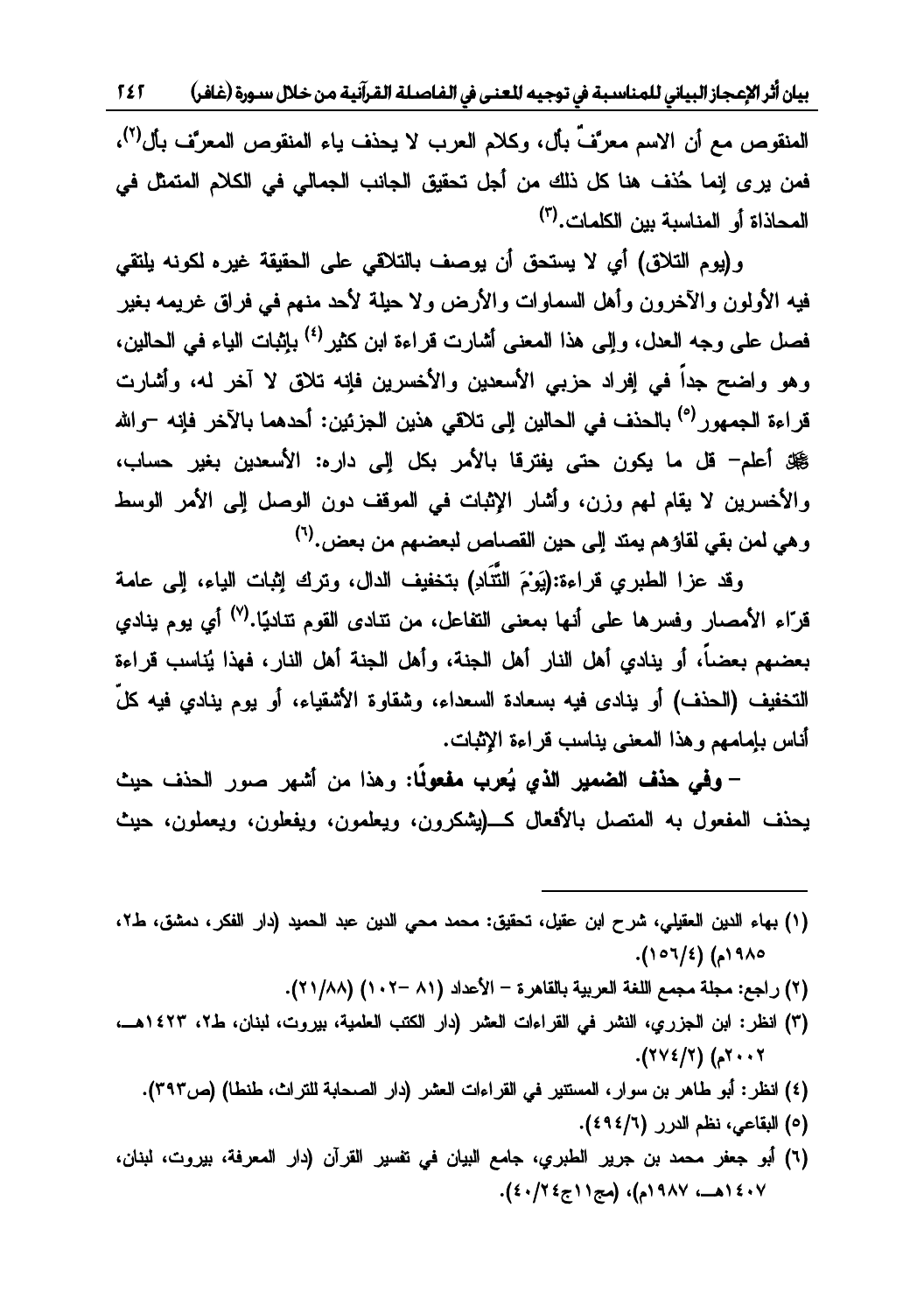بيان أثر الإعجاز البياني للمناسبة في توجيه للعنى في الفاصلة القرآنية من خلال سورة (غافر) 1 £ 1

المنقوص مع أن الاسم معرَّفٌ بأل، وكلام العرب لا يحذف ياء المنقوص المعرَّف بأل<sup>(٢)</sup>، فمن يرى إنما حُذف هنا كل ذلك من أجل تحقيق الجانب الجمالي في الكلام المتمثل في المحاذاة أو المناسبة بين الكلمات.<sup>(٣)</sup>

و(يوم التلاق) أي لا يستحق أن يوصف بالتلاقي على الحقيقة غيره لكونه يلتقي فيه الأولون والآخرون وأهل السماوات والأرض ولا حيلة لأحد منهم في فراق غريمه بغير فصل على وجه العدل، والى هذا المعنى أشارت قراءة ابن كثير <sup>(٤)</sup> باشات الباء في الجالين، وهو واضح جداً في إفراد حزبي الأسعدين والأخسرين فإنه تلاق لا آخر له، وأشارت قر اءة الحمهور <sup>(٥)</sup> بالحذف في الحالين الي تلاقي هذين الجزئين: أحدهما بالآخر فانه –والله ∰ أعلم− قل ما يكون حتى يفترقا بالأمر بكل إلى داره: الأسعدين بغير حساب، والأخسرين لا يقام لهم وزن، وأشار الإثبات في الموقف دون الوصل إلى الأمر الوسط ، هي لمن يقي لقاؤ هم يمتد الي حين القصاص ليعضهم من يعض.<sup>(٦)</sup>

وقد عزا الطيري قراءة:(يَوْمَ التَّتَاد) بتخفيف الدال، وترك اثبات الباء، البي عامة قرّاء الأمصار وفسرها على أنها بمعنى التفاعل، من نتادى القوم نتابيًا.(<sup>٧)</sup> أي بوم بنادي يعضيهم يعضياً، أو ينادي أهل النار أهل الجنة، وأهل الجنة أهل النار ، فهذا بُناسب قراءة التخفيف (الحذف) أو ينادى فيه بسعادة السعداء، وشقاوة الأشقياء، أو يوم ينادي فيه كلّ<br>أناس بإمامهم وهذا المعنى يناسب قراءة الإثبات.

– **وفي حذف الضمير الذي يُعرب مفعولًا:** وهذا من أشهر صور الحذف حيث يحذف المفعول به المتصل بالأفعال كــــ(يشكرون، ويعلمون، ويغهلون، حيث

- (١) بهاء الدين العقيلي، شرح ابن عقيل، تحقيق: محمد محي الدين عبد الحميد (دار الفكر، دمشق، ط٢، .(١٥٦/٤)Ƈ١٩٨٥
	- (٢) راجع: مجلة مجمع اللغة العربية بالقاهرة الأعداد (٨١ –١٠٢) (٢١/٨٨).

- (٣) انظر: ابن الجزري، النشر في القراءات العشر (دار الكتب العلمية، بيروت، لبنان، ط٢، ١٤٢٣هـ، .(٢٧٤/٢Ƈ٢٠٠٢
	- (٤) انظر: أبو طاهر بن سوار، المستنير في القراءات العشر (دار الصحابة للتراث، طنطا) (ص٣٩٣).
		- (٥) البقاعي، نظم الدرر (٦/٤٩٤).
- (٦) أبو جعفر محمد بن جرير الطبري، جامع البيان في تفسير القرآن (دار المعرفة، بيروت، لبنان، ١٤٠٧هـ، ١٩٨٧م)، (مج١١ج٤٠/٤٠).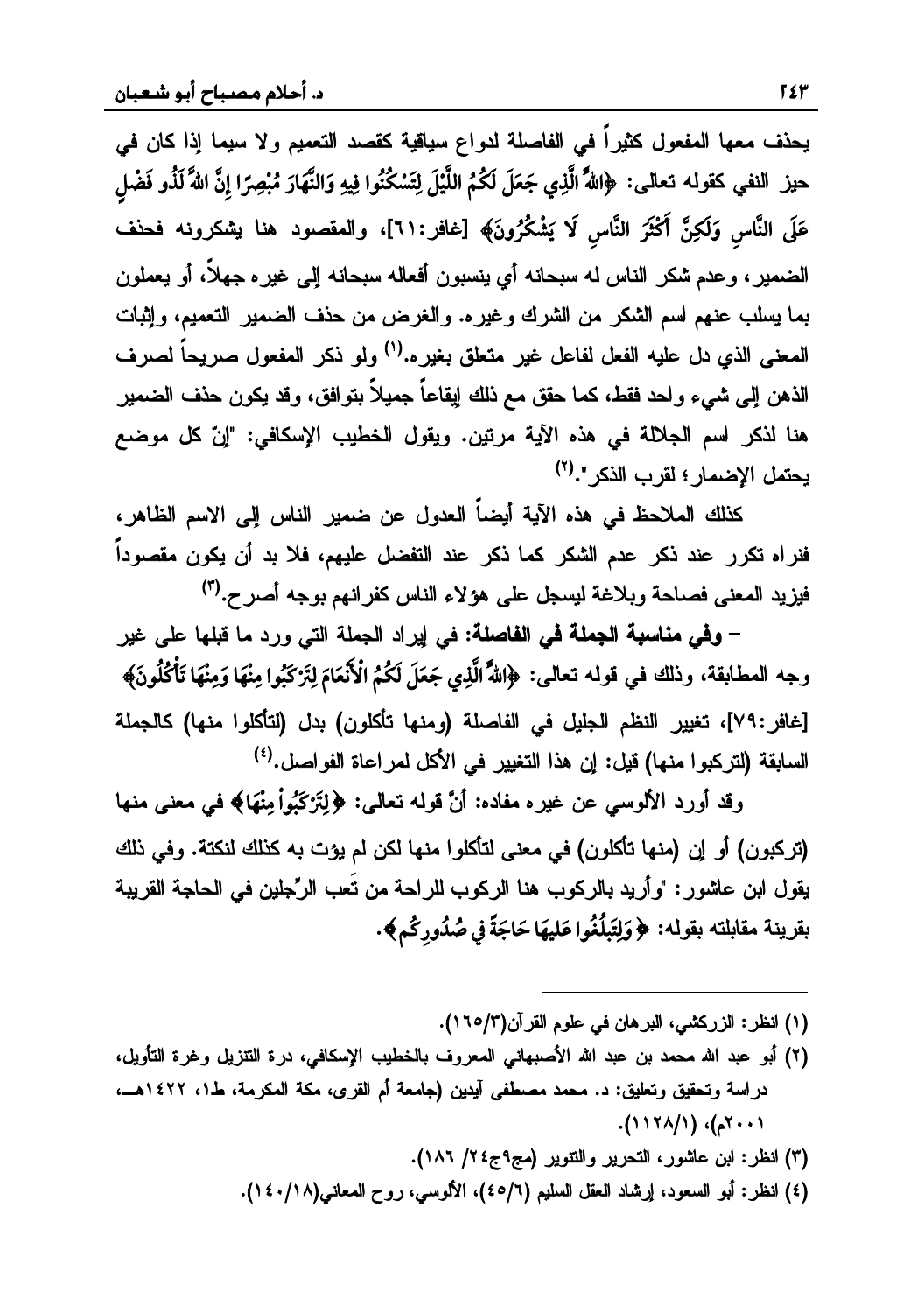يحذف معها المفعول كثيراً في الفاصلة لدواع سياقية كقصد التعميم ولا سيما إذا كان في حيز النفي كقوله تعالى: ﴿اللَّهُ الَّذِي جَعَلَ لَكُمُ اللَّيْلَ لِتَسْكُنُوا فِيهِ وَالنَّهَارَ مُبْصِرًا إِنَّ اللَّا لَذُو فَضْل عَلَى النَّاسِ وَلَكِنَّ أَكْثَرَ النَّاسِ لَا يَشْكُرُونَ﴾ [غافر:٢١]، والمقصود هنا يشكرونه فحذف الضمير ، وعدم شكر الناس له سبحانه أي ينسبون أفعاله سبحانه إلى غير ه جهلاً، أو يعملون بما يسلب عنهم اسم الشكر من الشرك وغيره. والغرض من حذف الضمير التعميم، وإثبات المعنى الذي دل عليه الفعل لفاعل غير متعلق بغيره.<sup>(١)</sup> ولو ذكر المفعول صريحاً لصرف الذهن إلى شيء واحد فقط، كما حقق مع ذلك إيقاعاً جميلاً بتوافق، وقد يكون حذف الضمير هنا لذكر اسم الجلالة في هذه الآية مرتين. ويقول الخطيب الإسكافي: "إنّ كل موضع يحتمل الإضمار ؛ لقرب الذكر ".<sup>(٢)</sup>

كذلك الملاحظ في هذه الآية أيضاً العدول عن ضمير الناس إلى الاسم الظاهر، فنراه تكرر عند ذكر عدم الشكر كما ذكر عند التفضل عليهم، فلا بد أن يكون مقصوداً فيزيد المعنى فصاحة وبلاغة ليسجل على هؤلاء الناس كفرانهم بوجه أصرح.<sup>(٣)</sup>

– وفي مناسبة الجملة في الفاصلة: في إيراد الجملة التي ورد ما قبلها على غير وجه المطابقة، وذلك في قوله تعالى: ﴿اللَّهُ الَّذِي جَعَلَ لَكُمُ الْأَنْعَامَ لِتَزْكَبُوا مِنْهَا وَمِنْهَا تَأْكُلُونَ﴾ [غافر:٧٩]، تغيير النظم الجليل في الفاصلة (ومنها تأكلون) بدل (لتأكلوا منها) كالجملة السابقة (لتركبوا منها) قيل: إن هذا التغيير في الأكل لمراعاة الفواصل.<sup>(٤)</sup>

وقد أورد الألوسي عن غيره مفاده: أنَّ قوله نعالى: ﴿لِتَرْكَبُواْ مِنْهَا﴾ في معنى منها (تركبون) أو إن (منها تأكلون) في معنى لتأكلوا منها لكن لم يؤت به كذلك لنكتة. وفي ذلك يقول ابن عاشور : "وأريد بالركوب هنا الركوب للراحة من تُعب الرِّجلين في الحاجة القريبة بقرينة مقابلته بقوله: ﴿وَلِتَبِلْغُوا عَلِيهَا حَاجَةً فِى صُدُورٍكُم﴾.

- (١) انظر: الزركشي، البرهان في علوم القرآن(٢/٥/٢).
- (٢) أبو عبد الله محمد بن عبد الله الأصبهاني المعروف بالخطيب الإسكافي، درة التتزيل وغرة التأويل، دراسة وتحقيق وتعليق: د. محمد مصطفى أيدين (جامعة أم القرى، مكة المكرمة، ط١، ١٤٢٢هــ،  $(117)()$  ( $(117)$ ).
	- (٣) انظر: ابن عاشور، التحرير والتنوير (مج٩ج٤/ ١٨٦).
	- (٤) انظر: أبو السعود، إرشاد العقل السليم (٤٥/٦)، الألوسي، روح المعاني(١٤٠/١٤١).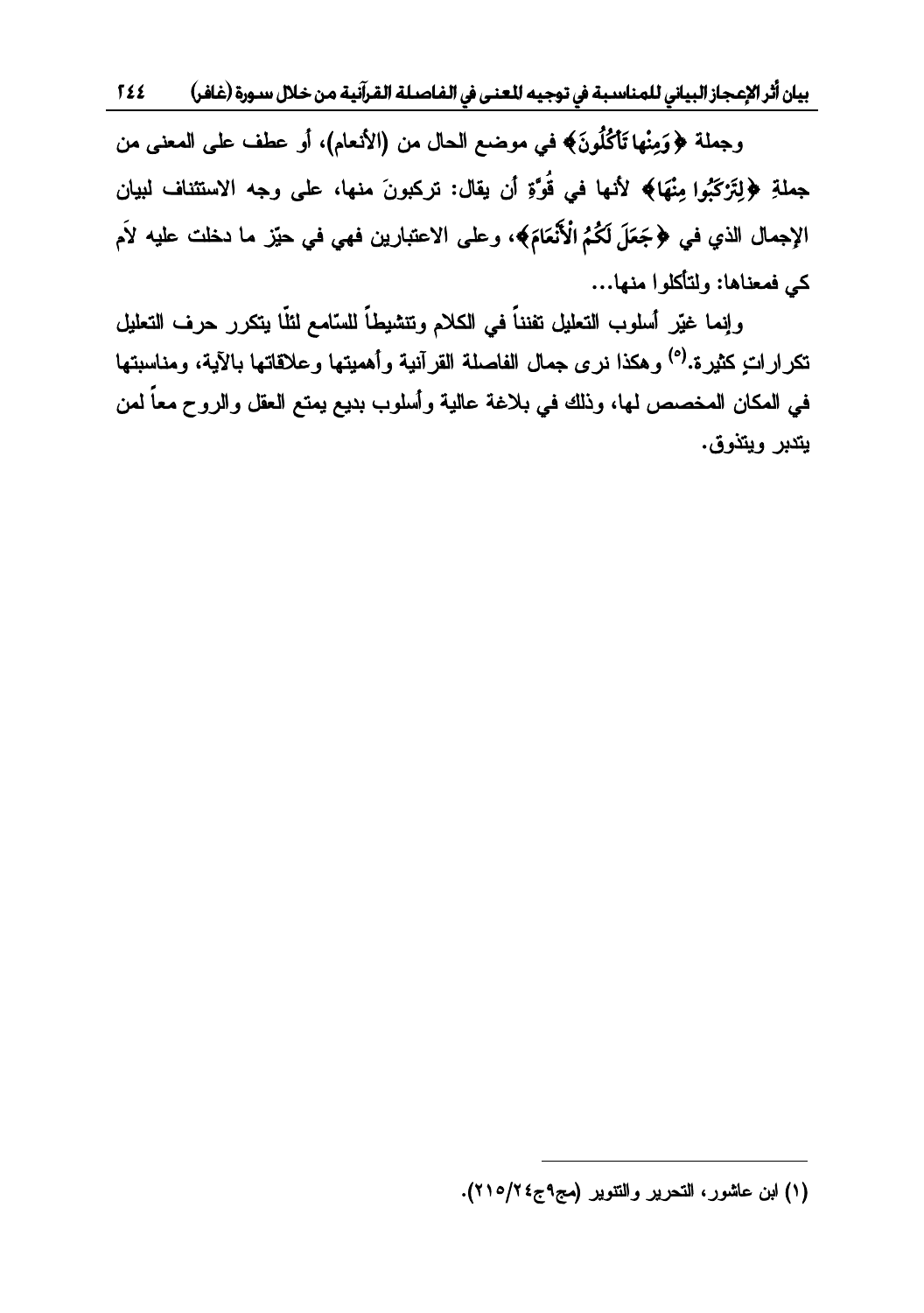بيان أثر الإعجاز البياني للمناسبة في توجيه للعنى في الفاصلة القرآنية من خلال سـورة (غافر)  $522$ 

وجملة ﴿وَمِنْهَا تَأْكُلُونَ﴾ في موضع الحال من (الأنعام)، أو عطف على المعنى من جِملةِ ﴿لِتَرْكَبُوا مِنْهَا﴾ لأنها في قُوَّةِ أن يقال: تركبونَ منها، على وجه الاستئناف لبيان الإجمال الذي في ﴿جَعَلَ لَكُمُ الْأَنْعَامَ﴾، وعلى الاعتبارين فهي في حيّز ما دخلت عليه لأم كي فمعناها: ولتأكلوا منها...

وإنما غيّر أسلوب التعليل تفنناً في الكلام وتنشيطاً للسّامع لثلّا يتكرر حرف التعليل تكراراتٍ كثيرة.<sup>(٥)</sup> وهكذا نرى جمال الفاصلة القرآنية وأهميتها وعلاقاتها بالآية، ومناسبتها في المكان المخصص لها، وذلك في بلاغة عالية وأسلوب بديع يمتع العقل والروح معاً لمن يتدبر ويتذوق.

<sup>(</sup>١) ابن عاشور، التحرير والتتوير (مج٩ج٤٢/٥/٢).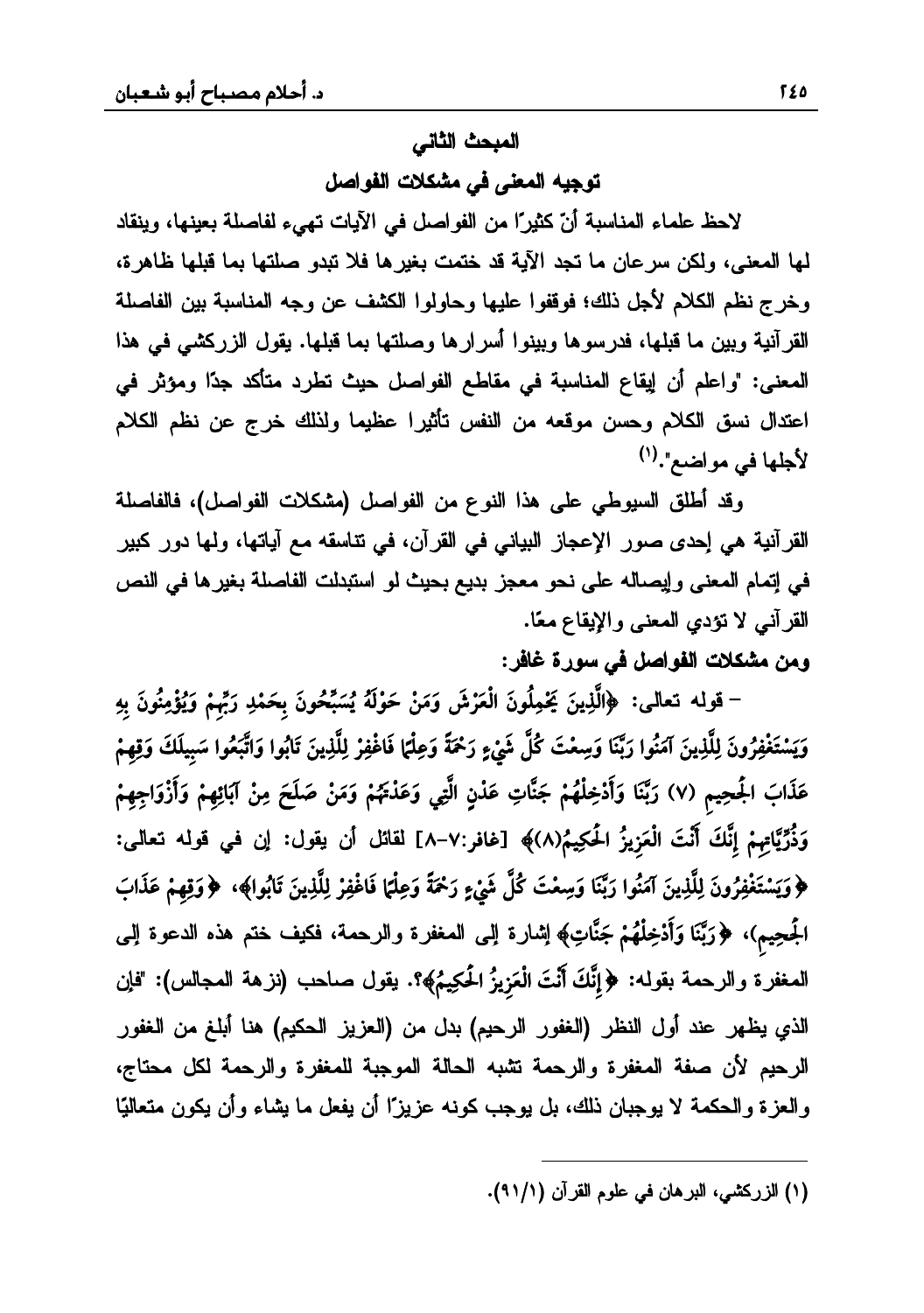#### المبحث الثاني

توجيه المعنى في مشكلات الفواصل

لاحظ علماء المناسبة أنّ كثيرًا من الفواصل في الآيات تهيء لفاصلة بعينها، وينقاد لمها المعنى، ولكن سرعان ما تجد الآية قد ختمت بغيرها فلا تبدو صلتها بما قبلها ظاهرة، وخرج نظم الكلام لأجل ذلك؛ فوقفوا عليها وحاولوا الكشف عن وجه المناسبة بين الفاصلة القرآنية وبين ما قبلها، فدرسوها وبينوا أسرارها وصلتها بما قبلها. يقول الزركشي في هذا المعنى: "واعلم أن إيقاع المناسبة في مقاطع الفواصل حيث تطرد متأكد جدًا ومؤثر في اعتدال نسق الكلام وحسن موقعه من النفس تأثيرا عظيما ولذلك خرج عن نظم الكلام لأجلها في مواضع".(١)

وقد أطلق السيوطي على هذا النوع من الفواصل (مشكلات الفواصل)، فالفاصلة القرآنية هي إحدى صور الإعجاز البياني في القرآن، في تتاسقه مع آياتها، ولمها دور كبير في إتمام المعنى وإيصاله على نحو معجز بديع بحيث لو استبدلت الفاصلة بغيرها في النص القرآني لا نؤدي المعنى والإيقاع معًا.

# ومن مشكلات الفواصل في سورة غافر:

– قوله تعالى: ﴿الَّذِينَ يَحْمِلُونَ الْعَرْشَ وَمَنْ حَوْلَهُ يُسَبِّحُونَ بِحَمْدِ رَبِّهِمْ وَيُؤْمِنُونَ بِهِ وَيَسْتَغْفِرُونَ لِلَّذِينَ آمَنُوا رَبَّنَا وَسِعْتَ كُلَّ شَيْءٍ رَحْمَةً وَعِلْمَا فَاغْفِرْ لِلَّذِينَ تَابُوا وَاتَّبَعُوا سَبِيلَكَ وَقِهِمْ عَذَابَ الجُحِيم (٧) رَبَّنَا وَأَدْخِلْهُمْ جَنَّاتِ عَدْنٍ الَّتِي وَعَدْتَهُمْ وَمَنْ صَلَحَ مِنْ آبَائِهِمْ وَأَزْوَاجِهِمْ وَذُرِّيَّاتِهِمْ إِنَّكَ أَنْتَ الْعَزِيزُ الْحَكِيمُ(٨)﴾ [غافر:٧-٨] لقائل أن يقول: إن في قوله تعالى: ﴿وَيَسْتَغْفِرُونَ لِلَّذِينَ آمَنُوا رَبَّنَا وَسِعْتَ كُلَّ شَيْءٍ رَحْمَةً وَعِلْتا فَاغْفِرْ لِلَّذِينَ تَابُوا﴾، ﴿وَقِهِمْ عَذَابَ الْجَحِيمِ)، ﴿رَبَّنَا وَأَدْخِلْهُمْ جَنَّاتِ﴾ اٍشارة الِمى المعفرة والرحمة، فكيف ختم هذه الدعوة الِمى المعفرة والرحمة بقوله: ﴿إِنَّكَ أَنْتَ الْعَزِيزُ الْحَكِيمُ﴾؟. يقول صاحب (نزهة المجالس): "فإن الذي يظهر عند أول النظر (الغفور الرحيم) بدل من (العزيز الحكيم) هنا أبلغ من الغفور الرحيم لأن صفة المغفرة والرحمة نثمبه الحالة الموجبة للمغفرة والرحمة لكل محتاج، والعزة والحكمة لا يوجبان ذلك، بل يوجب كونه عزيزًا أن يفعل ما يشاء وأن يكون متعاليًا

<sup>(</sup>١) الزركشي، البرهان في علوم القرآن (١/ ٩١).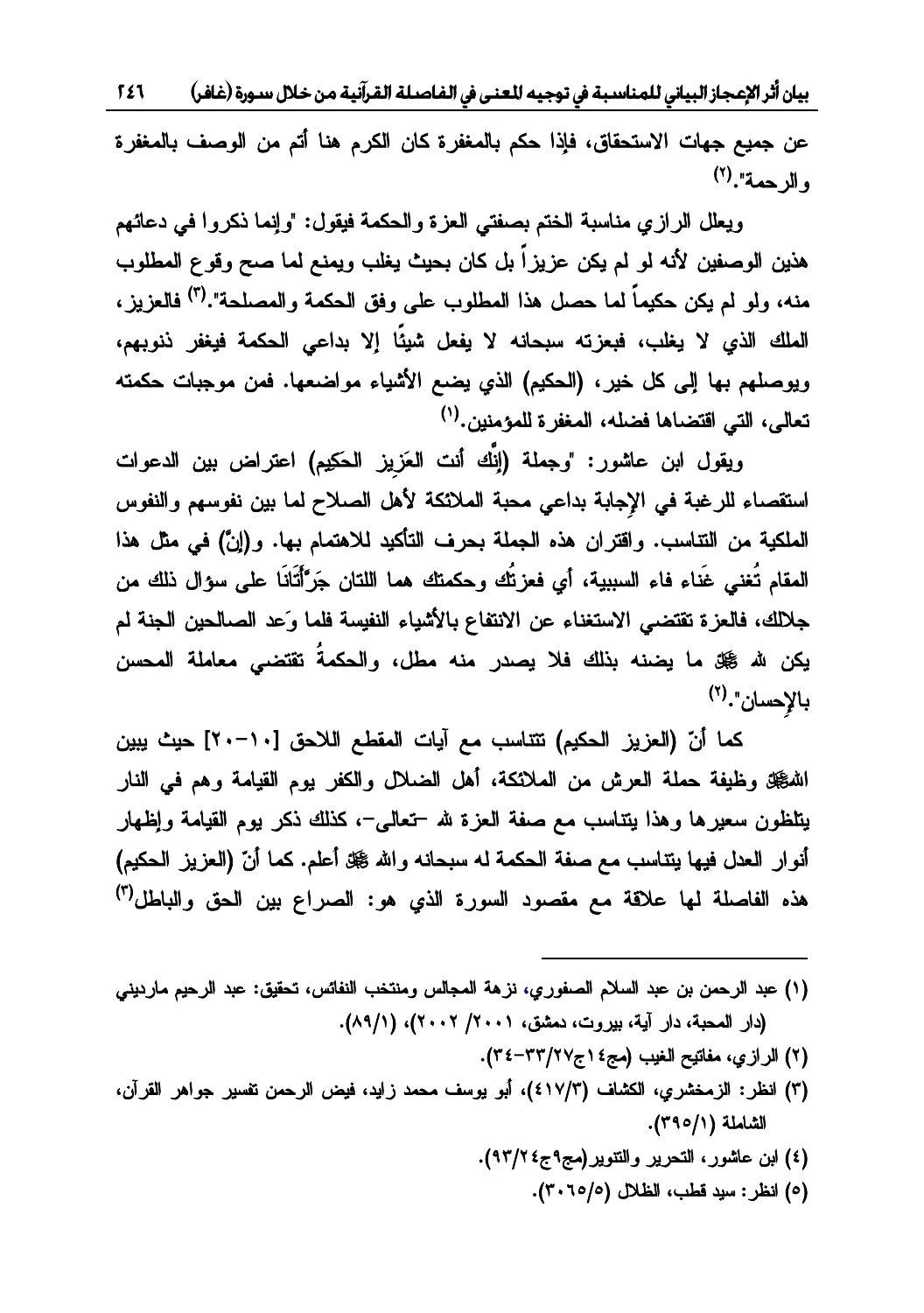بيان أثر الإعجاز البياني للمناسبة في توجيه للعنى في الفاصلة القرآنية من خلال سورة (غافر) 1 £ 1

عن جميع جهات الاستحقاق، فإذا حكم بالمغفرة كان الكرم هنا أتم من الوصف بالمغفرة و الرحمة".<sup>(٢)</sup>

ويعلل الرازي مناسبة الختم بصفتي العزة والحكمة فيقول: "وإنما ذكروا في دعائهم هذين الوصفين لأنه لو لم يكن عزيزاً بل كان بحيث يغلب ويمنع لما صح وقوع المطلوب منه، ولو لم يكن حكيماً لما حصل هذا المطلوب على وفق الحكمة والمصلحة".(<sup>٣)</sup> فالعزيز ، الملك الذي لا يغلب، فيعزته سيجانه لا يفعل شيئًا إلا يداعي الحكمة فيغفر إنهيهم، ويوصلهم بها إلى كل خير، (الحكيم) الذي يضع الأشياء مواضعها. فمن موجبات حكمته تعالى، التي اقتضاها فضله، المغفر ة للمؤمنين.(')

ويقول ابن عاشور : "وجملة (انَّك أنت العَزيز الحكيم) اعتراض بين الدعوات استقصاء للرغبة في الإجابة بداعي محبة الملائكة لأهل الصلاح لما بين نفوسهم والنفوس العلكية من التتاسب. واقتران هذه الجملة بحرف التأكيد للاهتمام بها. و(إنّ) في مثل هذا المقام تُغني غَناء فاء السسنة، أي فعز تُك وحكمتك هما اللتان حَرَّأْتَانَا على سؤال ذلك من جلالك، فالعزة تقتضي الاستغناء عن الانتفاع بالأشياء النفيسة فلما وَعد الصالحين الجنة لم يكن لله ﷺ ما يضنه بنالك فلا يصدر منه مطل، والحكمةَ تقتضى معاملة المحسن  $\mathcal{C}(\mathbf{Y}^{(r)},\mathbf{Y}^{(r)})$ دالإحسان

كما أنّ (العزيز الحكيم) تتناسب مع آيات المقطع اللاحق [١٠-٢٠] حيث يبين اللهُجَّةِ وظيفة حملة العرش من الملائكة، أهل الضلال والكفر يوم القيامة وهم في النار يتلظون سعيرها وهذا يتتاسب مع صفة العزة لله –تعالى–، كذلك ذكر يوم القيامة وإظهار أنوار العدل فيها يتتاسب مع صفة الحكمة له سبحانه والله ﷺ أعلم. كما أنّ (العزيز الحكيم) هذه الفاصلة لما علاقة مع مقصود السورة الذي هو: الصراع بين الحق والباطل<sup>(٣)</sup>

(١) عبد الرحمن بن عبد السلام الصفوري، نزهة المجالس ومنتخب النفائس، تحقيق: عبد الرحيم مارديني (دار المحبة، دار آية، بيروت، دمشق، ٢٠٠١/ ٢٠٠٢)، (٨٩/١).

- (٢) الرازي، مفاتيح الغيب (مج٤ ١ج٢٢/٢٧-٣٤).
- ٣) انظر: الزمخشري، الكشاف (٤١٧/٣)، أبو يوسف محمد زايد، فيض الرحمن تفسير جواهر القرآن، الشاملة (٢٩٥/١).
	- (٤) ابن عاشور، التحرير والتنوير(مج٩ج٤ ٩٣/٢).
		- (٥) انظر: سيد قطب، الظلال (٢٠٦٥/٥).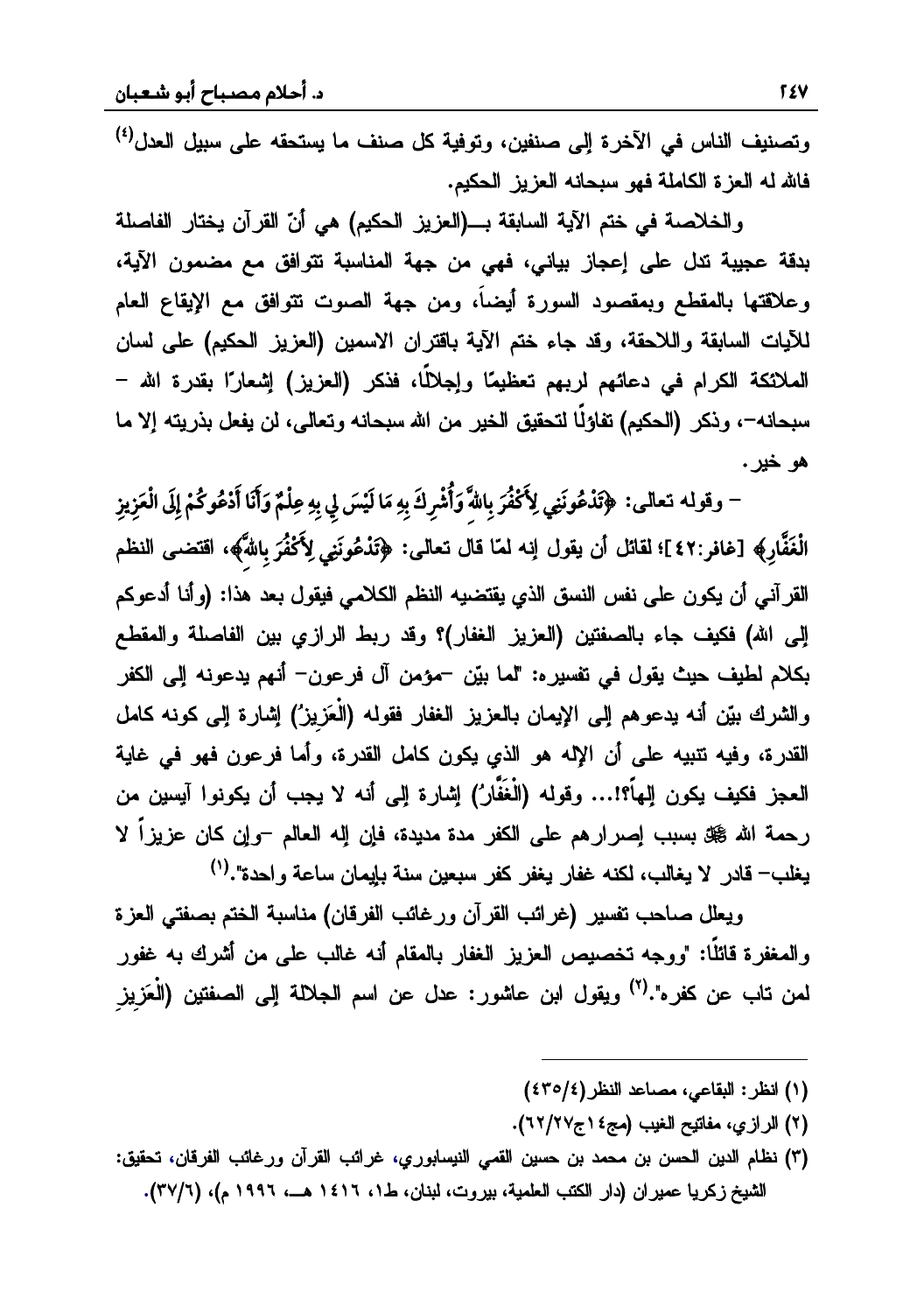وتصنيف الناس في الآخر ة الى صنفين، وتوفية كل صنف ما يستحقه على سبيل العدل<sup>(٤)</sup> فالله له العزة الكاملة فهو سبحانه العزيز الحكيم.

والخلاصة في ختم الآية السابقة بـــ(العزيز الحكيم) هي أنّ القرآن يختار الفاصلة بدقة عجيبة تدل على إعجاز بياني، فهي من جهة المناسبة تتوافق مع مضمون الآية، وعلاقتها بالمقطع وبمقصود السورة أيضاً، ومن جهة الصوت نتوافق مع الإيقاع العام للأيات السابقة واللاحقة، وقد جاء ختم الآية باقتران الاسمين (العزيز الحكيم) على لسان الملائكة الكرام في دعائهم لربهم تعظيمًا وإجلالًا، فذكر (العزيز) إشعارًا بقدرة الله – سبحانه−، وذكر (الحكيم) تفاؤلًا لتحقيق الخير من الله سبحانه وتعالى، لن يفعل بذريته إلا ما هو خير .

-<br>- وقوله تعالى: ﴿تَذْعُونَنِي لِأَكْفُرَ بِاللَّهَ وَأُشْرِكَ بِهِ مَا لَيْسَ لِي بِهِ عِلْمٌ وَأَنَا أَدْعُوكُمْ إِلَى الْعَزِيز **ó÷õ÷õ<**الْغَفَّارِ﴾ [غافر:٤٢]؛ لقائل أن يقول إنه لمنا قال تعالى: ﴿تَذْعُونَنِي لِأَكْفُرَ بِاللَّهُ»، اقتضى النظم **õõ**القرآني أن يكون على نفس النسق الذي يقتضيه النظم الكلامي فيقول بعد هذا: (وأنا أدعوكم إلى الله) فكيف جاء بالصفتين (العزيز الغفار)؟ وقد ربط الرازي بين الفاصلة والمقطع بكلام لطيف حيث يقول في تفسيره: "لما بيّن –مؤمن آل فرعون– أنهم يدعونه إلى الكفر و الشرك بيّن أنه بدعوهم البر الإيمان بالعزيز الغفار فقوله (الْعَزيز´) اشارة البرر كونه كامل القدرة، وفيه تتبيه على أن الإله هو الذي يكون كامل القدرة، وأما فرعون فهو في غاية العجز فكيف بكون المأ؟!... وقوله (الْغَفَّارُ) اشارة البر أنه لا يجب أن بكونوا آيسن من رحمة الله صحي بسبب إصرارهم على الكفر مدة مديدة، فإن إله العالم -وإن كان عزيزاً لا يغلب— قادر الا يغالب، لكنه غفار يغفر كفر سيعين سنة بايمان ساعة واحدة".<sup>(١)</sup>

ويعلل صاحب تفسير (غرائب القرآن ورغائب الفرقان) مناسبة الختم بصفتى العزة والمغفرة قائلًا: "ووجه تخصيص العزيز الغفار بالمقام أنه غالب على من أشرك به غفور لمن تاب عن كفره".<sup>(٢)</sup> ويقول ابن عاشور : عدل عن اسم الحلالة البر الصفتين (الْعَزيز

(١) انظر: البقاعي، مصاعد النظر(٤٣٥/٤)

- (٢) الرازي، مفاتيح الغيب (مج٤ ١ج٢/٢٧).
- (٣) نظام الدين الحسن بن محمد بن حسين القمى النيسابوري، غرائب القرآن ورغائب الفرقان، تحقيق: الشيخ زكريا عميران (دار الكتب العلمية، بيروت، لبنان، ط١، ١٤١٦ هــ، ١٩٩٦ م)، (٣٧/٦).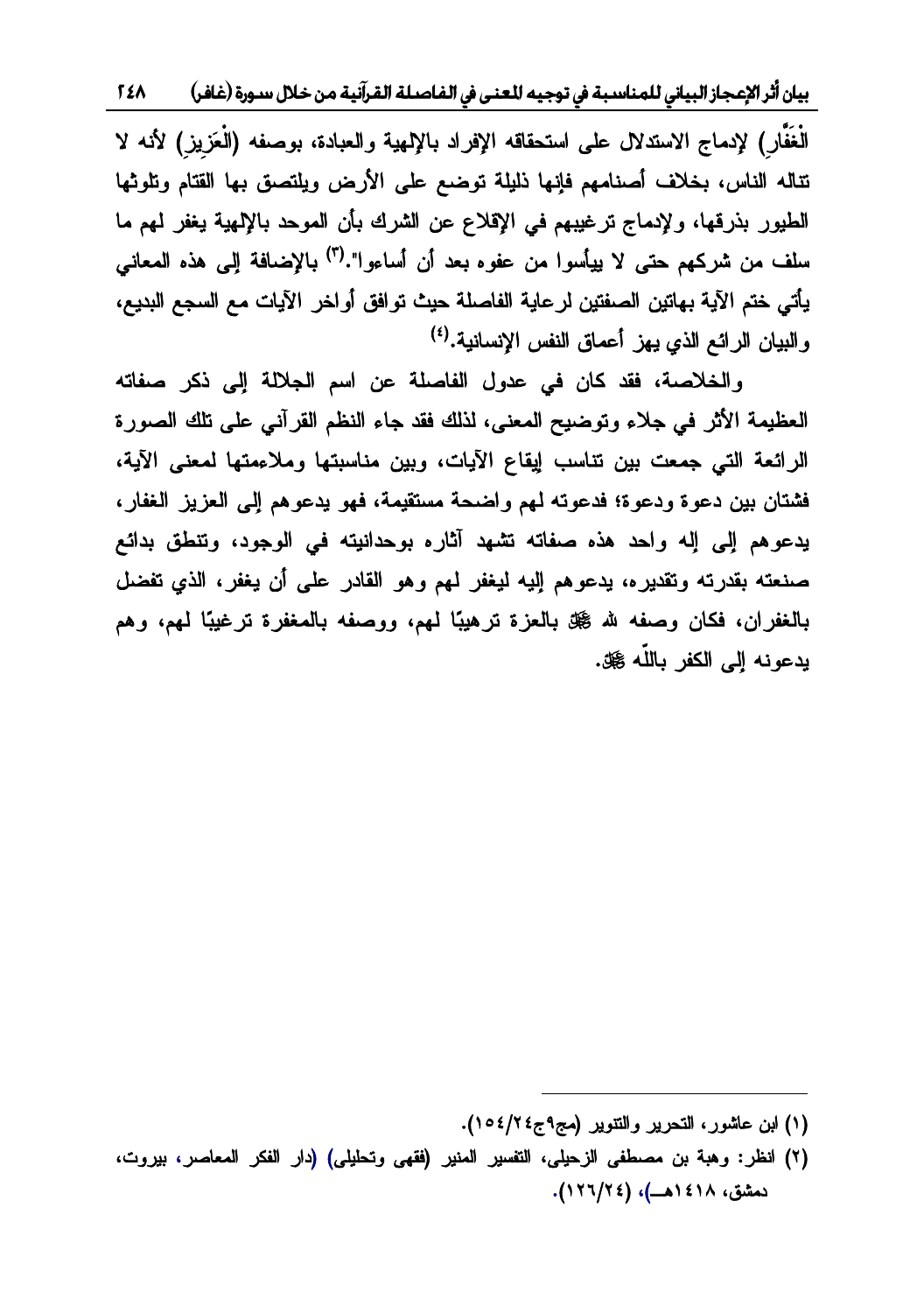بيان أثر الإعجاز البياني للمناسبة في توجيه للعنى في الفاصلة القرآنية من خلال سورة (غافر) ٢٤٨

الْغَفَّارِ ) لإدماج الإستدلال على استحقاقه الإفراد بالإلهية والعبادة، بوصفه (الْعَزِيز ) لأنه لا تتاله الناس، بخلاف أصنامهم فإنها ذليلة توضع على الأرض ويلتصق بها القتام وتلوثها الطيور بذرقها، ولإدماج ترغيبهم في الإقلاع عن الشرك بأن الموحد بالإلهية يغفر لهم ما سلف من شركهم حتى لا بيأسوا من عفوه بعد أن أساءوا".<sup>(٣)</sup> بالاضافة البر هذه المعاني يأتي ختم الآية بهاتين الصفتين لرعاية الفاصلة حيث توافق أواخر الآيات مع السجع البديع، و النبان الر ائبر الذي يبز أعماق النفس الانسانية.<sup>(٤)</sup>

والخلاصة، فقد كان في عدول الفاصلة عن اسم الجلالة إلى ذكر صفاته العظيمة الأثر في جلاء وتوضيح المعنى، لذلك فقد جاء النظم القرآني على تلك الصورة الرائعة التي جمعت بين تناسب إيقاع الآيات، وبين مناسبتها وملاءمتها لمعنى الآية، فشتان بين دعوة ودعوة؛ فدعوته لمهم واضحة مستقيمة، فهو يدعوهم إلى العزيز الغفار، يدعوهم إلى إله واحد هذه صفاته تشهد آثاره بوحدانيته في الوجود، وتنطق بدائع صنعته بقدرته وتقديره، يدعوهم إليه ليغفر لمهم وهو القادر على أن يغفر، الذي تفضل بالغفران، فكان وصفه لله ﷺ بالعزة ترهيبًا لمهم، ووصفه بالمغفرة ترغيبًا لمهم، وهم يدعونه إلى الكفر باللّه صلى.

 $\overline{\phantom{a}}$ 

<sup>(</sup>١) لبن عاشور، التحرير والتنوير (مج٩ج٤/١٥٤/٢).

<sup>(</sup>٢) انظر: وهبة بن مصطفى الزحيلي، التفسير المنير (فقهى وتحليلي) (دار الفكر المعاصر، بيروت، دمشق، ١٤١٨هــ)، (١٢٦/٢٤).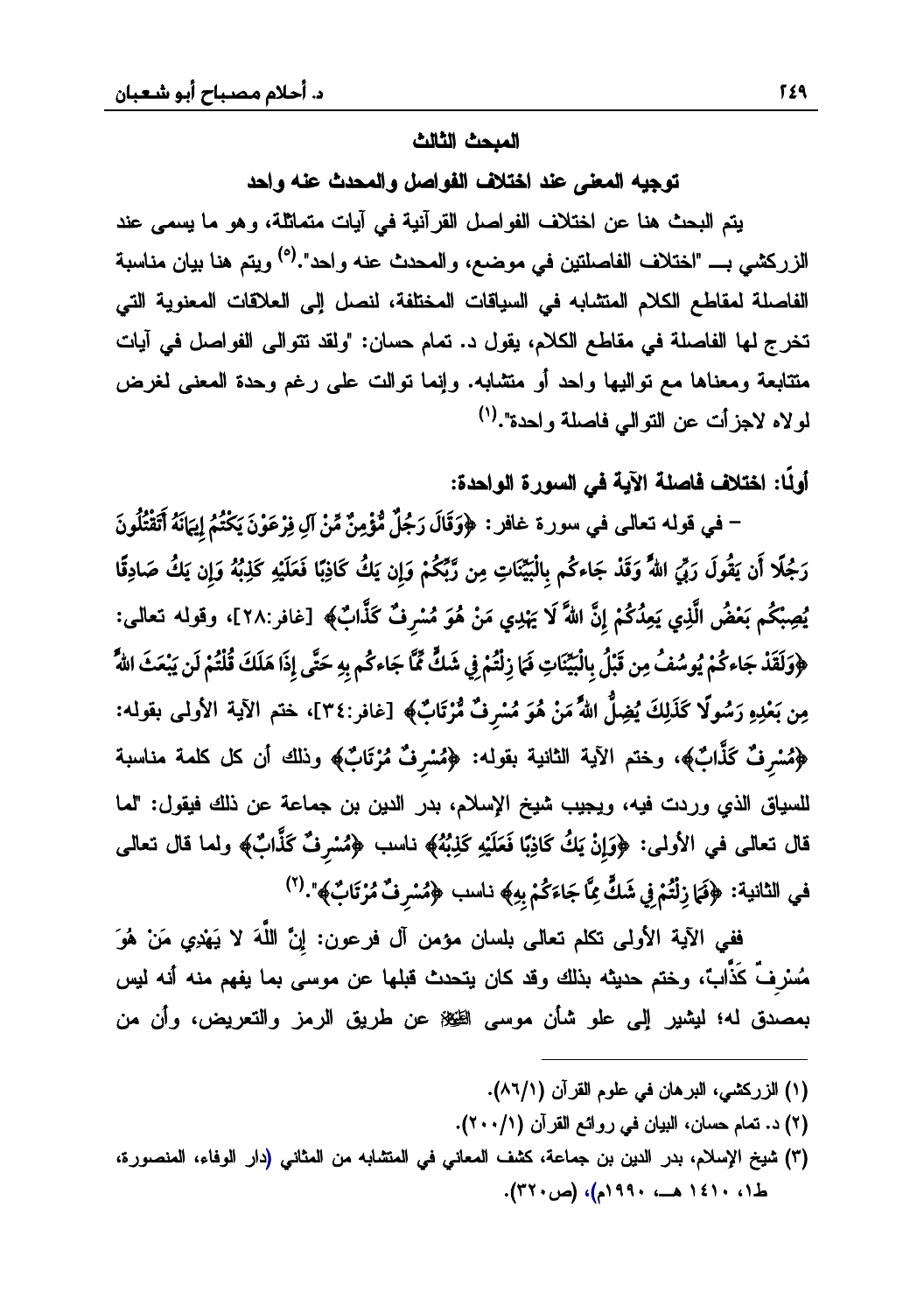#### المبحث الثالث

توجيه المعنى عند اختلاف الفواصل والمحدث عنه واحد

يتم البحث هنا عن اختلاف الفواصل القرآنية في آيات متماثلة، وهو ما يسمى عند الزركشي بـــ "اختلاف الفاصلتين في موضـع، والمـحدث عنه واحد".<sup>(٥)</sup> ويتم هنا بيان مناسبة الفاصلة لمقاطع الكلام المنشابه في السياقات المختلفة، لنصل إلى العلاقات المعنوية التي تخرج لمها الفاصلة في مقاطع الكلام، يقول د. تمام حسان: "ولقد تتوالى الفواصل في آيات متتابعة ومعناها مع نواليها واحد أو متشابه. وإنما نوالت على رغم وحدة المعنى لغرض لولاه لاجزأت عن التوالى فاصلة واحدة".<sup>(١</sup>)

أولًا: اختلاف فاصلة الآية في السورة الواحدة:

– في قوله تعالى في سورة غافر : ﴿وَقَالَ رَجُلٌ مُّؤْمِنٌ مِّنْ آلِ فِرْعَوْنَ يَكْتُمُ إِيهَانَهُ أَتَقْتُلُونَ رَجُلًا أَن يَقُولَ رَبِّيَ اللَّهُ وَقَدْ جَاءكُم بِالْبَيِّنَاتِ مِن رَّبِّكُمْ وَإِن يَكُ كَاذِبًا فَعَلَيْهِ كَذِبُهُ وَإِن يَكُ صَادِقًا يُصِبْكُم بَعْضُ الَّذِي يَعِدُكُمْ إِنَّ اللَّهَ لَا يَهْدِي مَنْ هُوَ مُسْرِفٌ كَذَّابٌ﴾ [غافر:٢٨]، وقولمه تعالى: ﴿وَلَقَدْ جَاءكُمْ يُوسُفُ مِن قَبْلُ بِالْبَيِّنَاتِ فَمَا زِلْتُمْ فِي شَكٍّ مِّّا جَاءكُم بِهِ حَتَّى إِذَا هَلَكَ قُلْتُمْ لَن يَبْعَثَ اللَّهُ مِن بَعْدِهِ رَسُولًا كَذَلِكَ يُضِلُّ اللَّهَ مَنْ هُوَ مُسْرِفٌ مُّرْتَابٌ﴾ [غافر:٣٤]، ختم الآية الأولمى بقوله: ﴿مُسْرِفٌ كَذَّابٌ﴾، وختم الآية الثانية بقوله: ﴿مُسْرِفٌ مُرْتَابٌ﴾ وذلك أن كل كلمة مناسبة للسياق الذي وردت فيه، ويجيب شيخ الإسلام، بدر الدين بن جماعة عن ذلك فيقول: "لما قال نعالى في الأولى: ﴿وَإِنْ يَكُ كَاذِبًا فَعَلَيْهِ كَذِبُهُ﴾ ناسب ﴿مُسْرِفٌ كَذَّابٌ﴾ ولما قال نعالى في الثانية: ﴿فَمَا زِلْتُمْ فِي شَكٍّ مِمَّا جَاءَكُمْ بِهِ﴾ ناسب ﴿مُسْرِفٌ مُرْتَابٌ﴾". (٢)

ففي الآية الأولى تكلم تعالى بلسان مؤمن آل فرعون: إِنَّ اللَّهَ لا يَهْدِي مَنْ هُوَ مُسْرِفٌ كَذَّابٌ، وختم حديثه بذلك وقد كان يتحدث قبلها عن موسى بما يفهم منه أنه ليس بمصدق له؛ ليشير إلى علو شأن موسى الظيِّة عن طريق الرمز والتعريض، وأن من

- (١) الزركشي، البرهان في علوم القرآن (١/٦٨).
- (٢) د. تمام حسان، البيان في روائع القرآن (٢٠٠/١).
- (٣) شيخ الإسلام، بدر الدين بن جماعة، كشف المعاني في المتشابه من المثاني (دار الوفاء، المنصورة،  $(51 \cdot 131 \cdot ... \cdot 151)$ ، (ص ٣٢٠).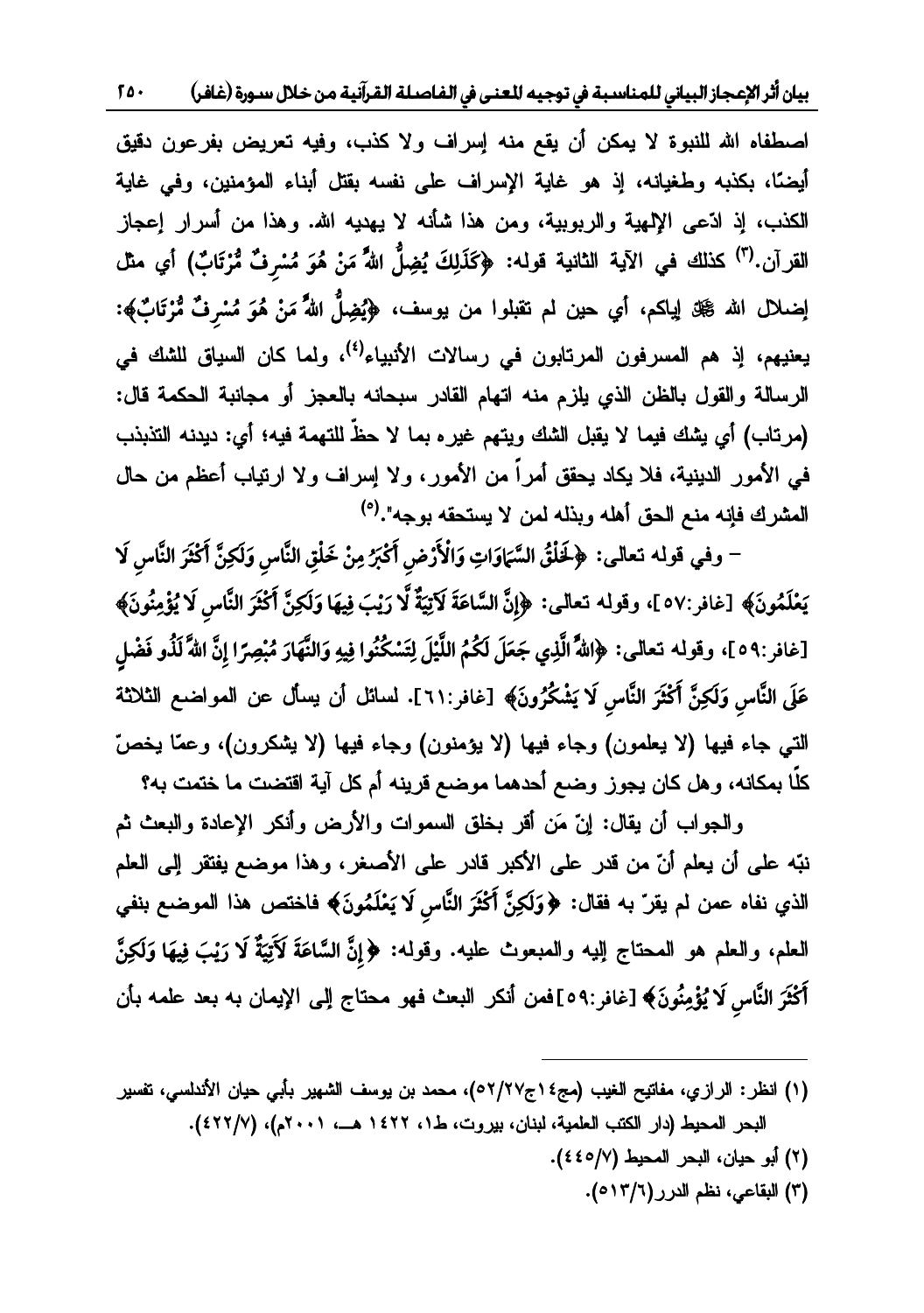بيان أثر الإعجاز البياني للمناسبة في توجيه للعنى في الفاصلة القرآنية من خلال سورة (غافر)  $50.$ 

اصطفاه الله للنبوة لا يمكن أن يقع منه إسراف ولا كذب، وفيه تعريض بفرعون دقيق أيضًا، بكذبه وطغيانه، إذ هو غاية الإسراف على نفسه بقتل أبناء المؤمنين، وفي غاية الكذب، إذ ادَّعى الإلهية والربوبية، ومن هذا شأنه لا يهديه الله. وهذا من أسرار إعجاز القرآن.(") كذلك في الآية الثانية قوله: ﴿كَذَلِكَ يُضِلُّ اللَّهُ مَنْ هُوَ مُسْرِفٌ مُّرْتَابٌ) أي مثل إضلال الله ﷺ إياكم، أي حين لم تقبلوا من يوسف، ﴿يُضِلُّ اللَّهُ مَنْ هُوَ مُسْرِفٌ مُّرْتَابٌ﴾: يعنيهم، إذ هم المسرفون المرتابون في رسالات الأنبياء<sup>(٤)</sup>، ولما كان السياق للشك في الرسالة والقول بالظن الذي يلزم منه اتهام القادر سبحانه بالعجز أو مجانبة الحكمة قال: (مرتاب) أي يشك فيما لا يقبل الشك ويتهم غيره بما لا حظَّ للتهمة فيه؛ أي: ديدنه التذبذب في الأمور الدينية، فلا يكاد يحقق أمراً من الأمور، ولا إسراف ولا ارتياب أعظم من حال المشرك فإنه منع الحق أهله وبذله لمن لا يستحقه بوجه".<sup>(٥)</sup>

– وفي قوله تعالى: ﴿ لَخَلْقُ السَّمَاوَاتِ وَالْأَرْضِ أَكْبَرُ مِنْ خَلْقِ النَّاسِ وَلَكِنَّ أَكْثَرَ النَّاسِ لَا يَعْلَمُونَ﴾ [غافر:٥٧ ]، وقوله تعالى: ﴿إِنَّ السَّاعَةَ لَاتِيَةٌ لَّا رَيْبَ فِيهَا وَلَكِنَّ أَكْثَرَ النَّاسِ لَا يُؤْمِنُونَ﴾ [غافر:٥٩]، وقوله تعالى: ﴿اللَّهُ الَّذِي جَعَلَ لَكُمُ اللَّيْلَ لِتَسْكُنُوا فِيهِ وَالنَّهَارَ مُبْصِرًا إِنَّ اللَّا لَذُو فَضْلٍ عَلَى النَّاسِ وَلَكِنَّ أَكْثَرَ النَّاسِ لَا يَشْكُرُونَ﴾ [غافر:٦١]. لسائل أن يسأل عن المواضع الثلاثة التي جاء فيها (لا يعلمون) وجاء فيها (لا يؤمنون) وجاء فيها (لا يشكرون)، وعمّا يخصّ كلًا بمكانه، وهل كان يجوز وضع أحدهما موضع قرينه أم كل آية اقتضت ما ختمت به؟

والمجواب أن يقال: إنَّ مَن أقر بخلق السموات والأرض وأنكر الإعادة والبعث ثم نبّه على أن يعلم أنّ من قدر على الأكبر قادر على الأصغر، وهذا موضع يفتقر ٳلمي العلم الذي نفاه عمن لم يقرّ به فقال: ﴿وَلَكِنَّ أَكْثَرَ النَّاسِ لَا يَعْلَمُونَ﴾ فاختص هذا الموضع بنفي العلم، والعلم هو المحتاج الِيه والممبعوث عليه. وقوله: ﴿إِنَّ السَّاعَةَ لَأَتِيَةٌ لَا رَيْبَ فِيهَا وَلَكِنَّ أَكْثَرَ النَّاس لَا يُؤْمِنُونَ﴾ [غافر:٥٩]فمن أنكر البعث فهو محتاج إلى الإيمان به بعد علمه بأن

- (١) انظر: الرازي، مفاتيح الغيب (مج٤١ج٧/٢٧)، محمد بن يوسف الشهير بأبي حيان الأندلسي، نفسير البحر المحيط (دار الكتب العلمية، لبنان، بيروت، ط١، ١٤٢٢ هــ، ٢٠٠١م)، (٢٢٢/٧).
	- (٢) أبو حيان، البحر المحيط (٤٤٥/٧).
		- (٣) البقاعي، نظم الدرر (٥١٣/٦).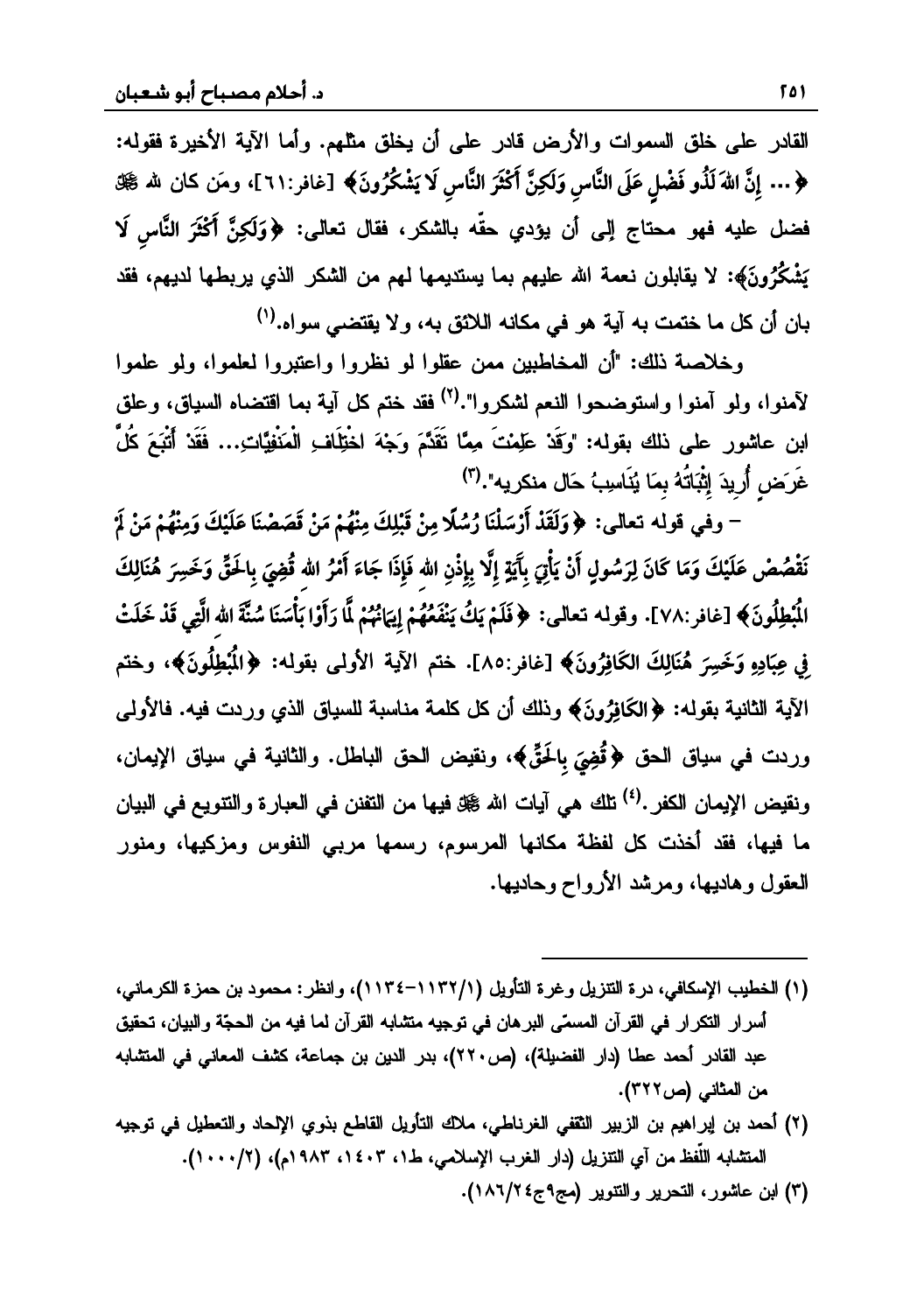القادر على خلق السموات والأرض قادر على أن يخلق مثلهم. وأما الآية الأخيرة فقوله: ﴿... إِنَّ اللَّهَ لَذُو فَضْلٍ عَلَى النَّاسِ وَلَكِنَّ أَكْثَرَ النَّاسِ لَا يَشْكُرُونَ﴾ [غافر:٢١١]، ومَن كان لله ﷺ فضل عليه فهو محتاج إلى أن يؤدي حقّه بالشكر، فقال تعالى: ﴿وَلَكِنَّ أَكْثَرَ النَّاسِ لَا يَشْكُرُونَ﴾: لا يقابلون نعمة الله عليهم بما يستديمها لمهم من الشكر الذي يربطها لديهم، فقد بان أن كل ما ختمت به آية هو في مكانه اللائق به، ولا يقتضي سواه.<sup>(١)</sup>

وخلاصة ذلك: "أن المخاطبين ممن عقلوا لو نظروا واعتبروا لعلموا، ولو علموا لآمنوا، ولو آمنوا واستوضحوا النعم لشكروا".<sup>(٢)</sup> فقد ختم كل آية بما اقتضاه السياق، وعلق ابن عاشور على ذلك بقوله: "وَقَدْ عَلِمْتَ مِمَّا تَقَدَّمَ وَجْهَ اخْتِلَافِ الْمَنْفِيَّاتِ... فَقَدْ أَتْبَعَ كُلُّ غَرَض أُريدَ إِثْبَاتُهُ بِمَا يُنَاسِبُ حَالٍ منكريه".(٣)

– وفي قوله تعالى: ﴿وَلَقَدْ أَرْسَلْنَا رُسُلًا مِنْ قَبْلِكَ مِنْهُمْ مَنْ قَصَصْنَا عَلَيْكَ وَمِنْهُمْ مَنْ لَمْ نَقْصُصْ عَلَيْكَ وَمَا كَانَ لِرَسُولٍ أَنْ يَأْتِيَ بِآَيَةٍ إِلَّا بِإِذْنِ الله فَإِذَا جَاءَ أَمْرُ الله قُضِيَ بِالحَقّ وَخَسِرَ هُنَالِكَ الْبُطِلُونَ﴾ [غافر :٧٨]. وقوله تعالى: ﴿فَلَمْ يَكُ يَنْفَعُهُمْ إِيَانُهُمْ لَّا رَأَوْا بَأْسَنَا سُنَّةَ الله الَّتِي قَدْ خَلَتْ فِي عِبَادِهِ وَخَسِرَ هُنَالِكَ الكَافِرُونَ﴾ [غافر:٨٥]. ختم الآية الأولىي بقوله: ﴿الْمُبْطِلُونَ﴾، وختم الآية الثانية بقوله: ﴿الكَافِرُونَ﴾ وذلك أن كل كلمة مناسبة للسياق الذي وردت فيه. فالأولى وردت في سياق الحق ﴿قُضِيَ بِالحَقِّ﴾، ونقيض الحق الباطل. والثانية في سياق الإيمان، ونقيض الإيمان الكفر .<sup>(٤)</sup> تلك هي آيات الله گيل فيها من التفنن في العبارة والتتويع في البيان ما فيها، فقد أخذت كل لفظة مكانها المرسوم، رسمها مربي النفوس ومزكيها، ومنور العقول وهاديها، ومرشد الأرواح وحاديها.

- (١) الخطيب الإسكافي، درة التتزيل وغرة التأويل (١١٣٢/١/١٣٤)، وانظر: محمود بن حمزة الكرماني، أسرار التكرار في القرآن المسمّى البرهان في توجيه متشابه القرآن لما فيه من الحجّة والبيان، تحقيق عبد القادر أحمد عطا (دار الفضيلة)، (ص٢٢٠)، بدر الدين بن جماعة، كشف المعاني في المتشابه من المثاني (ص٣٢٢).
- (٢) أحمد بن إبراهيم بن الزبير الثقفي الغرناطي، ملاك التأويل القاطع بذوي الإلحاد والتعطيل في توجيه المتشابه اللُّفظ من آي التنزيل (دار الغرب الإسلامي، ط١، ١٤٠٣، ١٩٨٣م)، (١/١٠٠٠).
	- (٣) ابن عاشور، التحرير والتتوير (مج٩ج٤/١٨٦).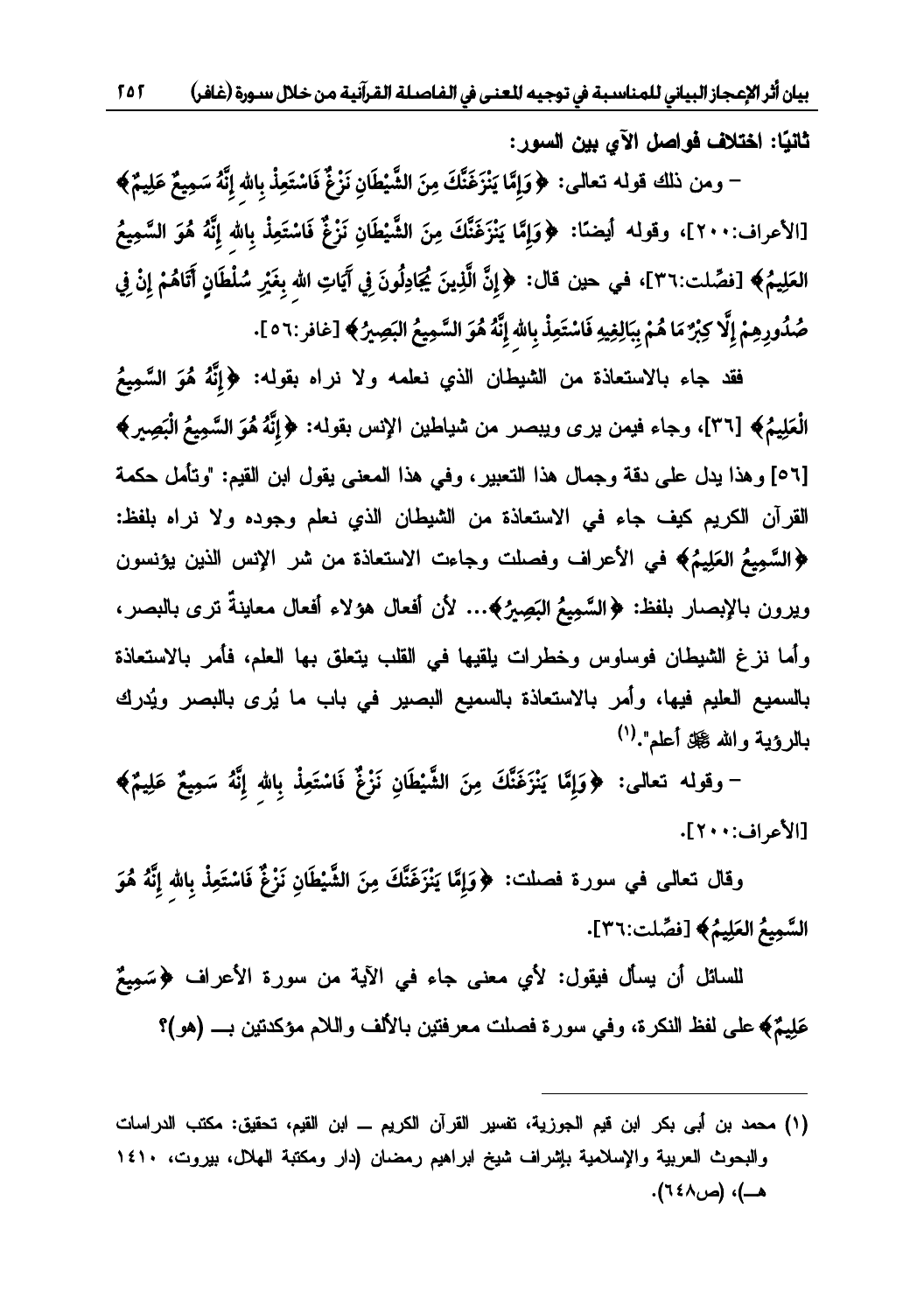$505$ بيان أثر الإعجاز البياني للمناسبة في توجيه للعنى في الفاصلة القرآنية من خلال سـورة (غافر)

ثانيًا: اختلاف فواصل الآي بين السور:

– ومن ذلك قوله تعالى: ﴿وَإِمَّا يَنْزَغَنَّكَ مِنَ الشَّيْطَانِ نَزْغٌ فَاسْتَعِذْ بِالله إِنَّهُ سَمِيعٌ عَلِيمٌ﴾ [الأعراف:٢٠٠]، وقوله أيضنًا: ﴿وَإِمَّا يَنْزَفَنَّكَ مِنَ الشَّيْطَانِ نَزْغٌ فَاسْتَعِذْ بِالله إِنَّهُ هُوَ السَّمِيعُ العَلِيمُ﴾ [فصِّلت:٣٦]، في حين قال: ﴿إِنَّ الَّذِينَ يُجَادِلُونَ فِي آَيَاتِ الله بِغَيْرِ سُلْطَانٍ آَتَاهُمْ إِنْ فِي صُدُورِهِمْ إِلَّا كِبْرٌ مَا هُمْ بِبَالِغِيهِ فَاسْتَعِذْ بِالله إِنَّهُ هُوَ السَّمِيعُ البَصِيرُ ﴾ [غافر:٥٦].

فقد جاء بالاستعاذة من الشيطان الذي نعلمه ولا نراه بقوله: ﴿إِنَّهُ هُوَ السَّمِيعُ الْعَلِيمُ﴾ [٣٦]، وجاء فيمن يرى ويبصر من شياطين الإنس بقوله: ﴿إِنَّهُ هُوَ السَّمِيعُ الْبَصِيرِ﴾ [٥٦] وهذا يدل على دقة وجمال هذا التعبير، وفي هذا المعنى يقول ابن القيم: "وتأمل حكمة القرآن الكريم كيف جاء في الاستعاذة من الشيطان الذي نعلم وجوده ولا نراه بلفظ: ﴿السَّمِيعُ العَلِيمُ﴾ في الأعراف وفصلت وجاءت الاستعاذة من شر الإنس الذين يؤنسون ويرون بالإبصار بلفظ: ﴿السَّمِيعُ البَصِيرُ﴾… لأن أفعال هؤلاء أفعال معاينةً ترى بالبصر، وأما نزغ الشيطان فوساوس وخطرات يلقيها في القلب يتعلق بها العلم، فأمر بالاستعاذة بالسميع العليم فيها، وأمر بالاستعاذة بالسميع البصير في باب ما يُرى بالبصر ويُدرك بالرؤية والله گيل أعلم".<sup>(١)</sup>

– وقوله تعالى: ﴿وَإِمَّا يَنْزَغَنَّكَ مِنَ الشَّيْطَانِ نَزْغٌ فَاسْتَعِذْ بِاللهِ إِنَّهُ سَمِيعٌ عَلِيمٌ﴾ [الأعراف: ٢٠١].

وقال نعالى في سورة فصلت: ﴿وَإِمَّا يَنْزَغَنَّكَ مِنَ الشَّيْطَانِ نَزْغٌ فَاسْتَعِذْ بِالله إِنَّهُ هُوَ السَّمِيعُ العَلِيمُ﴾ [فصِّلت:٣٦].

للسائل أن يسأل فيقول: لأي معنى جاء في الآية من سورة الأعراف ﴿سَمِيعٌ ۖ عَلِيمٌ﴾ على لفظ النكرة، وفي سورة فصلت معرفتين بالألف واللام مؤكدتين بـــ (هو)؟

(١) محمد بن أبي بكر ابن قيم الجوزية، تفسير القرآن الكريم ـــ ابن القيم، تحقيق: مكتب الدراسات والبحوث العربية والإسلامية بإشراف شيخ ابراهيم رمضان (دار ومكتبة الهلال، بيروت، ١٤١٠ هــ)، (ص٤٨).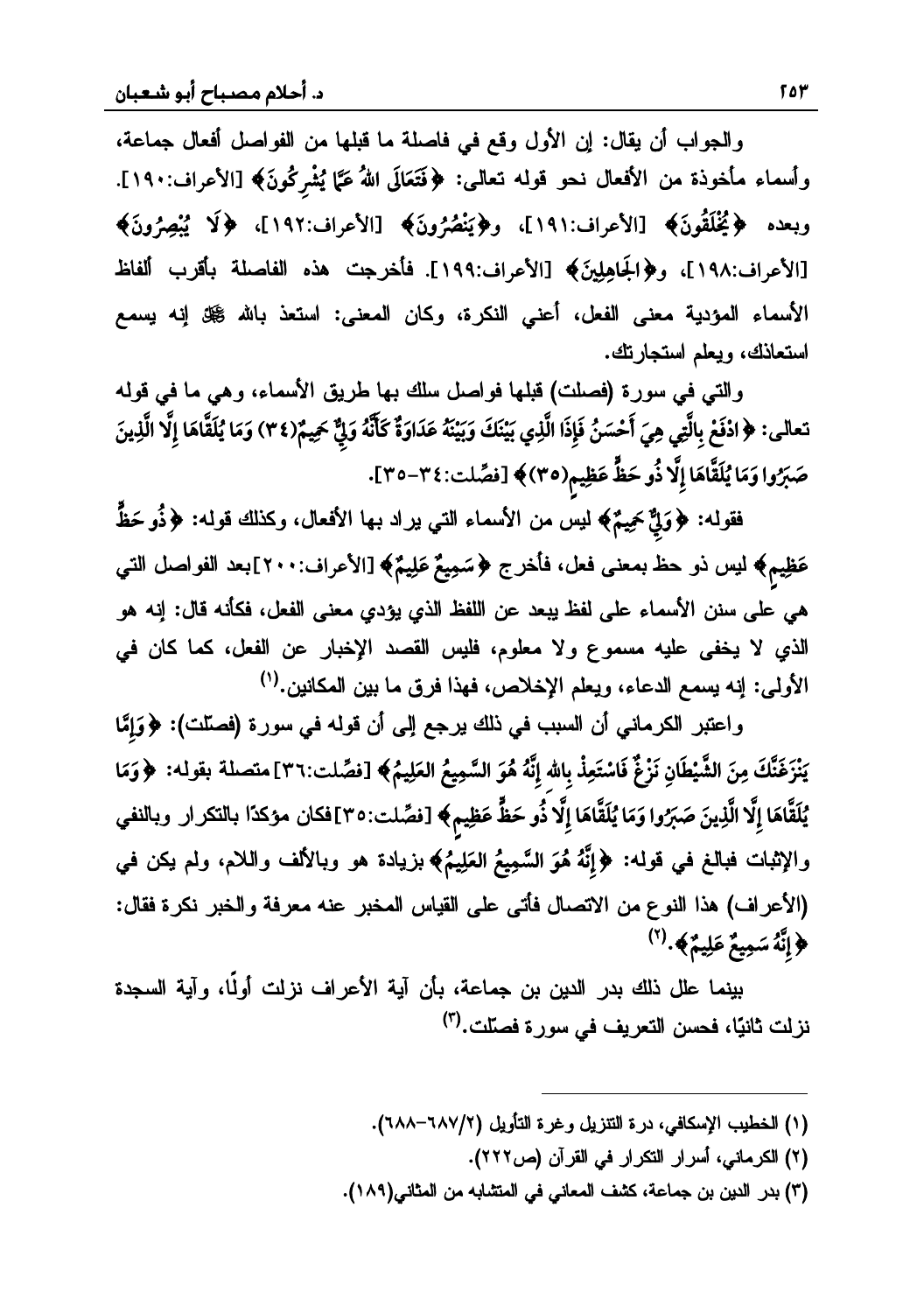والجواب أن يقال: إن الأول وقع في فاصلة ما قبلها من الفواصل أفعال جماعة، وأسماء مأخوذة من الأفعال نحو قوله تعالى: ﴿فَتَعَالَى اللهُ عَمَّا يُشْرِكُونَ﴾ [الأعراف:١٩٠]. **÷wô**وبعده ﴿يُخْلَقُونَ﴾ [الأعراف:١٩١]، و﴿يَنْصُرُونَ﴾ [الأعراف:١٩٢]، ﴿لَا يُبْصِرُونَ﴾ **÷**[الأعراف:١٩٨]، و﴿الجَاهِلِينَ﴾ [الأعراف:١٩٩]. فأخرجت هذه الفاصلة بأقرب ألفاظ الأسماء المؤدية معنى الفعل، أعني النكرة، وكان المعنى: استعذ بالله ﷺ إنه يسمع<br>استعاذك، ويعلم استجارتك.

والتي في سورة (فصلت) قبلها فواصل سلك بها طريق الأسماء، وهي ما في قوله ر سبب السبب التي يستمر من المسبب المسبب المسبب المسبب المسبب المسبب المسبب المسبب المسبب التي يسبب المسبب المس<br>المسبب المسبب السبب السبب المسبب المسبب المسبب المسبب المسبب المسبب المسبب المسبب المسبب المسبب المسبب المسبب<br> **ó÷÷õóõ÷õ**حَسَرٌوا وَمَا يُلَقَّاهَا إِلَّا ذُو حَظٍّ عَظِيم(٣٥)﴾ [فصِّلت:٣٤−٣٥].<br>صَبَرٌوا وَمَا يُلَقَّاهَا إِلَّا ذُو حَظٍّ عَظِيم(٣٥)﴾ [فصِّلت:٣٥−٣٥]. **ô** $\overline{a}$ **õ**

ُ<br>فقوله: ﴿وَلِئٌ حَمِيمٌ﴾ لَمِسٌ من الأسماء التي يراد بها الأفعال، وكذلك قوله: ﴿ذُو حَظٍّ حَّظِيم﴾ ليس ذو حظّ بمعنى فعل، فأخرج ﴿سَمِيعٌ عَلِيمٌ﴾ [الأعراف:٢٠٠]بعد الفواصل التي هي على سنن الأسماء على لفظ يبعد عن اللفظ الذي يؤدي معنى الفعل، فكأنه قال: إنه هو الذي لا يخفى عليه مسموع ولا معلوم، فليس القصد الإخبار عن الفعل، كما كان في الأولى: إنه يسمع الدعاء، ويعلم الإخلاص، فهذا فرق ما بين المكانين.<sup>(١)</sup>

واعتبر الكرماني أن السبب في ذلك يرجع إلى أن قوله في سورة (فصلّت): ﴿وَإِمَّا **õ**.<br>يَنْزَغَنَّكَ مِنَ الشَّيْطَانِ نَزْغٌ فَاسْتَعِذْ بِالله إِنَّهُ هُوَ السَّمِيعُ العَلِيمُ﴾ [فصِّلت:٣٦] متصلة بقوله: ﴿وَمَا **õ÷**مُنَّ أَيَّ اللَّهُ وَمَنْ الْمَجْمَعِ وَمَنْ الْمَجْمَعِ وَمَنْ الرَّسَمِينَ مَنْ مَنْ الْمَجْمَعِ وَمِنْ الْم<br>يُلَقَّاهَا إلَّا الَّذِينَ صَبَرُوا وَمَا يُلَقَّاهَا إلَّا ذُو حَظٌّ عَظِيم﴾ [فصِّلت:٣٥]فكان مؤكدًا بالنكر **õõ**ر الإثبات فبالغ في قوله: ﴿إِنَّهُ هُوَ السَّمِيعُ العَلِيمُ﴾ بزيادة هو وبالألف واللام، ولم يكن في **õ**(الأعراف) هذا النوع من الاتصال فأتى على القياس المخبر عنه معرفة والخبر نكرة فقال: **/** وَإِنَّهُ سَمِيعٌ عَلِيمٌ﴾.<sup>(٢)</sup> **õ**

بينما علل ذلك بدر الدين بن جماعة، بأن آية الأعراف نزلت أولًا، وآية السجدة نز لت ثانيًا، فحسن التعر بف في سور ة فصلّت.<sup>(٣)</sup>

- (١) الخطيب الإسكافي، درة التتزيل وغرة التأويل (٦٨٧/٢–٢٨٨).
	- (٢) الكرماني، أسرار التكرار في القرآن (ص٢٢٢).
- (٣) بدر الدين بن جماعة، كشف المعاني في المنشابه من المثاني(١٨٩).

 $\overline{\phantom{a}}$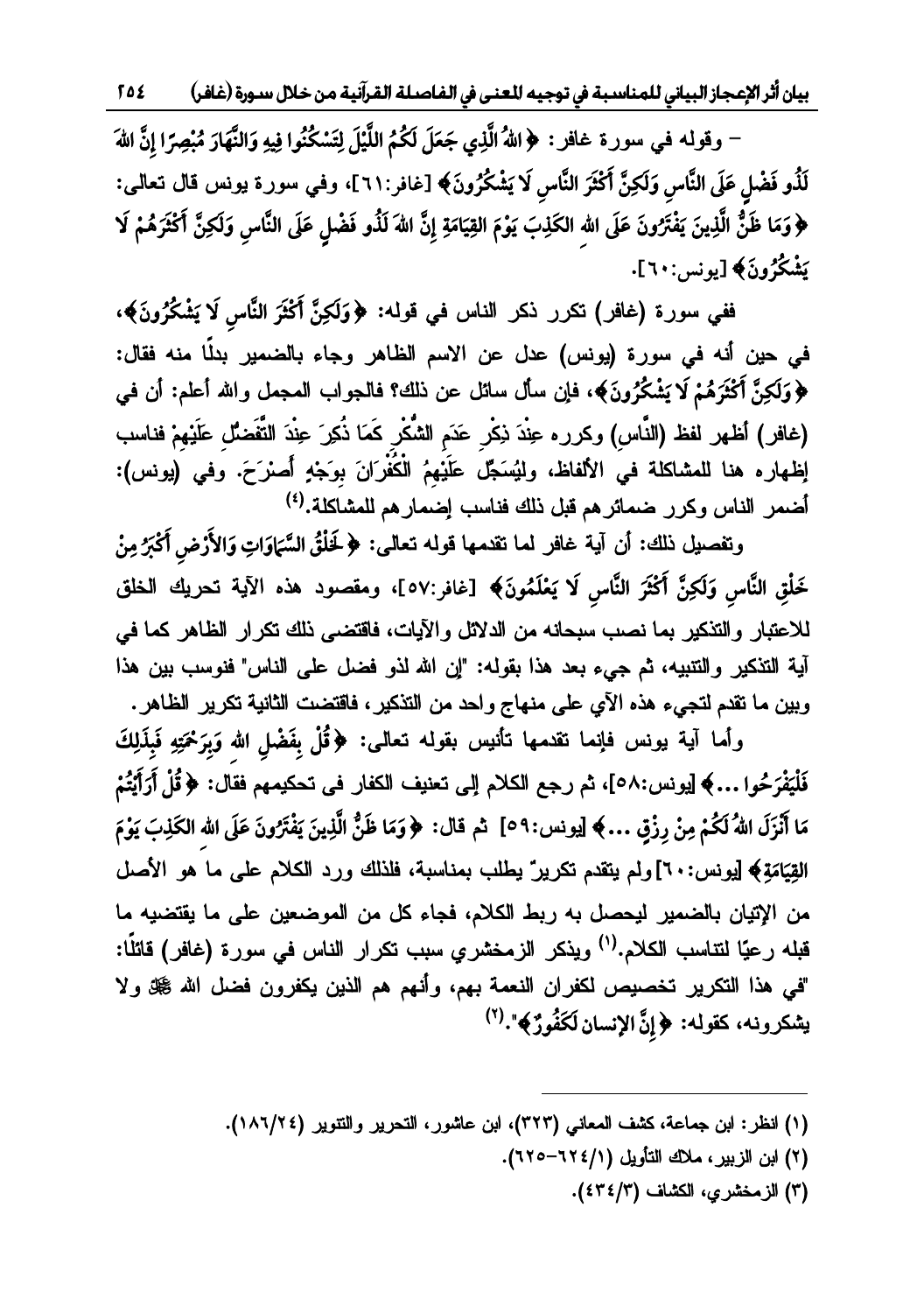بيان أثر الإعجاز البياني للمناسبة في توجيه للعنى في الفاصلة القرآنية من خلال سـورة (غافر) ک 21

– وقولمه في سورة غافر : ﴿اللَّهُ الَّذِي جَعَلَ لَكُمُ اللَّيْلَ لِتَسْكُنُوا فِيهِ وَالنَّهَارَ مُبْصِرًا إِنَّ اللهَ لَلْذُو فَضْلِ عَلَى النَّاسِ وَلَكِنَّ أَكْثَرَ النَّاسِ لَا يَشْكُرُونَ﴾ [غافر:٢١١]، وفي سورة يونس قال تعالى: ﴿ وَمَا ظَنُّ الَّذِينَ يَفْتَرُونَ عَلَى الله الكَذِبَ يَوْمَ القِيَامَةِ إِنَّ اللهَ لَذُو فَضْلٍ عَلَى النَّاسِ وَلَكِنَّ أَكْثَرَهُمْ لَا يَشْكُرُونَ﴾ [يونس: ٦٠].

ففي سورة (غافر) تكرر ذكر الناس في قوله: ﴿وَلَكِنَّ أَكْثَرَ النَّاسِ لَا يَشْكُرُونَ﴾، في حين أنه في سورة (يونس) عدل عن الاسم الظاهر وجاء بالضمير بدلًا منه فقال: ﴿وَلَكِنَّ أَكْثَرَهُمْ لَا يَشْكُرُونَ﴾، فإن سأل سائل عن ذلك؟ فالجواب المحمل والله أعلم: أن في (غافر) أظهر لفظ (النَّاسِ) وكرره عِنْدَ ذِكْرٍ عَدَمِ الشُّكْرِ كَمَا ذُكِرَ عِنْدَ النَّفَضُّلِ عَلَيْهِمْ فناسب إظهاره هنا للمشاكلة في الألفاظ، وليُسَجِّل عَلَيْهِمُ الْكُفْرَانَ بِوَجْهٍ أَصْرَحَ. وفي (يونس): أضمر الناس وكرر ضمائرهم قبل ذلك فناسب إضمارهم للمشاكلة.<sup>(٤)</sup>

ونفصيل ذلك: أن آية غافر لما تقدمها قوله تعالى: ﴿ لَخَلْقُ السَّمَاوَاتِ وَالأَرْضِ أَكْبَرُ مِنْ خَلْقِ النَّاسِ وَلَكِنَّ أَكْثَرَ النَّاسِ لَا يَعْلَمُونَ﴾ [غافر:٥٧]، ومقصود هذه الآية تحريك الخلق للاعتبار والتذكير بما نصب سبحانه من الدلائل والآيات، فاقتضى ذلك تكرار الظاهر كما في آية التذكير والتتبيه، ثم جيء بعد هذا بقوله: "إن الله لذو فضل على الناس" فنوسب بين هذا وبين ما نقدم لتجيء هذه الأي على منهاج واحد من التذكير، فاقتضت الثانية تكرير الظاهر.

وأما آية يونس فإنما تقدمها تأنيس بقوله تعالى: ﴿قُلْ بِفَضْلِ الله وَبِرَحْمَتِهِ فَبِذَلِكَ فَلْيَفْرَحُوا …﴾ [يونس:٥٨]، ثم رجع الكلام إلى تعنيف الكفار في تحكيمهم فقال: ﴿ قُلْ أَرَأَيْتُمْ مَا أَنْزَلَ اللهُ لَكُمْ مِنْ رِزْقٍ …﴾ [يونس:٥٩] ثم قال: ﴿وَمَا ظَنُّ الَّذِينَ يَفْتَرُونَ عَلَى الله الكَذِبَ يَوْمَ القِيَامَةِ﴾ [يونس:٢٠] ولم يتقدم تكريرٌ يطلب بمناسبة، فلذلك ورد الكلام على ما هو الأصل من الإتيان بالضمير ليحصل به ربط الكلام، فجاء كل من الموضعين على ما يقتضيه ما قبله رعيًا لنتاسب الكلام.<sup>(١)</sup> ويذكر الزمخشري سبب نكر ار الناس في سورة (غافر) قائلًا: "في هذا التكرير تخصيص لكفران النعمة بهم، وأنهم هم الذين يكفرون فضل الله ﷺ ولا يشكرونه، كقوله: ﴿إِنَّ الإنسان لَكَفُورٌ﴾".(٢)

- (١) انظر: ابن جماعة، كثَّف المعاني (٣٢٣)، ابن عاشور، التحرير والتتوير (٢٢/٢٨١).
	- (٢) ابن الزبير، ملاك التأويل (٢١٤/١-٦٢٥).
		- (٣) الزمخشري، الكشاف (٤٣٤/٣).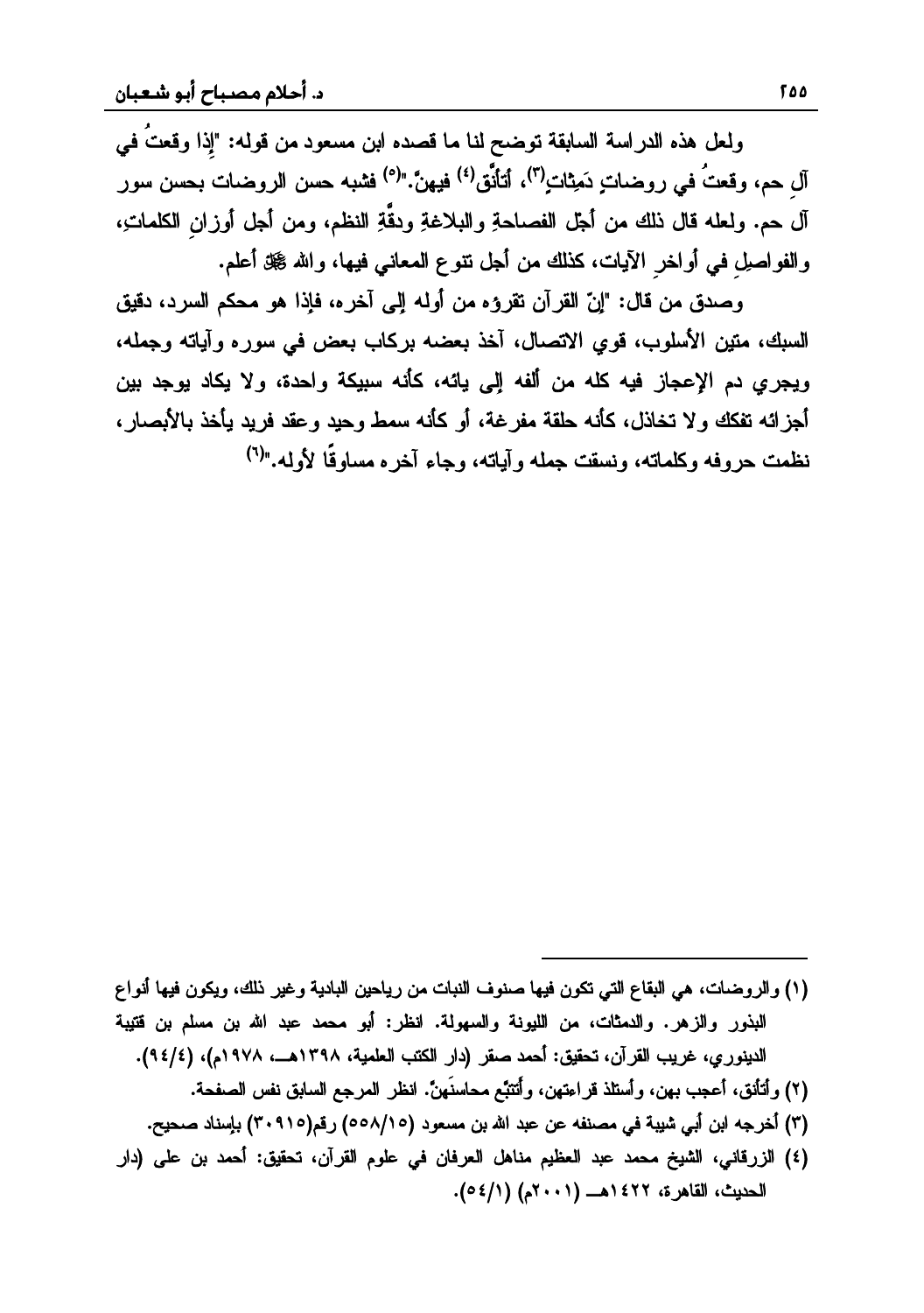ولعل هذه الدر اسة السابقة توضح لنا ما قصده ابن مسعود من قوله: "إذا وقعتُ في آل جر، وقعتُ في دو ضبات دَمِثات (<sup>٣)</sup>، أتأنَّق <sup>(٤)</sup> فيهنَّ. "<sup>(٥)</sup> فشبه حسن الرو ضبات بحسن سور آل حم. ولعله قال ذلك من أجل الفصـاحةِ والبـلاغةِ ودقّةِ النظم، ومن أجل أوزانِ الكلماتِ،<br>والفواصـلِ فـي أواخر الآيـات، كذلك من أجل نتوع المـعانـي فيـها، والله گيل أعلم.

وصدق من قال: "إنّ القرآن تقرؤه من أوله إلى آخره، فإذا هو محكم السرد، دقيق السبك، متين الأسلوب، قوى الاتصال، أخذ بعضه بركاب بعض في سوره وأياته وجمله، ويجري دم الإعجاز فيه كله من ألفه إلى يائه، كأنه سبيكة واحدة، ولا يكاد يوجد بين أجز ائه تفكك و لا تخاذل، كأنه حلقة مفر غة، أو كأنه سمط وحيد وعقد فريد يأخذ بالأبصار ، نظمت حروفه وكلماته، ونسقت حمله وأباته، وجاء آخره مساوقًا لأوله."<sup>(٢)</sup>

- (١) والروضات، هي البقاع التي تكون فيها صنوف النبات من رياحين البادية وغير ذلك، ويكون فيها أنواع البذور والزهر. والدمثات، من الليونة والسهولة. انظر: أبو محمد عبد الله بن مسلم بن قتيبة الدينوري، غريب القرآن، تحقيق: أحمد صقر (دار الكتب العلمية، ١٣٩٨هـ، ١٩٧٨م)، (٩٤/٤).
	- (٢) وأتأنق، أعجب بهن، وأستلذ قراءتهن، وأتتبَّع محاسنَهنَّ. انظر المرجع السابق نفس الصفحة.

- (۳) أخرجه ابن أبي شيبة في مصنفه عن عبد الله بن مسعود (٥٥٨/١٥) رقم(٣٠٩١٥) بإسناد صحيح.
- في الزرقاني، الشيخ محمد عبد العظيم مناهل العرفان في علوم القرآن، تحقيق: أحمد بن على (دار الحديث، القاهرة، ١٤٢٢هـ (٢٠٠١م) (١/٤٥).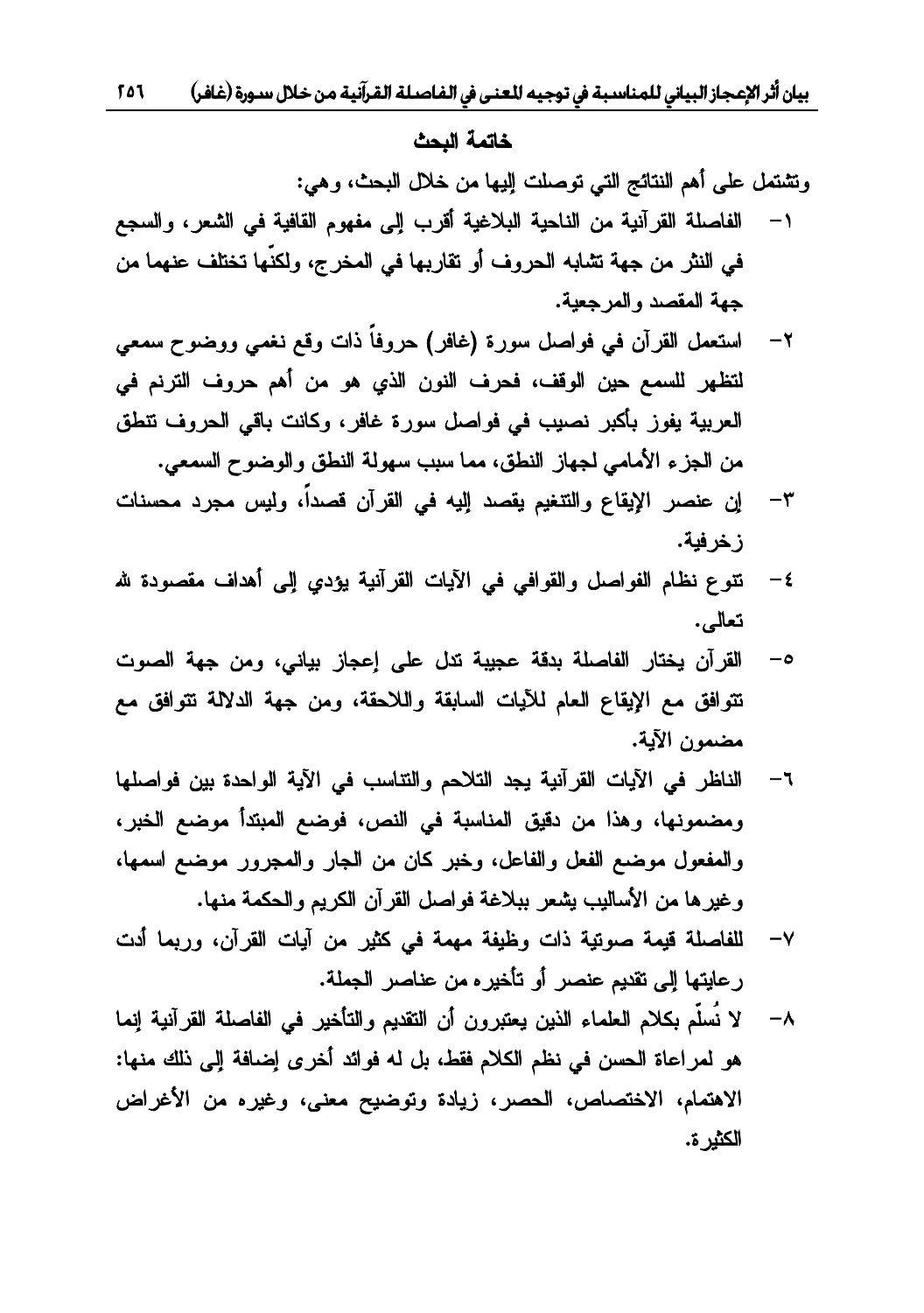#### خاتمة البحث

وتشتمل على أهم النتائج التي توصلت إليها من خلال البحث، وهي:

- الفاصلة القرآنية من الناحية البلاغية أقرب إلى مفهوم القافية في الشعر، والسجع  $-1$ في النثر من جهة تشابه الحروف أو تقاربها في المخرج، ولكنَّها تختلف عنهما من جهة المقصد والمرجعية.
- ٢– استعمل القرآن في فواصل سورة (غافر) حروفاً ذات وقع نغمي ووضوح سمعي لتظهر للسمع حين الوقف، فحرف النون الذي هو من أهم حروف الترنم في العربية يفوز بأكبر نصيب في فواصل سورة غافر، وكانت باقي الحروف تتطق من الجزء الأمامي لجهاز النطق، مما سبب سهولة النطق والوضوح السمعي.
- ٣– إن عنصر الإيقاع والتنغيم يقصد إليه في القرآن قصداً، وليس مجرد محسنات ز خر فية.
- نتوع نظام الفواصل والقوافي في الآيات القرآنية يؤدي إلى أهداف مقصودة لله  $-\epsilon$ تعالى.
- القرآن يختار الفاصلة بدقة عجيبة تدل على إعجاز بياني، ومن جهة الصوت  $-\circ$ تتوافق مع الإيقاع العام للأيات السابقة واللاحقة، ومن جهة الدلالة نتوافق مع مضمون الآية.
- ٦– الناظر في الآيات القرآنية يجد التلاحم والتناسب في الآية الواحدة بين فواصلها ومضمونها، وهذا من دقيق المناسبة في النص، فوضع المبتدأ موضع الخبر، والمفعول موضع الفعل والفاعل، وخبر كان من الجار والمجرور موضع اسمها، وغيرها من الأساليب يشعر ببلاغة فواصل القرآن الكريم والحكمة منها.
- ٧– للفاصلة قيمة صوتية ذات وظيفة مهمة في كثير من آيات القرآن، وربما أدت رعايتها إلى تقديم عنصر أو تأخيره من عناصر الجملة.
- ٨– لا نَسلَّم بكلام العلماء الذين يعتبرون أن التقديم والتأخير في الفاصلة القرآنية إنما هو لمراعاة الحسن في نظم الكلام فقط، بل له فوائد أخرى إضافة إلى ذلك منها: الاهتمام، الاختصاص، الحصر، زيادة وتوضيح معنى، وغيره من الأغراض الكثير ة.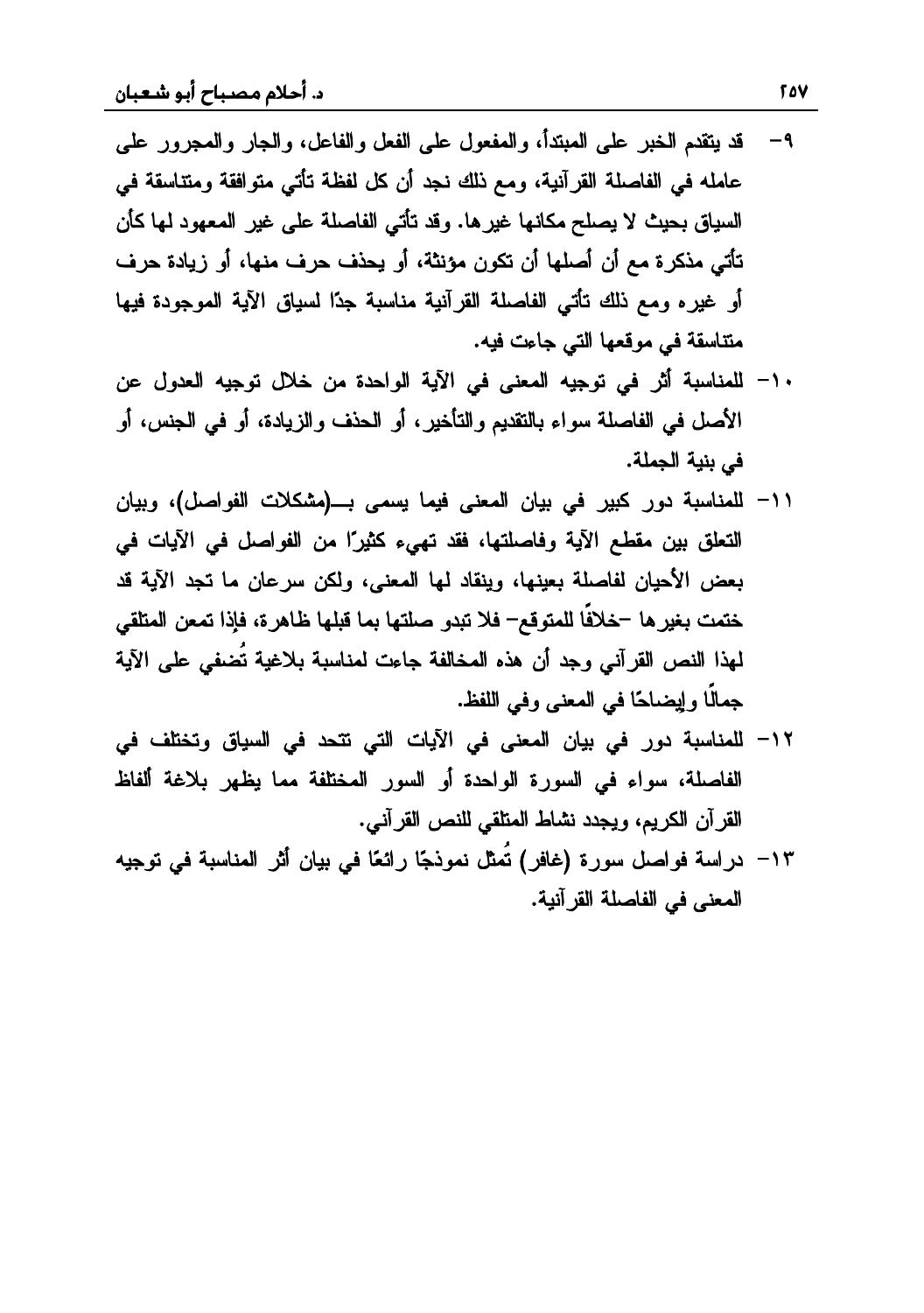- ٩− قد يتقدم الخبر على المبتدأ، والمفعول على الفعل والفاعل، والجار والمجرور على عامله في الفاصلة القرآنية، ومع ذلك نجد أن كل لفظة تأتي متوافقة ومتناسقة في السياق بحيث لا يصلح مكانها غير ها. وقد تأتي الفاصلة على غير المعهود لها كأن تأتي مذكرة مع أن أصلها أن تكون مؤنثة، أو يحذف حرف منها، أو زيادة حرف أو غيره ومع ذلك تأتي الفاصلة القرآنية مناسبة جدًا لسياق الآية الموجودة فيها منتاسقة في موقعها التي جاءت فيه.
- ١- للمناسبة أثر في توجيه المعنى في الآية الواحدة من خلال توجيه العدول عن الأصل في الفاصلة سواء بالتقديم والتأخير، أو الحذف والزيادة، أو في الجنس، أو في بنية الجملة.
- 1۱− للمناسبة دور كبير في بيان المعنى فيما يسمى بــ(مشكلات الفواصل)، وبيان التعلق بين مقطع الآية وفاصلتها، فقد تهيء كثيرًا من الفواصل في الآيات في بعض الأحيان لفاصلة بعينها، وينقاد لها المعنى، ولكن سرعان ما تجد الآية قد ختمت بغير ها –خلافًا للمتوقّع– فلا تبدو صلتها بما قبلها ظاهرة، فإذا تمعن المتلقى لهذا النص القر آني وحد أن هذه المخالفة حاءت لمناسبة بلاغية تُضفي على الآية جمالًا وإيضاحًا في المعنى وفي اللفظ.
- ١٢– للمناسبة دور في بيان المعنى في الآيات التي تتحد في السياق وتختلف في الفاصلة، سواء في السورة الواحدة أو السور المختلفة مما يظهر بلاغة ألفاظ القرآن الكريم، ويجدد نشاط المنلقى للنص القرآني.
- 1٣− دراسة فواصل سورة (غافر) تُمثِّل نموذجًا رائعًا في بيان أثر المناسبة في توجيه المعنى في الفاصلة القرآنية.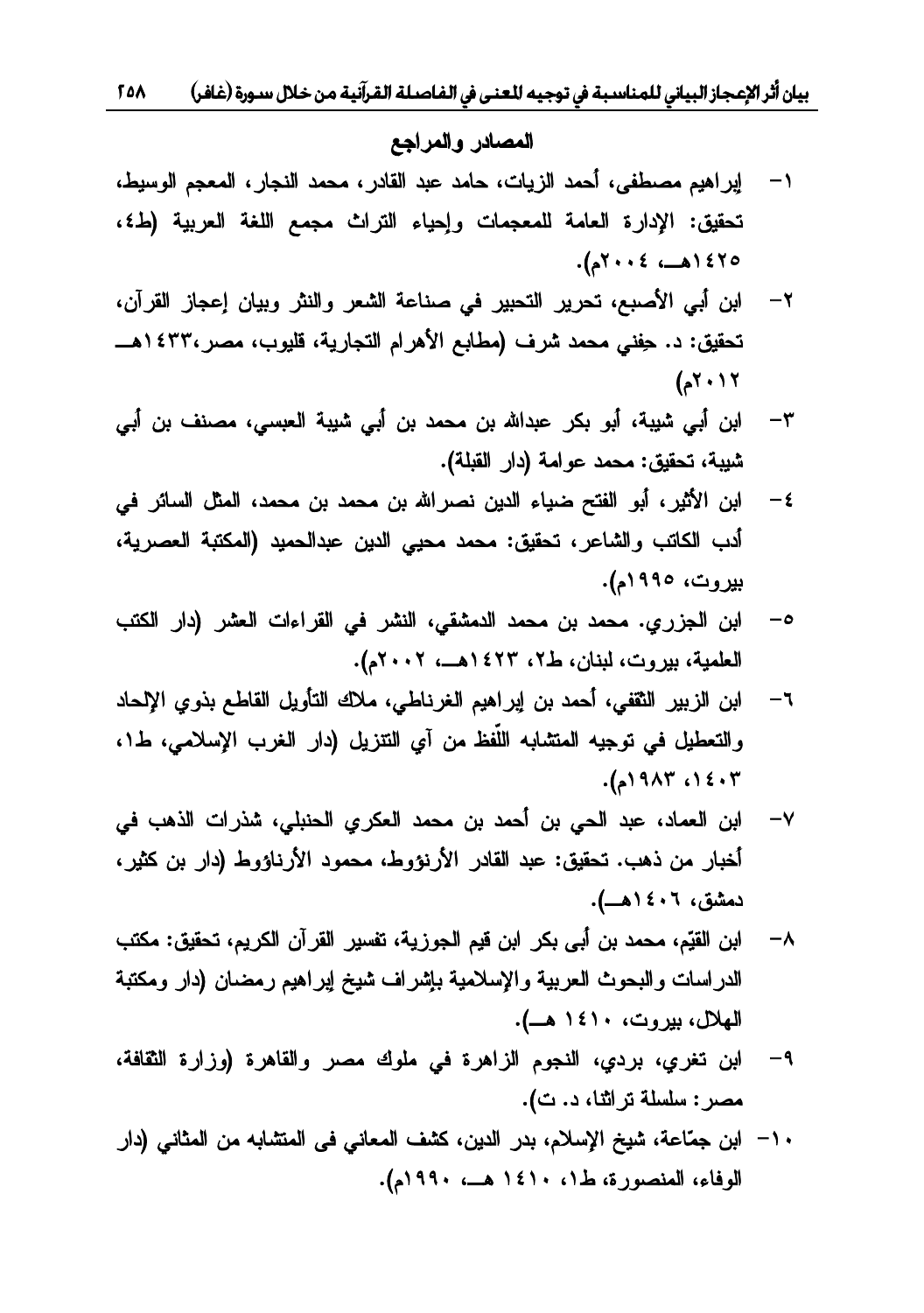#### المصادر والمراجع

- ١− إبراهيم مصطفى، أحمد الزيات، حامد عبد القادر، محمد النجار، المعجم الوسيط، تحقيق: الإدارة العامة للمعجمات وإحياء التراث مجمع اللغة العربية (ط٤، .Ƈ٢٠٠٤»ƍ١٤٢٥
- ×− ابن أبي الأصبع، تحرير التحبير في صناعة الشعر والنثر وبيان إعجاز القرآن، تحقيق: د. حِفني محمد شرف (مطابع الأهرام التجارية، قليوب، مصر،٤٣٣ ١هــ  $(51.17)$
- ٣– ابن أبي شيبة، أبو بكر عبدالله بن محمد بن أبي شيبة العبسي، مصنف بن أبي شيبة، تحقيق: محمد عوامة (دار القبلة).
- ٤− ابن الأثير ، أبو الفتح ضياء الدين نصر الله بن محمد بن محمد، المثل السائر في أدب الكاتب والشاعر، تحقيق: محمد محيى الدين عبدالحميد (المكتبة العصرية، بيروت، ١٩٩٥م).
- ه– ابن الجزري. محمد بن محمد الدمشقي، النشر في القراءات العشر (دار الكتب العلمية، بيروت، لبنان، ط٢، ١٤٢٣هــ، ٢٠٠٢م).
- ٦− ابن الزبير الثقفي، أحمد بن إبراهيم الغرناطي، ملاك التأويل القاطع بذوي الإلحاد والتعطيل في توجيه المتشابه اللُّفظ من أي التتزيل (دار الغرب الإسلامي، ط١، ٠١٤٠٣ ..).
- √− ابن العماد، عبد الحي بن أحمد بن محمد العكرى الحنبلي، شذرات الذهب في أخبار من ذهب. تحقيق: عبد القادر الأرنؤوط، محمود الأرناؤوط (دار بن كثير،<br>دمشق، ١٤٠٦هــ).
- ∧− ابن القيّم، محمد بن أبي بكر ابن قيم الجوزية، تفسير القر آن الكريم، تحقيق: مكتب الدراسات والبحوث العربية والإسلامية بإشراف شيخ إيراهيم رمضان (دار ومكتبة<br>الهلال، بيروت، ١٤١٠ هـــ).
- ٩- ابن تغري، بردي، النجوم الزاهرة في ملوك مصر والقاهرة (وزارة الثقافة، مصىر: سلسلة تراثثا، د. ت).
- 1− ابن جمّاعة، شيخ الإسلام، بدر الدين، كشف المعاني في المتشابه من المثاني (دار الوفاء، المنصورة، ط١، ١٤١٠هــ، ١٩٩٠م).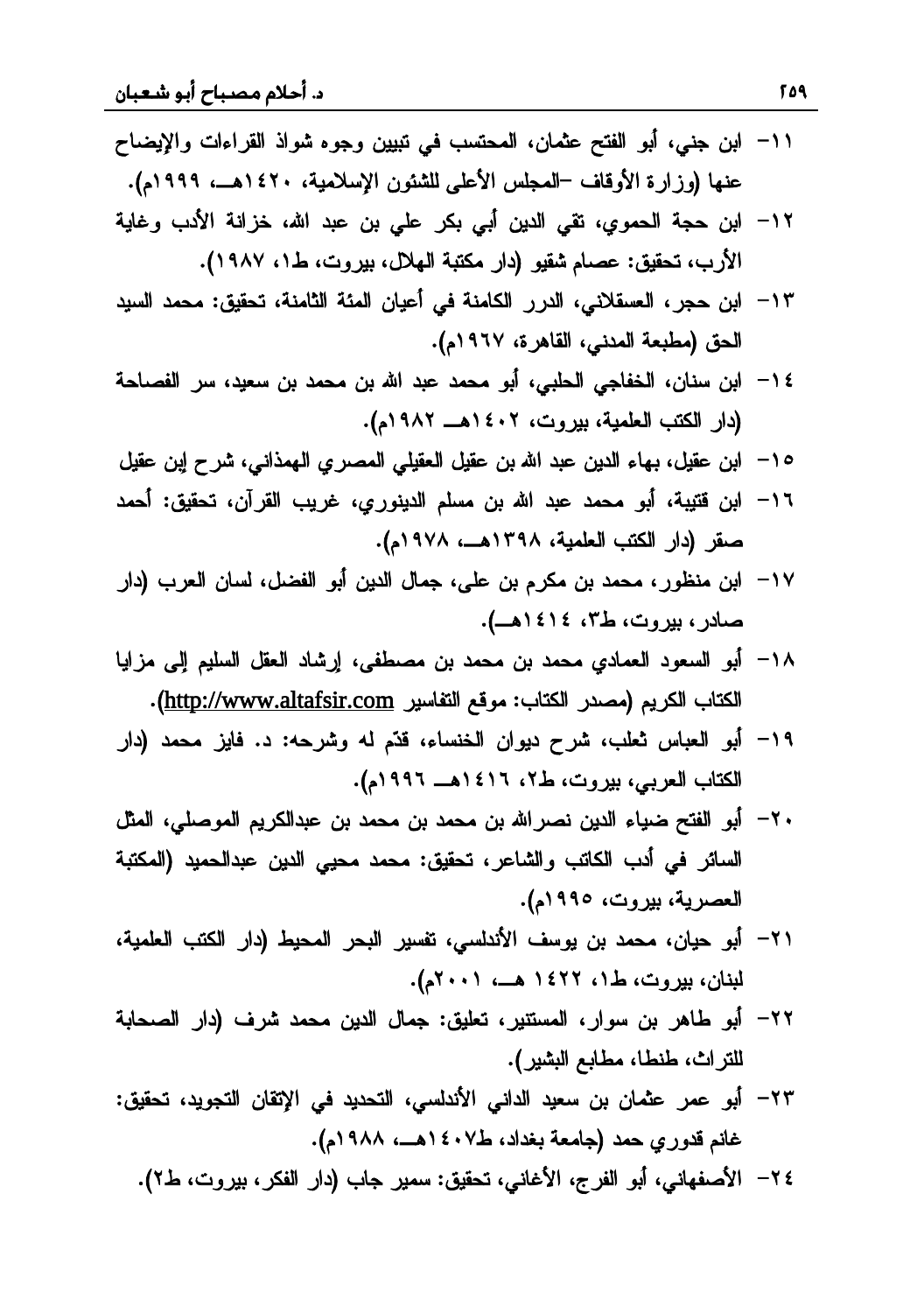- 1١− ابن جني، أبو الفتح عثمان، المحتسب في تبيين وجوه شواذ القراءات والإيضاح عنها (وزارة الأوقاف –المجلس الأعلى للشئون الإسلامية، ١٤٢٠هــ، ١٩٩٩م).
- 1۲− ابن حجة الحموى، تقى الدين أبي بكر على بن عبد الله، خزانة الأدب وغاية الأرب، تحقيق: عصام شقيو (دار مكتبة الهلال، بيروت، ط١، ١٩٨٧).
- +1٣ ابن حجر ، العسقلاني، الدرر الكامنة في أعيان المئة الثامنة، تحقيق: محمد السيد الحق (مطبعة المدني، القاهرة، ١٩٦٧م).<br>١٤ – ابن سنان، الخفاجي الحلبي، أبو محمد عبد الله بن محمد بن سعيد، سر الفصـاحة
- (دار الكتب العلمية، بيروت، ١٤٠٢هـ ١٩٨٢م).
- <sup>0</sup> ^ ابن عقيل، بهاء الدين عبد الله بن عقيل العقيلي المصري الهمذاني، شرح إبن عقيل
- +١٦ ابن قتيبة، أبو محمد عبد الله بن مسلم الدينوري، غريب القرآن، تحقيق: أحمد صقر (دار الكتب العلمية، ١٣٩٨هــ، ١٩٧٨م).
- ×1− ابن منظور ، محمد بن مكرم بن علي، جمال الدين أبو الفضل، لسان العرب (دار صادر، بيروت، ط٣، ١٤١٤هـ).
- 1٨− أبو السعود العمادي محمد بن محمد بن مصطفى، إرشاد العقل السليم إلى مزايا .(http://www.altafsir.com) الكتاب الكريم (http://www.altafsir.com)
- 1۹– أبو العباس ثعلب، شرح ديوان الخنساء، قدّم له وشرحه: د. فايز محمد (دار الكتاب العربي، بيروت، ط٢، ١٤١٦هــ ١٩٩٦م).
- ٢− أبو الفتح ضياء الدين نصر الله بن محمد بن محمد بن عبدالكريم الموصلي، المثل السائر في أدب الكاتب والشاعر، تحقيق: محمد محيي الدين عبدالحميد (المكتبة العصرية، بيروت، ١٩٩٥م).
- ۲۱− أبو حيان، محمد بن يوسف الأندلسي، تفسير البحر المحيط (دار الكتب العلمية، لبنان، بیروت، ط۱، ۱٤٢٢ هــ، ۲۰۰۱م).
- řŗŕţŰƅŔ ũŔŧŽũŮŧƈţƈ ƉƔŧƅŔ ¿ŕƈŠƀƔƆŸśũƔƊśŬƈƅŔũŔƏŬ Ɖŗ ũƍŕų ƏŗŌ -٢٢ للتراث، طنطا، مطابع البشير).
- ٢٣– أبو عمر عثمان بن سعيد الداني الأندلسي، التحديد في الإتقان التجويد، تحقيق: غانع قدوري حمد (جامعة بغداد، ط٤٠٧ هـــ، ١٩٨٨م).
	- ٢٤ الأصفهاني، أبو الفرج، الأغاني، تحقيق: سمير جاب (دار الفكر، بيروت، ط٢).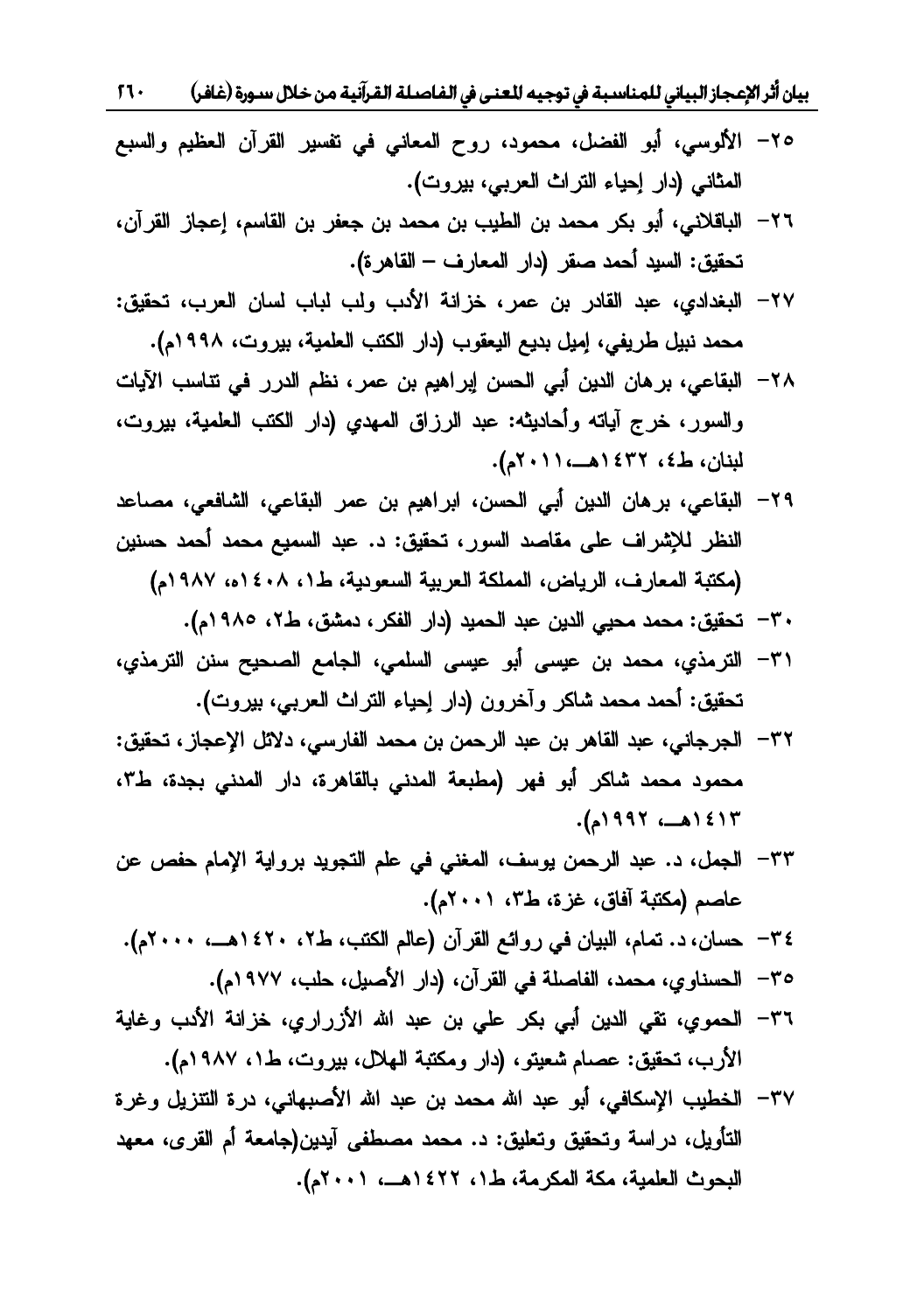بيان أثر الإعجاز البياني للمناسبة في توجيه للعنى في الفاصلة القرآنية من خلال سورة (غافر) 17

- + 1لألوسي، أبو الفضل، محمود، روح المعاني في تفسير القرآن العظيم والسبع المثاني (دار إحياء التراث العربي، بيروت).<br>٢٦– الباقلاني، أبو بكر محمد بن الطيب بن محمد بن جعفر بن القاسم، إعجاز القرآن،
- تحقيق: السيد أحمد صقر (دار المعارف القاهرة).
- ٢٧− البغدادي، عبد القادر بن عمر، خزانة الأدب ولب لباب لسان العرب، تحقيق: محمد نبيل طريفي، إميل بديع اليعقوب (دار الكتب العلمية، بيروت، ١٩٩٨م).
- ×٢– البقاعي، بر هان الدين أبي الحسن إبر اهيم بن عمر ، نظم الدرر في نتاسب الآيات والسور، خرج أياته وأحاديثه: عبد الرزاق المهدي (دار الكتب العلمية، بيروت، لبنان، ط٤، ٣٢٢١هـ، ٢٠١١م).
- +٢٩ البقاعي، برِ هان الدين أبي الحسن، ابر اهيم بن عمر البقاعي، الشافعي، مصـاعد النظر للإشراف على مقاصد السور، تحقيق: د. عبد السميع محمد أحمد حسنين<br>(مكتبة المعارف، الرياض، المملكة العربية السعودية، ط١، ١٤٠٨، ١٩٨٧م)
	- ٣٠ تحقيق: محمد محيي الدين عبد الحميد (دار الفكر ، دمشق، ط٢، ١٩٨٥م).
- ٣١– الترمذي، محمد بن عيسى أبو عيسى السلمي، الجامع الصحيح سنن الترمذي، تحقيق: أحمد محمد شاكر وآخرون (دار إحياء النراث العرببي، بيروت).
- ٣٦− الجرجاني، عبد القاهر بن عبد الرحمن بن محمد الفارسي، دلائل الإعجاز ، تحقيق: محمود محمد شاكر أبو فهر (مطبعة المدنى بالقاهرة، دار المدنى بجدة، ط٣، .Ƈ١٩٩٢»ƍ١٤١٣
- ٣٣– الجمل، د. عبد الرحمن يوسف، المغني في علم التجويد برواية الإمام حفص عن عاصم (مكتبة أفاق، غزة، ط٣، ٢٠٠١م).
- ٣٤ حسان، د. تمام، البيان في روائع القرآن (عالم الكتب، ط٢، ٢٤٢٠هــ، ٢٠٠٠م).
	- ٣٥ الحسناوي، محمد، الفاصلة في القرآن، (دار الأصيل، حلب، ١٩٧٧م).
- ٣٦- الحموي، تقي الدين أبي بكر على بن عبد الله الأزراري، خزانة الأدب وغاية الأرب، تحقيق: عصام شعيتو، (دار ومكتبة الهلال، بيروت، ط١، ١٩٨٧م).
- ٣٧– الخطيب الإسكافي، أبو عبد الله محمد بن عبد الله الأصبهاني، درة التتزيل وغرة التأويل، دراسة وتحقيق وتعليق: د. محمد مصطفى آيدين(جامعة أم القرى، معهد<br>البحوث العلمية، مكة المكرمة، ط١، ١٤٢٢هـــ، ٢٠٠١م).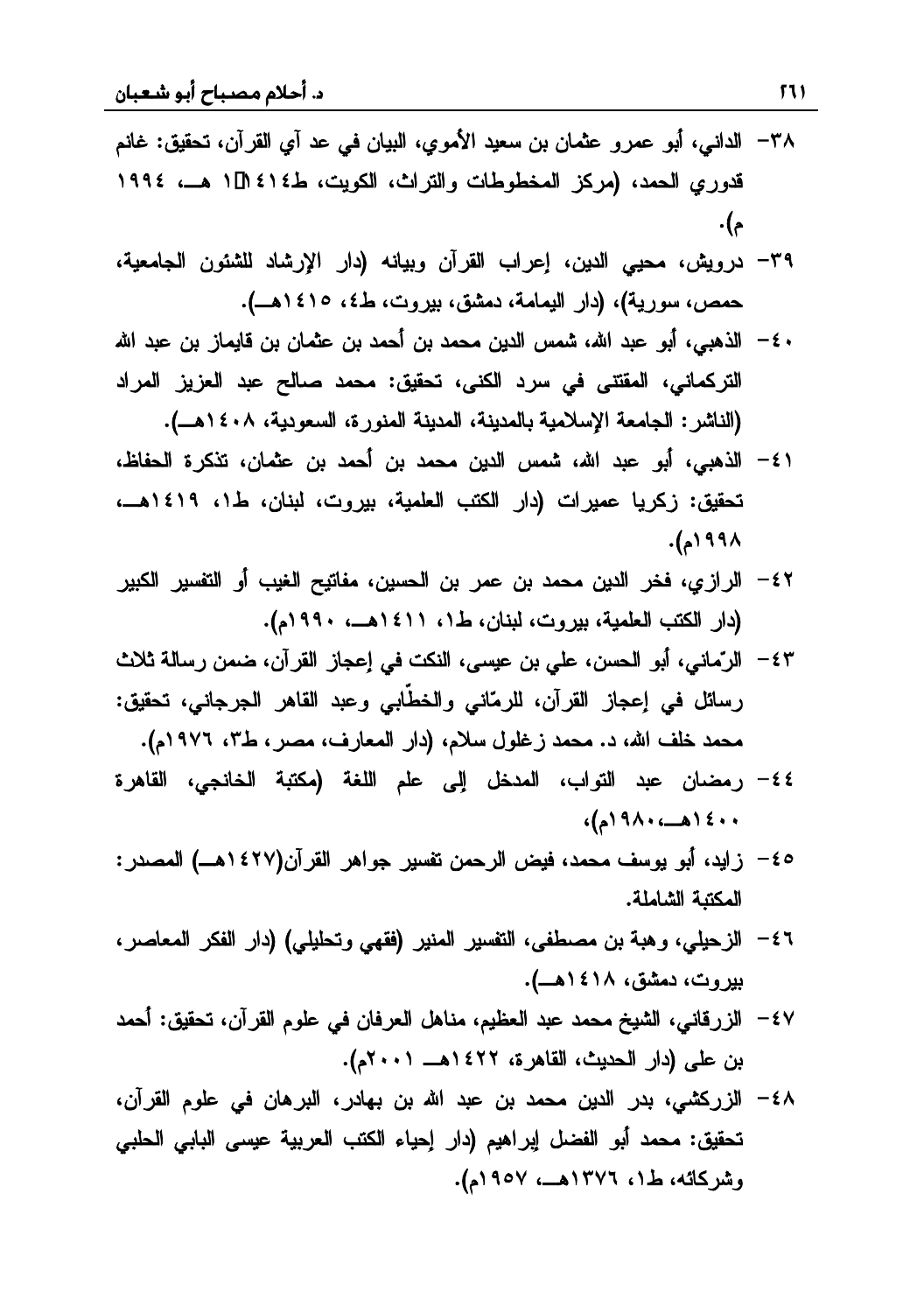- ƇƊŕŻƀƔƂţśƉŊũƂƅŔƒŊŧŷƓžƉŕƔŗƅŔƒƏƈƗŔŧƔŸŬƉŗƉŕƈŝŷƏũƈŷ ƏŗŌƓƊŔŧƅŔ -٣٨ قدوري الحمد، (مركز المخطوطات والتراث، الكويت، ط٤١٤ ال ١ هــ، ١٩٩٤ .Ƈ
- ٣٩– درويش، محيى الدين، إعراب القرآن وبيانه (دار الإرشاد للشئون الجامعية، حمص، سورية)، (دار اليمامة، دمشق، بيروت، ط٤، ١٤١٥هـ).
- ٤ الذهبي، أبو عبد الله، شمس الدين محمد بن أحمد بن عثمان بن قايماز بن عبد الله التركماني، المقتنى في سرد الكنى، تحقيق: محمد صالح عبد العزيز المراد<br>(الناشر: الجامعة الإسلامية بالمدينة، المدينة المنورة، السعودية، ١٤٠٨هــ).
- ( ٤− الذهبي، أبو عبد الله، شمس الدين محمد بن أحمد بن عثمان، تذكرة الحفاظ، تحقيق: زكريا عميرات (دار الكتب العلمية، بيروت، لبنان، ط١، ١٤١٩هــ،<br>١٩٩٨م).
- ٤٢– الرازي، فخر الدين محمد بن عمر بن الحسين، مفاتيح الغيب أو التفسير الكبير (دار الكتب العلمية، بيروت، لبنان، ط١، ١٤١١هــ، ١٩٩٠م).
- ٤٣ الرّماني، أبو الحسن، علي بن عيسى، النكت في إعجاز القرآن، ضمن رسالة ثلاث رسائل في إعجاز القرآن، للرمّاني والخطّابي وعبد القاهر الجرجاني، تحقيق: محمد خلف الله، د. محمد زغلول سلام، (دار المعارف، مصر، ط٣، ١٩٧٦م).
- ٤٤ رمضان عبد التواب، المدخل إلى علم اللغة (مكتبة الخانجي، القاهرة Ƈ١٩٨٠»ƍ١٤٠٠
- ũŧŰƈƅŔ »ƍ١٤٢٧)ƉŊũƂƅŔũƍŔƏŠũƔŬſśƉƈţũƅŔűƔžŧƈţƈŽŬƏƔƏŗŌŧƔŔŪ -٤٥ المكتبة الشاملة.
- ٤٦ الزحيلي، وهبة بن مصطفى، التفسير المنير (فقهي وتحليلي) (دار الفكر المعاصر، بیروت، دمشق، ۱٤١٨هـ).
- ٤٧ − الزرقاني، الشيخ محمد عبد العظيم، مناهل العرفان في علوم القرآن، تحقيق: أحمد بن على (دار الحديث، القاهرة، ١٤٢٢هـ ٢٠٠١م).
- ٤٨ الزركشي، بدر الدين محمد بن عبد الله بن بهادر ، البر هان في علوم القرآن ، تحقيق: محمد أبو الفضل إبراهيم (دار إحياء الكتب العربية عيسى البابي الحلبي وشركائه، ط١، ١٣٧٦هــ، ١٩٥٧م).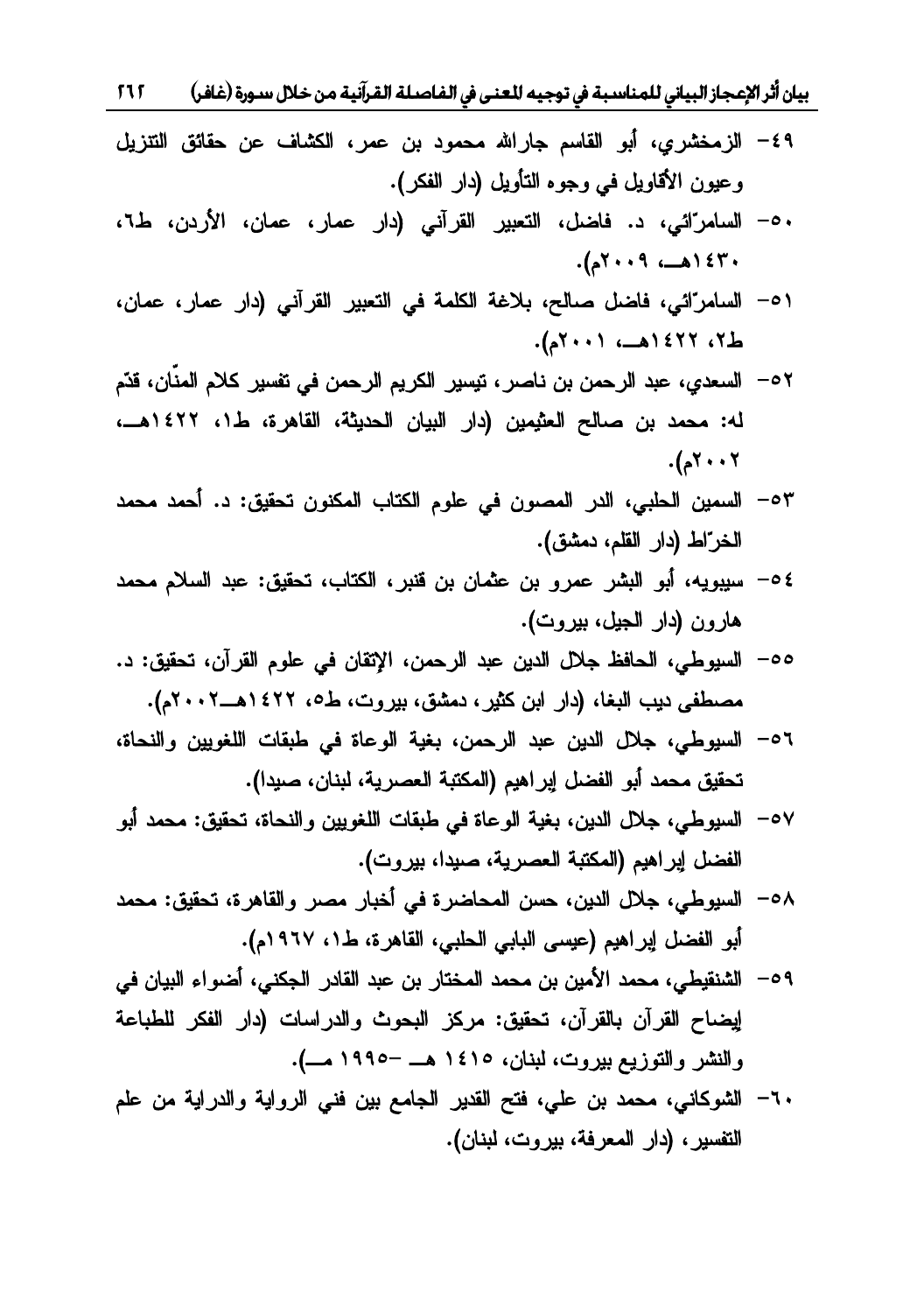بيان أثر الإعجاز البياني للمناسبة في توجيه للعنى في الفاصلة القرآنية من خلال سورة (غافر) 11 T

- ٤٩- الزمخشري، أبو القاسم جارالله محمود بن عمر، الكشاف عن حقائق التتزيل وعيون الأقاويل في وجوه التأويل (دار الفكر).
- ٠٩– السامرّائي، د. فاضل، التعبير القرآني (دار عمار، عمان، الأردن، ط٦، Ƈ٢٠٠٩»ƍ١٤٣٠
- ٥١ السامرّائي، فاضل صالح، بلاغة الكلمة في التعبير القرآني (دار عمار، عمان، ط7، ٢٢٤٢هـ، ٢٠٠١م).
- ٥٢ السعدي، عبد الرحمن بن ناصر ، تيسير الكريم الرحمن في تفسير كلام المذّان، قدّم له: محمد بن صالح العثيمين (دار البيان الحديثة، القاهرة، ط1، ١٤٢٢هــ، .Ƈ٢٠٠٢
- ŧƈţƈŧƈţŌ ŧƀƔƂţś ƉƏƊƄƈƅŔ ŖŕśƄƅŔƇƏƆŷƓž ƉƏŰƈƅŔ ũŧƅŔƓŗƆţƅŔ ƉƔƈŬƅŔ -٥٣ الخرّاط (دار القلم، دمشق).
- ŧƈţƈƇƜŬƅŔŧŗŷƀƔƂţśŖŕśƄƅŔũŗƊƁƉŗƉŕƈŝŷƉŗƏũƈŷũŮŗƅŔƏŗŌƌƔƏŗƔŬ -٥٤ هارون (دار الجيل، بيروت).
- 00 السيوطي، الحافظ جلال الدين عبد الرحمن، الإتقان في علوم القرآن، تحقيق: د. مصطفى ديب البغا، (دار ابن كثير، دمشق، بيروت، ط٥، ١٤٢٢هــ١٠٠٢م).
- +0− السيوطي، جلال الدين عبد الرحمن، بغية الوعاة في طبقات اللغويين والنحاة، تحقيق محمد أبو الفضل إبراهيم (المكتبة العصرية، لبنان، صيدا).
- o~ السيوطي، جلال الدين، بغية الوعاة في طبقات اللغويين والنحاة، تحقيق: محمد أبو الفضل إبراهيم (المكتبة العصرية، صبدا، بيروت).
- 0٨− السيوطي، جلال الدين، حسن المحاضرة في أخبار مصر والقاهرة، تحقيق: محمد أبو الفضل إبراهيم (عيسى البابي الحلبي، القاهرة، ط١، ١٩٦٧م).
- 0۹ الشنقيطي، محمد الأمين بن محمد المختار بن عبد القادر الجكني، أضواء البيان في لِيضاح القرآن بالقرآن، تحقيق: مركز البحوث والدراسات (دار الفكر للطباعة<br>والنشر والتوزيع بيروت، لبنان، ١٤١٥ هــ –١٩٩٥ مــ).
- +٦- الشوكانبي، محمد بن علي، فتح القدير الجامع بين فني الرواية والدراية من علم التفسير ، (دار المعرفة، بيروت، لبنان).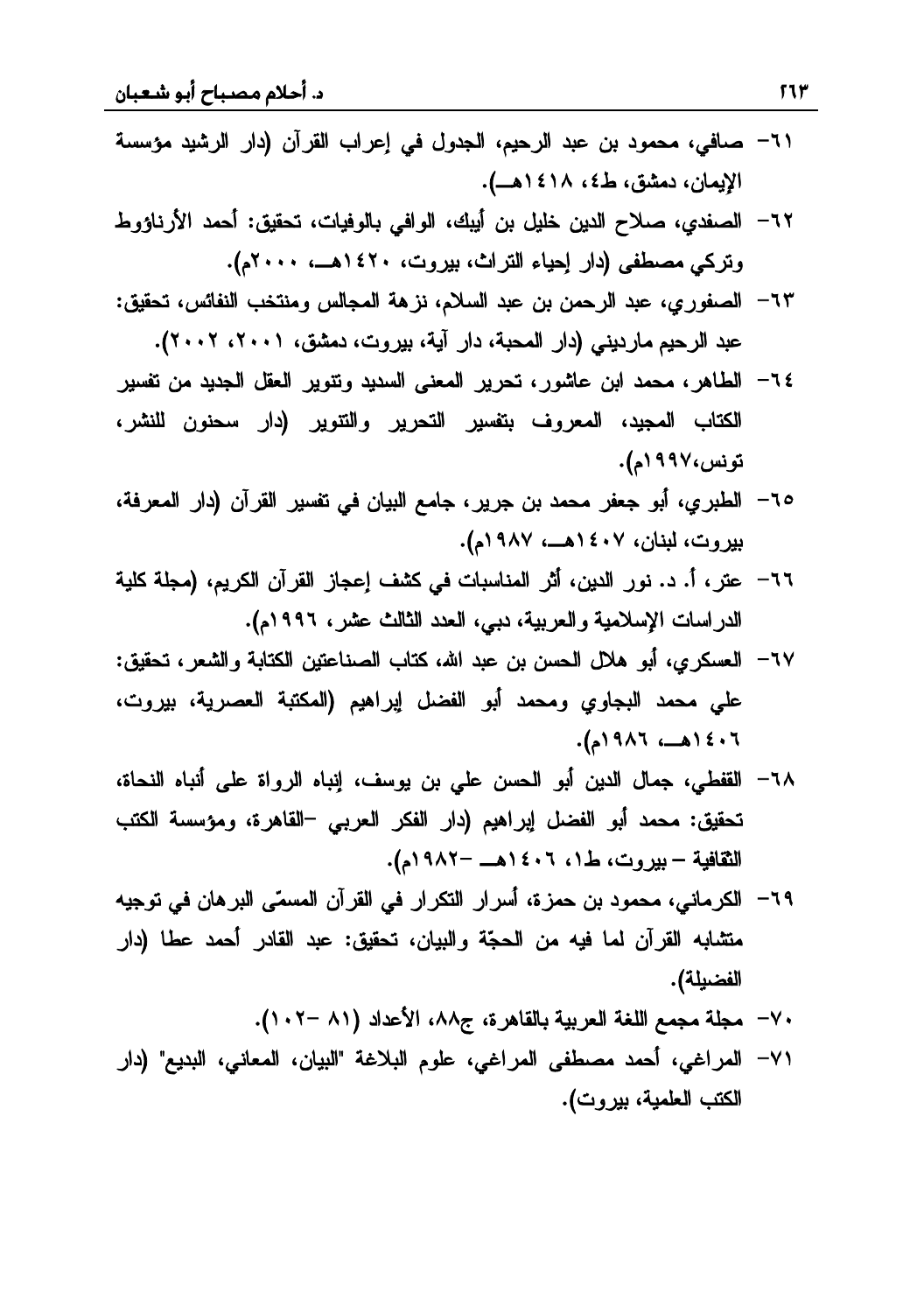- ٦١– صافي، محمود بن عبد الرحيم، الجدول في إعراب القرآن (دار الرشيد مؤسسة الإيمان، دمشق، ط٤، ١٤١٨هـ).
- ٦٢– الصفدي، صلاح الدين خليل بن أيبك، الوافي بالوفيات، تحقيق: أحمد الأرناؤوط وتركي مصطفى (دار إحياء التراث، بيروت، ١٤٢٠هــ، ٢٠٠٠م).
- ٦٣– الصفوري، عبد الرحمن بن عبد السلام، نزهة المجالس ومنتخب النفائس، تحقيق: عبد الرحيم مارديني (دار المحبة، دار آية، بيروت، دمشق، ٢٠٠١، ٢٠٠٢).
- ٦٤– الطاهر، محمد ابن عاشور، تحرير المعنى السديد وتتوير العقل الجديد من تفسير الكتاب المجيد، المعروف بتفسير التحرير والتتوير (دار سحنون للنشر، تونس،۱۹۹۷م).
- ٦٥– الطبري، أبو جعفر محمد بن جرير ، جامع البيان في تفسير القرآن (دار المعرفة، بيروت، لبنان، ١٤٠٧هــ، ١٩٨٧م).
- ٦٦– عتر، أ. د. نور الدين، أثر المناسبات في كشف إعجاز القرآن الكريم، (مجلة كلية الدراسات الإسلامية والعربية، دبي، العدد الثالث عشر، ١٩٩٦م).
- ٦٧– العسكري، أبو هلال الحسن بن عبد الله، كتاب الصناعتين الكتابة والشعر ، تحقيق: على محمد البجاوي ومحمد أبو الفضل إيراهيم (المكتبة العصرية، بيروت، ٠٦ ٠٤ ١هــ، ١٩٨٦م).
- ٦٨– القفطي، جمال الدين أبو الحسن على بن يوسف، إنباه الرواة على أنباه النحاة، تحقيق: محمد أبو الفضل إبراهيم (دار الفكر العربي –القاهرة، ومؤسسة الكتب الثقافية – بيروت، ط١، ١٤٠٦هـ -١٩٨٢م).
- ٦٩– الكرماني، محمود بن حمزة، أسرار التكرار في القرآن المسمّى البرهان في توجيه متشابه القرآن لما فيه من الحجّة والبيان، تحقيق: عبد القادر أحمد عطا (دار الفضيلة).
	- ٧٠ مجلة مجمع اللغة العربية بالقاهرة، ج٨٨، الأعداد (٨١ –١٠٢).
- ٧١– المراغى، أحمد مصطفى المراغى، علوم البلاغة "البيان، المعاني، البديع" (دار الكتب العلمية، بيروت).